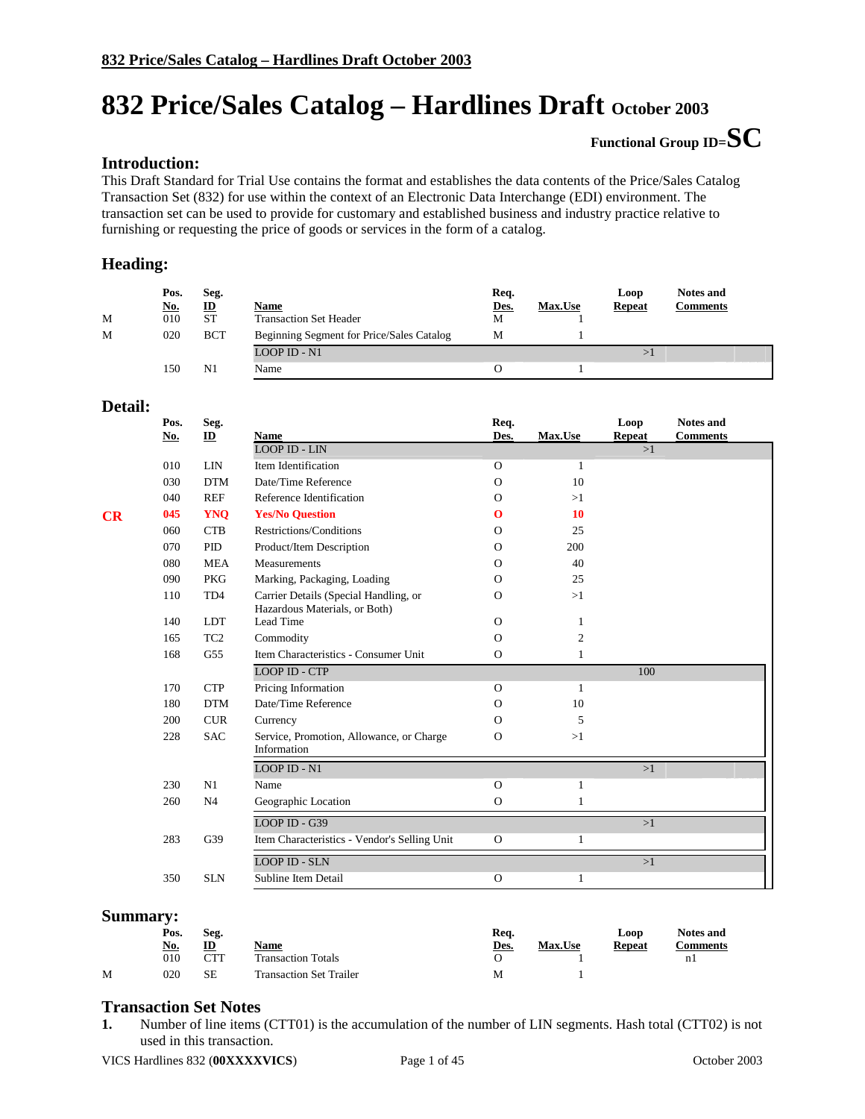# **Functional Group ID=SC**

### **Introduction:**

This Draft Standard for Trial Use contains the format and establishes the data contents of the Price/Sales Catalog Transaction Set (832) for use within the context of an Electronic Data Interchange (EDI) environment. The transaction set can be used to provide for customary and established business and industry practice relative to furnishing or requesting the price of goods or services in the form of a catalog.

#### **Heading:**

| M | Pos.<br><u>No.</u><br>010 | Seg.<br>$\mathbf{D}$<br><b>ST</b> | <b>Name</b><br><b>Transaction Set Header</b> | Req.<br>Des.<br>М | <b>Max.Use</b> | Loop<br><b>Repeat</b> | <b>Notes and</b><br>Comments |
|---|---------------------------|-----------------------------------|----------------------------------------------|-------------------|----------------|-----------------------|------------------------------|
| M | 020                       | <b>BCT</b>                        | Beginning Segment for Price/Sales Catalog    | М                 |                |                       |                              |
|   |                           |                                   | LOOP ID - N1                                 |                   |                |                       |                              |
|   | 150                       | N1                                | Name                                         |                   |                |                       |                              |

#### **Detail:**

|    | Pos.<br>$\underline{\mathbf{No}}$ . | Seg.<br>$\mathbf{ID}$ | <b>Name</b>                                                            | Req.<br>Des.  | Max.Use        | Loop<br><b>Repeat</b> | <b>Notes and</b><br><b>Comments</b> |
|----|-------------------------------------|-----------------------|------------------------------------------------------------------------|---------------|----------------|-----------------------|-------------------------------------|
|    |                                     |                       | <b>LOOP ID - LIN</b>                                                   |               |                | >1                    |                                     |
|    | 010                                 | <b>LIN</b>            | Item Identification                                                    | $\Omega$      | 1              |                       |                                     |
|    | 030                                 | <b>DTM</b>            | Date/Time Reference                                                    | $\Omega$      | 10             |                       |                                     |
|    | 040                                 | <b>REF</b>            | Reference Identification                                               | $\Omega$      | >1             |                       |                                     |
| CR | 045                                 | <b>YNQ</b>            | <b>Yes/No Question</b>                                                 | $\bf{o}$      | 10             |                       |                                     |
|    | 060                                 | <b>CTB</b>            | Restrictions/Conditions                                                | $\Omega$      | 25             |                       |                                     |
|    | 070                                 | PID                   | Product/Item Description                                               | $\Omega$      | 200            |                       |                                     |
|    | 080                                 | <b>MEA</b>            | Measurements                                                           | $\Omega$      | 40             |                       |                                     |
|    | 090                                 | <b>PKG</b>            | Marking, Packaging, Loading                                            | $\Omega$      | 25             |                       |                                     |
|    | 110                                 | TD4                   | Carrier Details (Special Handling, or<br>Hazardous Materials, or Both) | $\Omega$      | >1             |                       |                                     |
|    | 140                                 | <b>LDT</b>            | Lead Time                                                              | $\Omega$      | 1              |                       |                                     |
|    | 165                                 | TC <sub>2</sub>       | Commodity                                                              | $\Omega$      | $\overline{c}$ |                       |                                     |
|    | 168                                 | G <sub>55</sub>       | Item Characteristics - Consumer Unit                                   | $\mathbf{O}$  | 1              |                       |                                     |
|    |                                     |                       | <b>LOOP ID - CTP</b>                                                   |               |                | 100                   |                                     |
|    | 170                                 | <b>CTP</b>            | Pricing Information                                                    | $\Omega$      | 1              |                       |                                     |
|    | 180                                 | <b>DTM</b>            | Date/Time Reference                                                    | $\Omega$      | 10             |                       |                                     |
|    | 200                                 | <b>CUR</b>            | Currency                                                               | $\Omega$      | 5              |                       |                                     |
|    | 228                                 | <b>SAC</b>            | Service, Promotion, Allowance, or Charge<br>Information                | $\Omega$      | >1             |                       |                                     |
|    |                                     |                       | LOOP ID - N1                                                           |               |                | >1                    |                                     |
|    | 230                                 | N1                    | Name                                                                   | $\Omega$      | 1              |                       |                                     |
|    | 260                                 | N <sub>4</sub>        | Geographic Location                                                    | $\mathbf{O}$  | 1              |                       |                                     |
|    |                                     |                       | LOOP ID - G39                                                          |               |                | >1                    |                                     |
|    | 283                                 | G39                   | Item Characteristics - Vendor's Selling Unit                           | $\mathcal{O}$ | 1              |                       |                                     |
|    |                                     |                       | <b>LOOP ID - SLN</b>                                                   |               |                | >1                    |                                     |
|    | 350                                 | <b>SLN</b>            | Subline Item Detail                                                    | $\Omega$      | 1              |                       |                                     |

#### **Summary:**

|   | Pos.       | Seg. |                                | Req. |                |               | <b>Notes and</b> |  |
|---|------------|------|--------------------------------|------|----------------|---------------|------------------|--|
|   | <u>No.</u> | ID   | Name                           | Des. | <b>Max.Use</b> | <b>Repeat</b> | <b>Comments</b>  |  |
|   | 010        | CTT  | <b>Transaction Totals</b>      |      |                |               | nl               |  |
| M | 020        | SЕ   | <b>Transaction Set Trailer</b> | М    |                |               |                  |  |

#### **Transaction Set Notes**

**1.** Number of line items (CTT01) is the accumulation of the number of LIN segments. Hash total (CTT02) is not used in this transaction.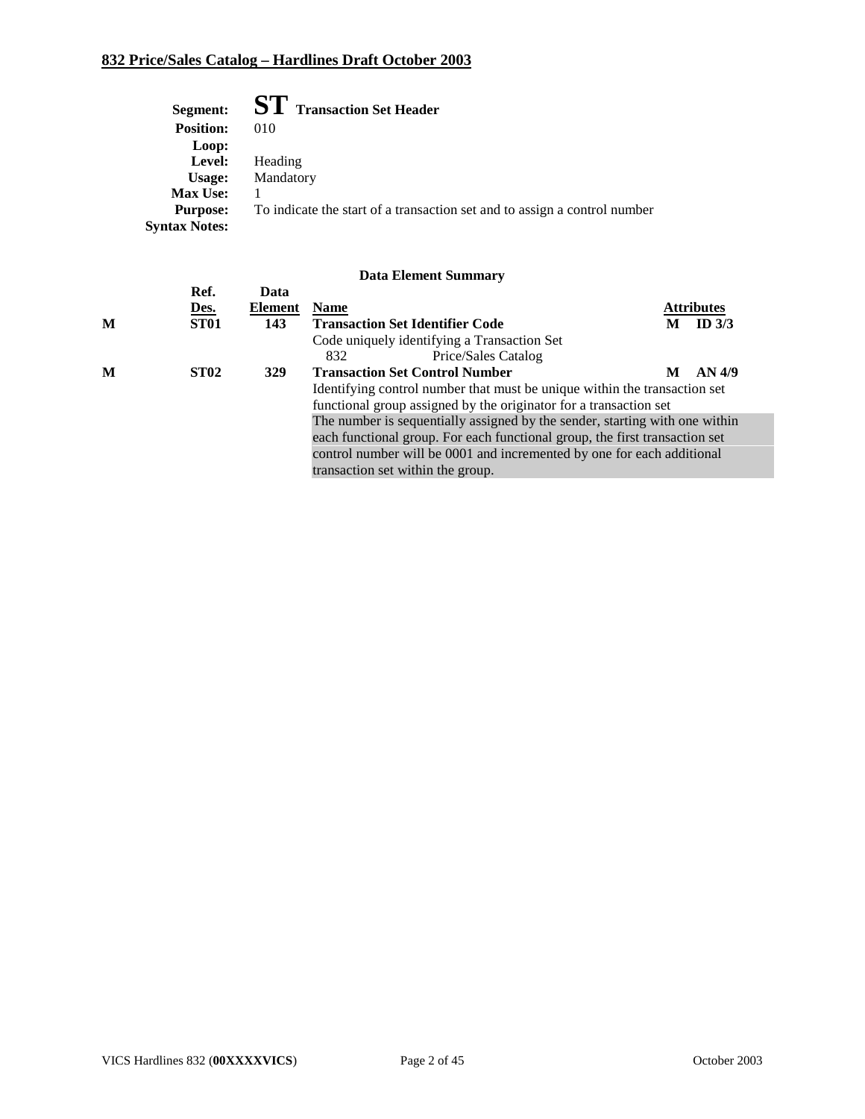| Segment:             | $\mathbf{ST}\:$ Transaction Set Header                                    |
|----------------------|---------------------------------------------------------------------------|
| <b>Position:</b>     | 010                                                                       |
| Loop:                |                                                                           |
| Level:               | Heading                                                                   |
| Usage:               | Mandatory                                                                 |
| <b>Max Use:</b>      |                                                                           |
| <b>Purpose:</b>      | To indicate the start of a transaction set and to assign a control number |
| <b>Syntax Notes:</b> |                                                                           |

|   | Ref.             | Data           |                                                                             |   |                   |
|---|------------------|----------------|-----------------------------------------------------------------------------|---|-------------------|
|   | <u>Des.</u>      | <b>Element</b> | <b>Name</b>                                                                 |   | <b>Attributes</b> |
| M | ST <sub>01</sub> | 143            | <b>Transaction Set Identifier Code</b>                                      | M | ID $3/3$          |
|   |                  |                | Code uniquely identifying a Transaction Set                                 |   |                   |
|   |                  |                | Price/Sales Catalog<br>832                                                  |   |                   |
| M | <b>ST02</b>      | 329            | <b>Transaction Set Control Number</b>                                       | M | AN 4/9            |
|   |                  |                | Identifying control number that must be unique within the transaction set   |   |                   |
|   |                  |                | functional group assigned by the originator for a transaction set           |   |                   |
|   |                  |                | The number is sequentially assigned by the sender, starting with one within |   |                   |
|   |                  |                | each functional group. For each functional group, the first transaction set |   |                   |
|   |                  |                | control number will be 0001 and incremented by one for each additional      |   |                   |
|   |                  |                | transaction set within the group.                                           |   |                   |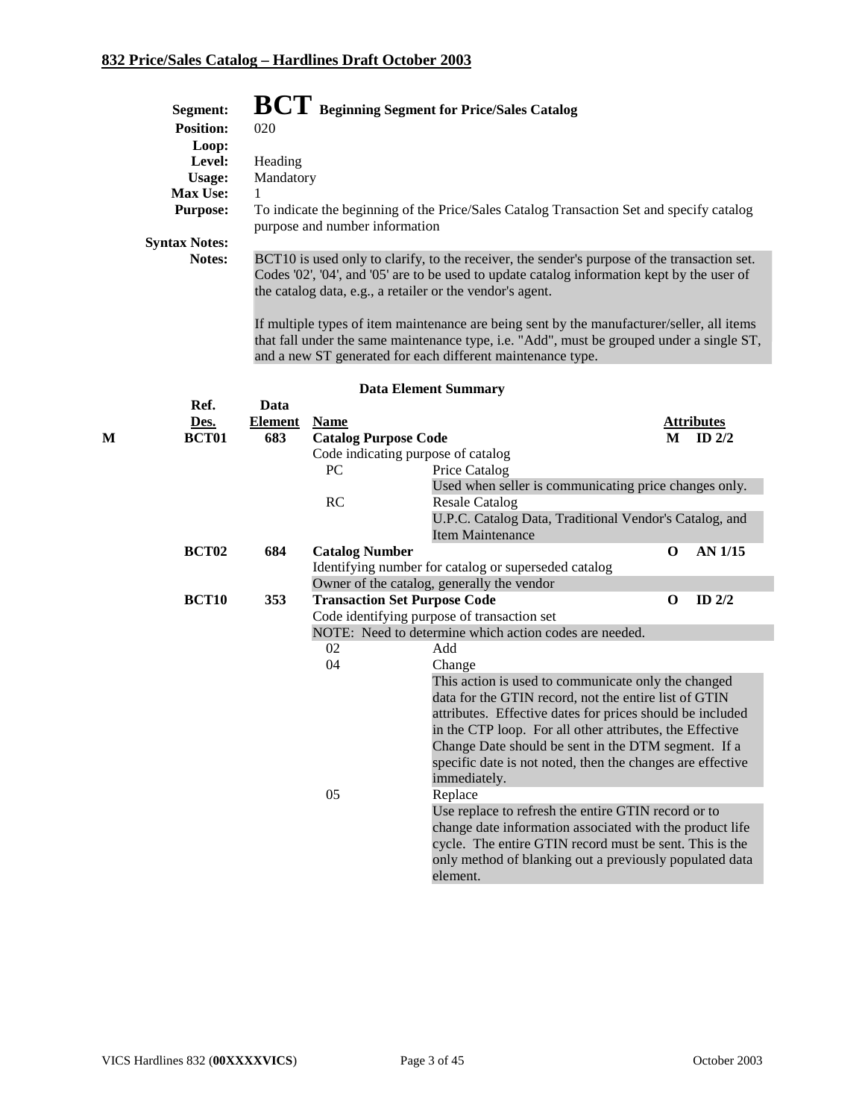|   | Segment:             |                |                                | $\mathbf{BCT}\:$ Beginning Segment for Price/Sales Catalog                                                                                                                                                                                               |                      |  |
|---|----------------------|----------------|--------------------------------|----------------------------------------------------------------------------------------------------------------------------------------------------------------------------------------------------------------------------------------------------------|----------------------|--|
|   | <b>Position:</b>     | 020            |                                |                                                                                                                                                                                                                                                          |                      |  |
|   | Loop:                |                |                                |                                                                                                                                                                                                                                                          |                      |  |
|   | Level:               | Heading        |                                |                                                                                                                                                                                                                                                          |                      |  |
|   | Usage:               | Mandatory      |                                |                                                                                                                                                                                                                                                          |                      |  |
|   | Max Use:             | 1              |                                |                                                                                                                                                                                                                                                          |                      |  |
|   | <b>Purpose:</b>      |                | purpose and number information | To indicate the beginning of the Price/Sales Catalog Transaction Set and specify catalog                                                                                                                                                                 |                      |  |
|   | <b>Syntax Notes:</b> |                |                                |                                                                                                                                                                                                                                                          |                      |  |
|   | Notes:               |                |                                | BCT10 is used only to clarify, to the receiver, the sender's purpose of the transaction set.<br>Codes '02', '04', and '05' are to be used to update catalog information kept by the user of<br>the catalog data, e.g., a retailer or the vendor's agent. |                      |  |
|   |                      |                |                                | If multiple types of item maintenance are being sent by the manufacturer/seller, all items<br>that fall under the same maintenance type, i.e. "Add", must be grouped under a single ST,<br>and a new ST generated for each different maintenance type.   |                      |  |
|   |                      |                |                                | <b>Data Element Summary</b>                                                                                                                                                                                                                              |                      |  |
|   | Ref.                 | Data           |                                |                                                                                                                                                                                                                                                          |                      |  |
|   | Des.                 | <b>Element</b> | <b>Name</b>                    |                                                                                                                                                                                                                                                          | <b>Attributes</b>    |  |
| М | <b>BCT01</b>         | 683            | <b>Catalog Purpose Code</b>    |                                                                                                                                                                                                                                                          | ID $2/2$<br>M        |  |
|   |                      |                |                                | Code indicating purpose of catalog                                                                                                                                                                                                                       |                      |  |
|   |                      |                | PC                             | Price Catalog                                                                                                                                                                                                                                            |                      |  |
|   |                      |                |                                | Used when seller is communicating price changes only.                                                                                                                                                                                                    |                      |  |
|   |                      |                | RC                             | <b>Resale Catalog</b>                                                                                                                                                                                                                                    |                      |  |
|   |                      |                |                                | U.P.C. Catalog Data, Traditional Vendor's Catalog, and<br><b>Item Maintenance</b>                                                                                                                                                                        |                      |  |
|   | <b>BCT02</b>         | 684            |                                |                                                                                                                                                                                                                                                          | AN 1/15<br>$\bf{0}$  |  |
|   |                      |                | <b>Catalog Number</b>          | Identifying number for catalog or superseded catalog                                                                                                                                                                                                     |                      |  |
|   |                      |                |                                | Owner of the catalog, generally the vendor                                                                                                                                                                                                               |                      |  |
|   | <b>BCT10</b>         | 353            |                                | <b>Transaction Set Purpose Code</b>                                                                                                                                                                                                                      | ID $2/2$<br>$\bf{O}$ |  |
|   |                      |                |                                | Code identifying purpose of transaction set                                                                                                                                                                                                              |                      |  |
|   |                      |                |                                | NOTE: Need to determine which action codes are needed.                                                                                                                                                                                                   |                      |  |
|   |                      |                | 02                             | Add                                                                                                                                                                                                                                                      |                      |  |
|   |                      |                | 04                             | Change                                                                                                                                                                                                                                                   |                      |  |
|   |                      |                |                                | This action is used to communicate only the changed                                                                                                                                                                                                      |                      |  |
|   |                      |                |                                | data for the GTIN record, not the entire list of GTIN                                                                                                                                                                                                    |                      |  |
|   |                      |                |                                | attributes. Effective dates for prices should be included                                                                                                                                                                                                |                      |  |
|   |                      |                |                                | in the CTP loop. For all other attributes, the Effective                                                                                                                                                                                                 |                      |  |
|   |                      |                |                                | Change Date should be sent in the DTM segment. If a                                                                                                                                                                                                      |                      |  |
|   |                      |                |                                | specific date is not noted, then the changes are effective                                                                                                                                                                                               |                      |  |
|   |                      |                |                                | immediately.                                                                                                                                                                                                                                             |                      |  |
|   |                      |                | 05                             | Replace                                                                                                                                                                                                                                                  |                      |  |
|   |                      |                |                                | Use replace to refresh the entire GTIN record or to                                                                                                                                                                                                      |                      |  |
|   |                      |                |                                | change date information associated with the product life                                                                                                                                                                                                 |                      |  |
|   |                      |                |                                | cycle. The entire GTIN record must be sent. This is the                                                                                                                                                                                                  |                      |  |
|   |                      |                |                                | only method of blanking out a previously populated data<br>element.                                                                                                                                                                                      |                      |  |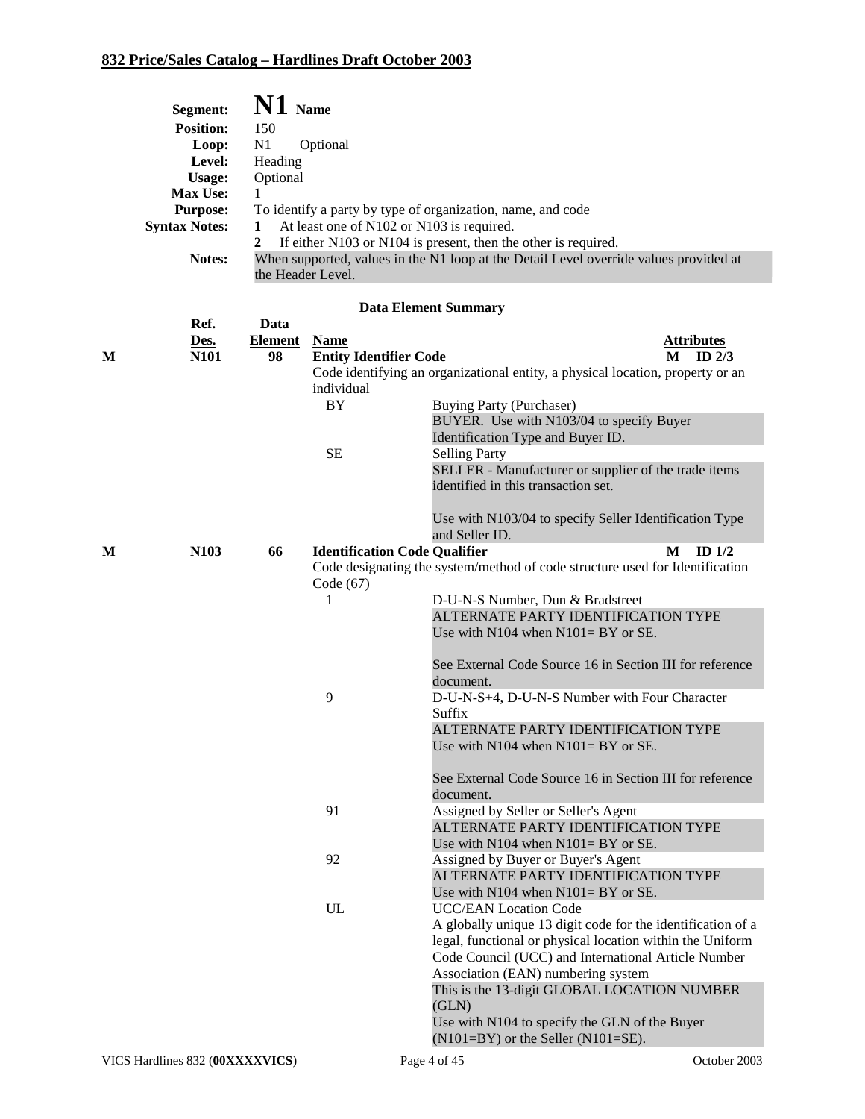| Segment:             | $N1$ Name                                                                             |
|----------------------|---------------------------------------------------------------------------------------|
| <b>Position:</b>     | 150                                                                                   |
| Loop:                | N1<br>Optional                                                                        |
| Level:               | Heading                                                                               |
| Usage:               | Optional                                                                              |
| <b>Max Use:</b>      |                                                                                       |
| <b>Purpose:</b>      | To identify a party by type of organization, name, and code                           |
| <b>Syntax Notes:</b> | At least one of N102 or N103 is required.                                             |
|                      | If either N103 or N104 is present, then the other is required.                        |
| Notes:               | When supported, values in the N1 loop at the Detail Level override values provided at |
|                      | the Header Level.                                                                     |

|   | Ref.             | Data           |                                      |                                                                                |                   |
|---|------------------|----------------|--------------------------------------|--------------------------------------------------------------------------------|-------------------|
|   | Des.             | <b>Element</b> | <b>Name</b>                          |                                                                                | <u>Attributes</u> |
| M | N101             | 98             | <b>Entity Identifier Code</b>        |                                                                                | ID $2/3$<br>M     |
|   |                  |                |                                      | Code identifying an organizational entity, a physical location, property or an |                   |
|   |                  |                | individual                           |                                                                                |                   |
|   |                  |                | <b>BY</b>                            | <b>Buying Party (Purchaser)</b>                                                |                   |
|   |                  |                |                                      | BUYER. Use with N103/04 to specify Buyer                                       |                   |
|   |                  |                |                                      | Identification Type and Buyer ID.                                              |                   |
|   |                  |                | <b>SE</b>                            | <b>Selling Party</b>                                                           |                   |
|   |                  |                |                                      | SELLER - Manufacturer or supplier of the trade items                           |                   |
|   |                  |                |                                      | identified in this transaction set.                                            |                   |
|   |                  |                |                                      | Use with N103/04 to specify Seller Identification Type                         |                   |
|   |                  |                |                                      | and Seller ID.                                                                 |                   |
| M | N <sub>103</sub> | 66             | <b>Identification Code Qualifier</b> |                                                                                | M<br>ID $1/2$     |
|   |                  |                |                                      | Code designating the system/method of code structure used for Identification   |                   |
|   |                  |                | Code (67)                            |                                                                                |                   |
|   |                  |                | 1                                    | D-U-N-S Number, Dun & Bradstreet                                               |                   |
|   |                  |                |                                      | ALTERNATE PARTY IDENTIFICATION TYPE                                            |                   |
|   |                  |                |                                      | Use with $N104$ when $N101 = BY$ or SE.                                        |                   |
|   |                  |                |                                      | See External Code Source 16 in Section III for reference                       |                   |
|   |                  |                |                                      | document.                                                                      |                   |
|   |                  |                | 9                                    | D-U-N-S+4, D-U-N-S Number with Four Character                                  |                   |
|   |                  |                |                                      | Suffix                                                                         |                   |
|   |                  |                |                                      | ALTERNATE PARTY IDENTIFICATION TYPE                                            |                   |
|   |                  |                |                                      | Use with $N104$ when $N101 = BY$ or SE.                                        |                   |
|   |                  |                |                                      |                                                                                |                   |
|   |                  |                |                                      | See External Code Source 16 in Section III for reference                       |                   |
|   |                  |                |                                      | document.                                                                      |                   |
|   |                  |                | 91                                   | Assigned by Seller or Seller's Agent                                           |                   |
|   |                  |                |                                      | ALTERNATE PARTY IDENTIFICATION TYPE                                            |                   |
|   |                  |                |                                      | Use with $N104$ when $N101 = BY$ or SE.                                        |                   |
|   |                  |                | 92                                   | Assigned by Buyer or Buyer's Agent                                             |                   |
|   |                  |                |                                      | ALTERNATE PARTY IDENTIFICATION TYPE                                            |                   |
|   |                  |                |                                      | Use with $N104$ when $N101 = BY$ or SE.                                        |                   |
|   |                  |                | UL                                   | <b>UCC/EAN Location Code</b>                                                   |                   |
|   |                  |                |                                      | A globally unique 13 digit code for the identification of a                    |                   |
|   |                  |                |                                      | legal, functional or physical location within the Uniform                      |                   |
|   |                  |                |                                      | Code Council (UCC) and International Article Number                            |                   |
|   |                  |                |                                      | Association (EAN) numbering system                                             |                   |
|   |                  |                |                                      | This is the 13-digit GLOBAL LOCATION NUMBER                                    |                   |
|   |                  |                |                                      | (GLN)                                                                          |                   |
|   |                  |                |                                      | Use with N104 to specify the GLN of the Buyer                                  |                   |
|   |                  |                |                                      | $(N101=BY)$ or the Seller $(N101=SE)$ .                                        |                   |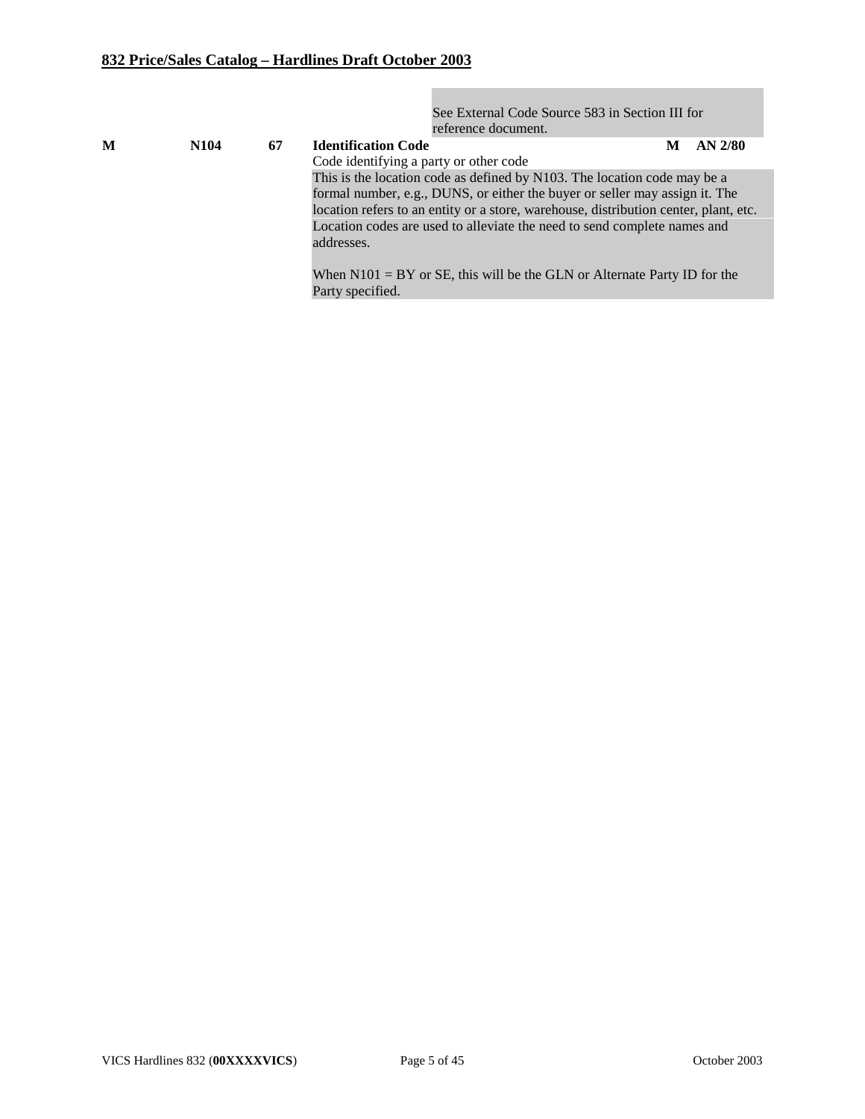See External Code Source 583 in Section III for reference document.

| M | N <sub>104</sub> | 67 | <b>Identification Code</b>                                                           | M | $AN$ 2/80 |
|---|------------------|----|--------------------------------------------------------------------------------------|---|-----------|
|   |                  |    | Code identifying a party or other code                                               |   |           |
|   |                  |    | This is the location code as defined by N103. The location code may be a             |   |           |
|   |                  |    | formal number, e.g., DUNS, or either the buyer or seller may assign it. The          |   |           |
|   |                  |    | location refers to an entity or a store, warehouse, distribution center, plant, etc. |   |           |
|   |                  |    | Location codes are used to alleviate the need to send complete names and             |   |           |
|   |                  |    | addresses.                                                                           |   |           |
|   |                  |    |                                                                                      |   |           |
|   |                  |    | When $N101 = BY$ or SE, this will be the GLN or Alternate Party ID for the           |   |           |
|   |                  |    | Party specified.                                                                     |   |           |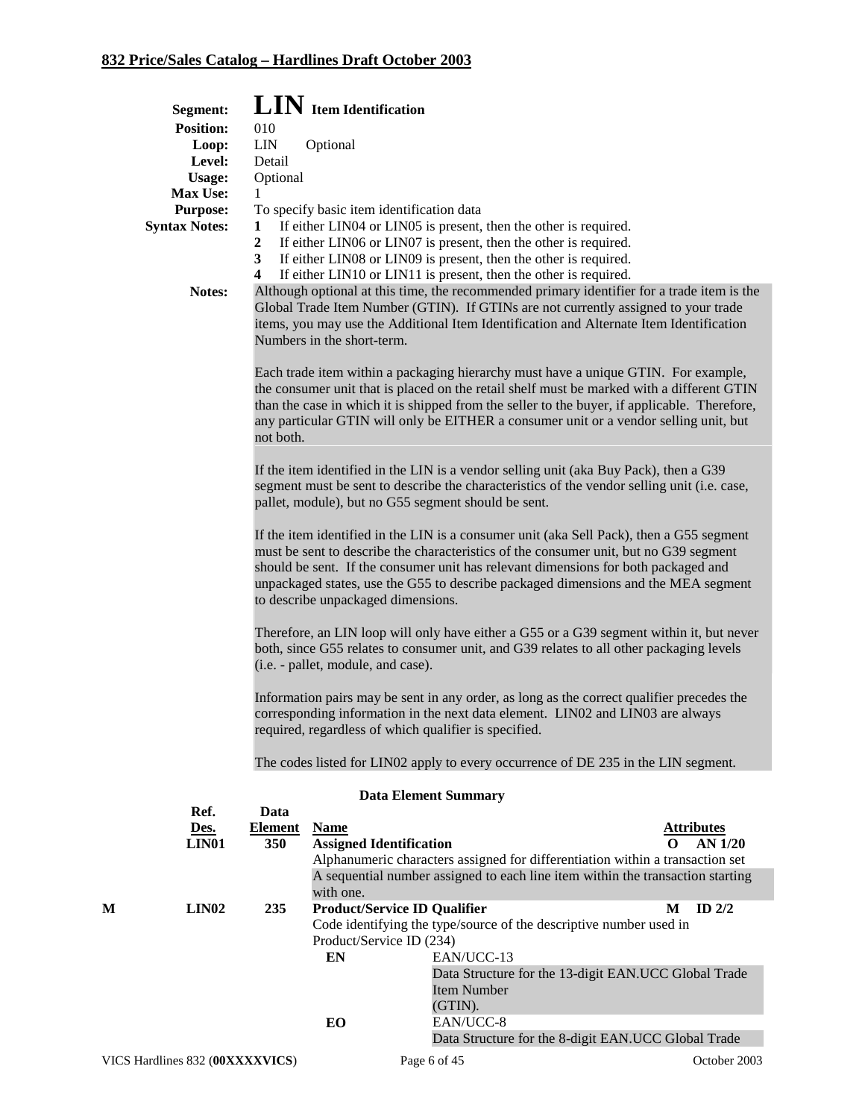|   | Segment:                        |                                 | LIN Item Identification                                         |                                                                                                                                                                                                                                                                                                                                                                          |                                          |
|---|---------------------------------|---------------------------------|-----------------------------------------------------------------|--------------------------------------------------------------------------------------------------------------------------------------------------------------------------------------------------------------------------------------------------------------------------------------------------------------------------------------------------------------------------|------------------------------------------|
|   | <b>Position:</b>                | 010                             |                                                                 |                                                                                                                                                                                                                                                                                                                                                                          |                                          |
|   | Loop:                           | <b>LIN</b>                      | Optional                                                        |                                                                                                                                                                                                                                                                                                                                                                          |                                          |
|   | Level:                          | Detail                          |                                                                 |                                                                                                                                                                                                                                                                                                                                                                          |                                          |
|   | Usage:                          | Optional                        |                                                                 |                                                                                                                                                                                                                                                                                                                                                                          |                                          |
|   | Max Use:                        | 1                               |                                                                 |                                                                                                                                                                                                                                                                                                                                                                          |                                          |
|   | <b>Purpose:</b>                 |                                 | To specify basic item identification data                       |                                                                                                                                                                                                                                                                                                                                                                          |                                          |
|   | <b>Syntax Notes:</b>            | 1<br>$\boldsymbol{2}$<br>3<br>4 |                                                                 | If either LIN04 or LIN05 is present, then the other is required.<br>If either LIN06 or LIN07 is present, then the other is required.<br>If either LIN08 or LIN09 is present, then the other is required.<br>If either LIN10 or LIN11 is present, then the other is required.                                                                                             |                                          |
|   | Notes:                          |                                 | Numbers in the short-term.                                      | Although optional at this time, the recommended primary identifier for a trade item is the<br>Global Trade Item Number (GTIN). If GTINs are not currently assigned to your trade<br>items, you may use the Additional Item Identification and Alternate Item Identification                                                                                              |                                          |
|   |                                 | not both.                       |                                                                 | Each trade item within a packaging hierarchy must have a unique GTIN. For example,<br>the consumer unit that is placed on the retail shelf must be marked with a different GTIN<br>than the case in which it is shipped from the seller to the buyer, if applicable. Therefore,<br>any particular GTIN will only be EITHER a consumer unit or a vendor selling unit, but |                                          |
|   |                                 |                                 |                                                                 | If the item identified in the LIN is a vendor selling unit (aka Buy Pack), then a G39<br>segment must be sent to describe the characteristics of the vendor selling unit (i.e. case,<br>pallet, module), but no G55 segment should be sent.                                                                                                                              |                                          |
|   |                                 |                                 | to describe unpackaged dimensions.                              | If the item identified in the LIN is a consumer unit (aka Sell Pack), then a G55 segment<br>must be sent to describe the characteristics of the consumer unit, but no G39 segment<br>should be sent. If the consumer unit has relevant dimensions for both packaged and<br>unpackaged states, use the G55 to describe packaged dimensions and the MEA segment            |                                          |
|   |                                 |                                 | (i.e. - pallet, module, and case).                              | Therefore, an LIN loop will only have either a G55 or a G39 segment within it, but never<br>both, since G55 relates to consumer unit, and G39 relates to all other packaging levels                                                                                                                                                                                      |                                          |
|   |                                 |                                 |                                                                 | Information pairs may be sent in any order, as long as the correct qualifier precedes the<br>corresponding information in the next data element. LIN02 and LIN03 are always<br>required, regardless of which qualifier is specified.                                                                                                                                     |                                          |
|   |                                 |                                 |                                                                 | The codes listed for LIN02 apply to every occurrence of DE 235 in the LIN segment.                                                                                                                                                                                                                                                                                       |                                          |
|   |                                 |                                 |                                                                 | <b>Data Element Summary</b>                                                                                                                                                                                                                                                                                                                                              |                                          |
|   | Ref.                            | Data                            |                                                                 |                                                                                                                                                                                                                                                                                                                                                                          |                                          |
|   | Des.<br><b>LIN01</b>            | <b>Element</b>                  | <b>Name</b>                                                     |                                                                                                                                                                                                                                                                                                                                                                          | <b>Attributes</b><br>$\Omega$<br>AN 1/20 |
|   |                                 | 350                             | <b>Assigned Identification</b>                                  | Alphanumeric characters assigned for differentiation within a transaction set                                                                                                                                                                                                                                                                                            |                                          |
|   |                                 |                                 | with one.                                                       | A sequential number assigned to each line item within the transaction starting                                                                                                                                                                                                                                                                                           |                                          |
| М | LIN02                           | 235                             | <b>Product/Service ID Qualifier</b><br>Product/Service ID (234) | Code identifying the type/source of the descriptive number used in                                                                                                                                                                                                                                                                                                       | ID $2/2$<br>M                            |
|   |                                 |                                 | EN<br>EO                                                        | EAN/UCC-13<br>Data Structure for the 13-digit EAN.UCC Global Trade<br><b>Item Number</b><br>(GTIN).<br>EAN/UCC-8                                                                                                                                                                                                                                                         |                                          |
|   |                                 |                                 |                                                                 | Data Structure for the 8-digit EAN.UCC Global Trade                                                                                                                                                                                                                                                                                                                      |                                          |
|   | VICS Hardlines 832 (00XXXXVICS) |                                 |                                                                 | Page 6 of 45                                                                                                                                                                                                                                                                                                                                                             | October 2003                             |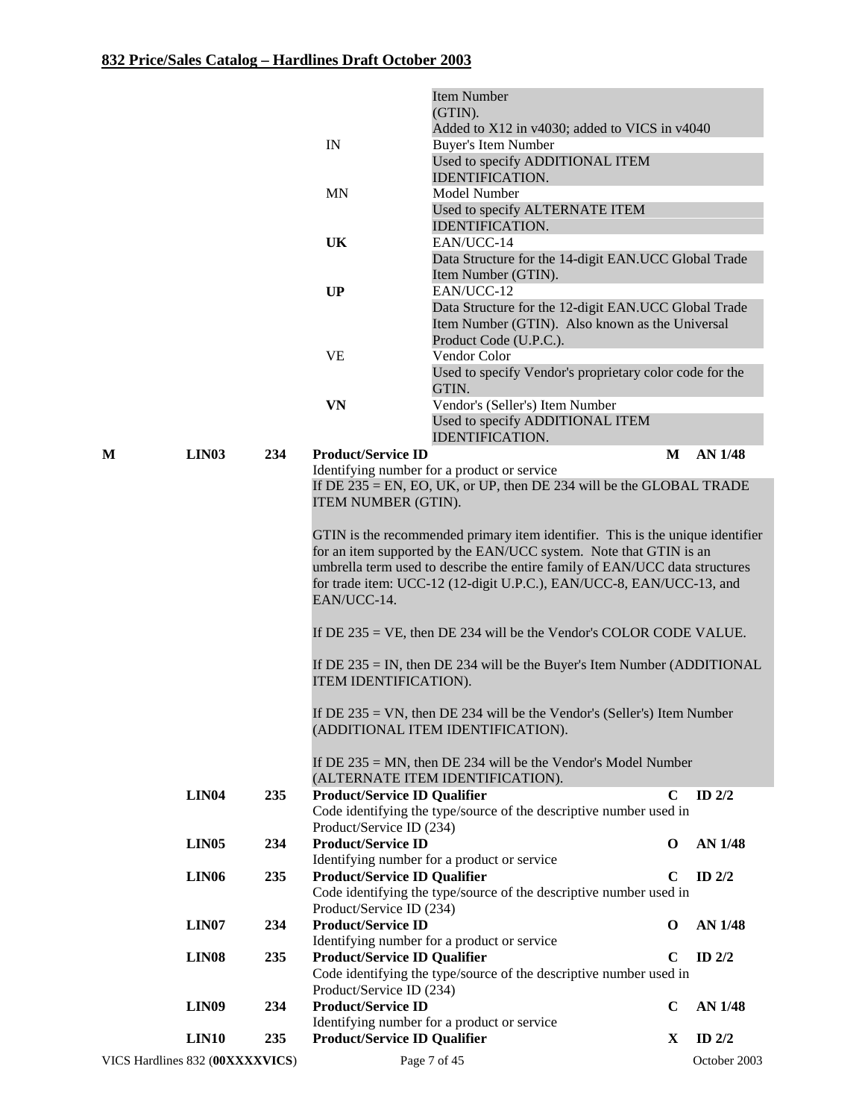|                                 |                   |     |                                     | <b>Item Number</b>                                                                                                                                  |             |              |
|---------------------------------|-------------------|-----|-------------------------------------|-----------------------------------------------------------------------------------------------------------------------------------------------------|-------------|--------------|
|                                 |                   |     |                                     | (GTIN).<br>Added to X12 in v4030; added to VICS in v4040                                                                                            |             |              |
|                                 |                   |     | IN                                  | <b>Buyer's Item Number</b>                                                                                                                          |             |              |
|                                 |                   |     |                                     | Used to specify ADDITIONAL ITEM<br><b>IDENTIFICATION.</b>                                                                                           |             |              |
|                                 |                   |     | MN                                  | Model Number                                                                                                                                        |             |              |
|                                 |                   |     |                                     | Used to specify ALTERNATE ITEM<br><b>IDENTIFICATION.</b>                                                                                            |             |              |
|                                 |                   |     | <b>UK</b>                           | EAN/UCC-14                                                                                                                                          |             |              |
|                                 |                   |     |                                     | Data Structure for the 14-digit EAN.UCC Global Trade                                                                                                |             |              |
|                                 |                   |     | UP                                  | Item Number (GTIN).<br>EAN/UCC-12                                                                                                                   |             |              |
|                                 |                   |     |                                     | Data Structure for the 12-digit EAN.UCC Global Trade<br>Item Number (GTIN). Also known as the Universal<br>Product Code (U.P.C.).                   |             |              |
|                                 |                   |     | <b>VE</b>                           | Vendor Color                                                                                                                                        |             |              |
|                                 |                   |     |                                     | Used to specify Vendor's proprietary color code for the<br>GTIN.                                                                                    |             |              |
|                                 |                   |     | <b>VN</b>                           | Vendor's (Seller's) Item Number<br>Used to specify ADDITIONAL ITEM<br><b>IDENTIFICATION.</b>                                                        |             |              |
| M                               | <b>LIN03</b>      | 234 | <b>Product/Service ID</b>           |                                                                                                                                                     | M           | AN 1/48      |
|                                 |                   |     |                                     | Identifying number for a product or service                                                                                                         |             |              |
|                                 |                   |     | ITEM NUMBER (GTIN).                 | If $DE$ 235 = EN, EO, UK, or UP, then DE 234 will be the GLOBAL TRADE                                                                               |             |              |
|                                 |                   |     |                                     | GTIN is the recommended primary item identifier. This is the unique identifier                                                                      |             |              |
|                                 |                   |     |                                     | for an item supported by the EAN/UCC system. Note that GTIN is an                                                                                   |             |              |
|                                 |                   |     | EAN/UCC-14.                         | umbrella term used to describe the entire family of EAN/UCC data structures<br>for trade item: UCC-12 (12-digit U.P.C.), EAN/UCC-8, EAN/UCC-13, and |             |              |
|                                 |                   |     |                                     | If $DE$ 235 = VE, then $DE$ 234 will be the Vendor's COLOR CODE VALUE.                                                                              |             |              |
|                                 |                   |     | ITEM IDENTIFICATION).               | If $DE$ 235 = IN, then $DE$ 234 will be the Buyer's Item Number (ADDITIONAL                                                                         |             |              |
|                                 |                   |     |                                     |                                                                                                                                                     |             |              |
|                                 |                   |     |                                     | If $DE 235 = VN$ , then $DE 234$ will be the Vendor's (Seller's) Item Number<br>(ADDITIONAL ITEM IDENTIFICATION).                                   |             |              |
|                                 |                   |     |                                     | If $DE$ 235 = MN, then $DE$ 234 will be the Vendor's Model Number                                                                                   |             |              |
|                                 |                   |     |                                     | (ALTERNATE ITEM IDENTIFICATION).                                                                                                                    |             |              |
|                                 | LIN <sub>04</sub> | 235 | <b>Product/Service ID Qualifier</b> | Code identifying the type/source of the descriptive number used in                                                                                  | $\mathbf C$ | ID $2/2$     |
|                                 |                   |     | Product/Service ID (234)            |                                                                                                                                                     |             |              |
|                                 | LIN <sub>05</sub> | 234 | <b>Product/Service ID</b>           |                                                                                                                                                     | $\mathbf 0$ | AN 1/48      |
|                                 |                   |     |                                     | Identifying number for a product or service                                                                                                         |             |              |
|                                 | <b>LIN06</b>      | 235 | <b>Product/Service ID Qualifier</b> | Code identifying the type/source of the descriptive number used in                                                                                  | C           | ID $2/2$     |
|                                 |                   |     | Product/Service ID (234)            |                                                                                                                                                     |             |              |
|                                 | LIN <sub>07</sub> | 234 | <b>Product/Service ID</b>           |                                                                                                                                                     | $\bf{0}$    | AN 1/48      |
|                                 |                   |     |                                     | Identifying number for a product or service                                                                                                         |             |              |
|                                 | LIN <sub>08</sub> | 235 | <b>Product/Service ID Qualifier</b> | Code identifying the type/source of the descriptive number used in                                                                                  | $\mathbf C$ | ID $2/2$     |
|                                 |                   |     | Product/Service ID (234)            |                                                                                                                                                     |             |              |
|                                 | <b>LIN09</b>      | 234 | <b>Product/Service ID</b>           |                                                                                                                                                     | $\mathbf C$ | AN 1/48      |
|                                 |                   |     |                                     | Identifying number for a product or service                                                                                                         |             |              |
|                                 | <b>LIN10</b>      | 235 | <b>Product/Service ID Qualifier</b> |                                                                                                                                                     | X           | ID $2/2$     |
| VICS Hardlines 832 (00XXXXVICS) |                   |     |                                     | Page 7 of 45                                                                                                                                        |             | October 2003 |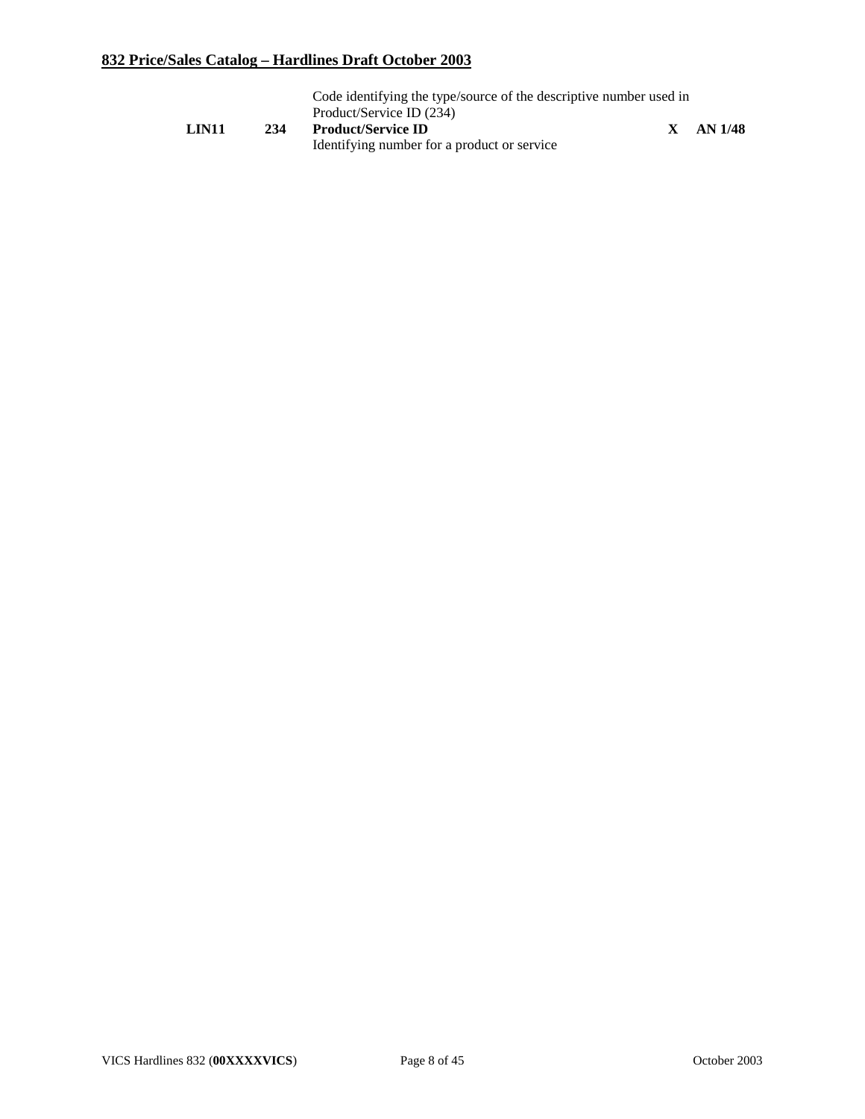|       |     | Code identifying the type/source of the descriptive number used in |         |
|-------|-----|--------------------------------------------------------------------|---------|
|       |     | Product/Service ID (234)                                           |         |
| LIN11 | 234 | <b>Product/Service ID</b>                                          | AN 1/48 |
|       |     | Identifying number for a product or service                        |         |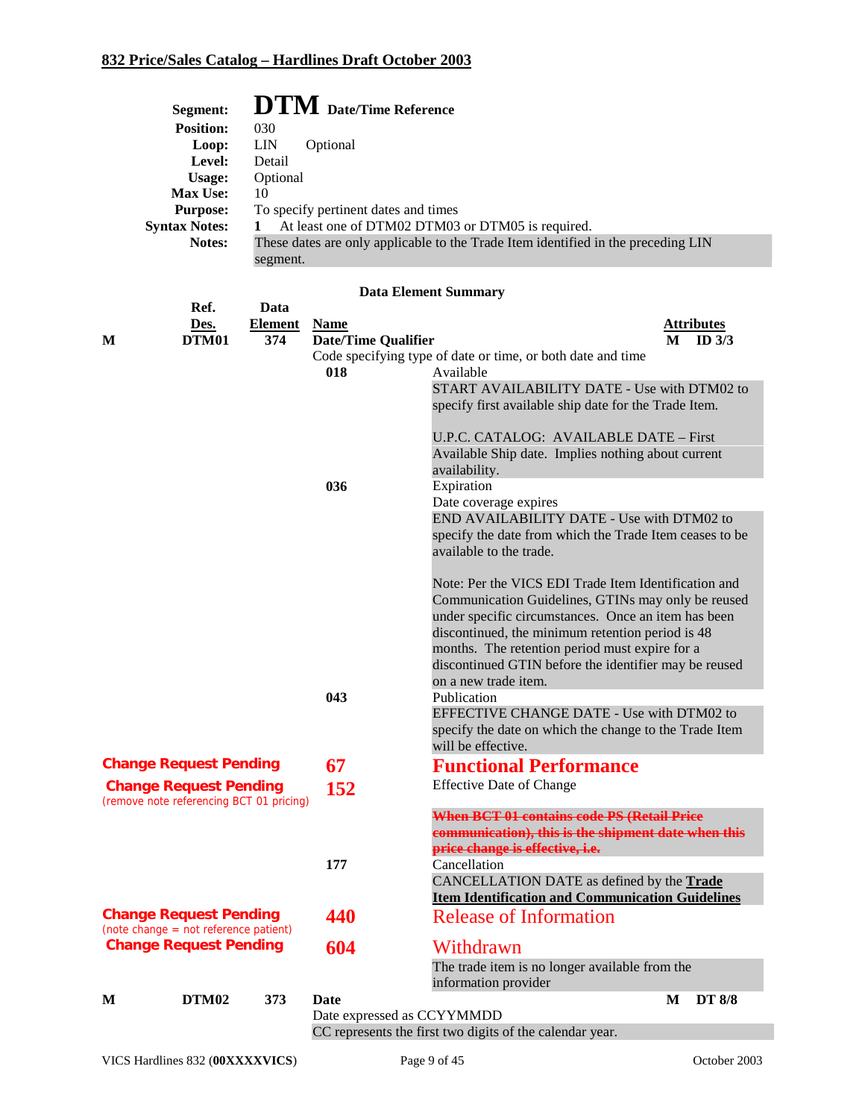| Segment:             | <b>DTM</b> Date/Time Reference                                                    |
|----------------------|-----------------------------------------------------------------------------------|
| <b>Position:</b>     | 030                                                                               |
| Loop:                | LIN<br>Optional                                                                   |
| Level:               | Detail                                                                            |
| Usage:               | Optional                                                                          |
| <b>Max Use:</b>      | 10                                                                                |
| <b>Purpose:</b>      | To specify pertinent dates and times                                              |
| <b>Syntax Notes:</b> | At least one of DTM02 DTM03 or DTM05 is required.                                 |
| <b>Notes:</b>        | These dates are only applicable to the Trade Item identified in the preceding LIN |
|                      | segment.                                                                          |

|   | Ref.                                     | Data    |                            |                                                                          |   |                   |
|---|------------------------------------------|---------|----------------------------|--------------------------------------------------------------------------|---|-------------------|
|   | Des.                                     | Element | <b>Name</b>                |                                                                          |   | <b>Attributes</b> |
| M | <b>DTM01</b>                             | 374     | <b>Date/Time Qualifier</b> |                                                                          | M | ID <sub>3/3</sub> |
|   |                                          |         | 018                        | Code specifying type of date or time, or both date and time<br>Available |   |                   |
|   |                                          |         |                            | START AVAILABILITY DATE - Use with DTM02 to                              |   |                   |
|   |                                          |         |                            | specify first available ship date for the Trade Item.                    |   |                   |
|   |                                          |         |                            |                                                                          |   |                   |
|   |                                          |         |                            | U.P.C. CATALOG: AVAILABLE DATE – First                                   |   |                   |
|   |                                          |         |                            | Available Ship date. Implies nothing about current                       |   |                   |
|   |                                          |         |                            | availability.                                                            |   |                   |
|   |                                          |         | 036                        | Expiration                                                               |   |                   |
|   |                                          |         |                            | Date coverage expires                                                    |   |                   |
|   |                                          |         |                            | END AVAILABILITY DATE - Use with DTM02 to                                |   |                   |
|   |                                          |         |                            | specify the date from which the Trade Item ceases to be                  |   |                   |
|   |                                          |         |                            | available to the trade.                                                  |   |                   |
|   |                                          |         |                            | Note: Per the VICS EDI Trade Item Identification and                     |   |                   |
|   |                                          |         |                            | Communication Guidelines, GTINs may only be reused                       |   |                   |
|   |                                          |         |                            | under specific circumstances. Once an item has been                      |   |                   |
|   |                                          |         |                            | discontinued, the minimum retention period is 48                         |   |                   |
|   |                                          |         |                            | months. The retention period must expire for a                           |   |                   |
|   |                                          |         |                            | discontinued GTIN before the identifier may be reused                    |   |                   |
|   |                                          |         |                            | on a new trade item.                                                     |   |                   |
|   |                                          |         | 043                        | Publication                                                              |   |                   |
|   |                                          |         |                            | EFFECTIVE CHANGE DATE - Use with DTM02 to                                |   |                   |
|   |                                          |         |                            | specify the date on which the change to the Trade Item                   |   |                   |
|   |                                          |         |                            | will be effective.                                                       |   |                   |
|   | <b>Change Request Pending</b>            |         | 67                         | <b>Functional Performance</b>                                            |   |                   |
|   | <b>Change Request Pending</b>            |         | 152                        | <b>Effective Date of Change</b>                                          |   |                   |
|   | (remove note referencing BCT 01 pricing) |         |                            | <b>When BCT 01 contains code PS (Retail Price</b>                        |   |                   |
|   |                                          |         |                            | communication), this is the shipment date when this                      |   |                   |
|   |                                          |         |                            | price change is effective, i.e.                                          |   |                   |
|   |                                          |         | 177                        | Cancellation                                                             |   |                   |
|   |                                          |         |                            | CANCELLATION DATE as defined by the Trade                                |   |                   |
|   |                                          |         |                            | <b>Item Identification and Communication Guidelines</b>                  |   |                   |
|   | <b>Change Request Pending</b>            |         | 440                        | <b>Release of Information</b>                                            |   |                   |
|   | $(note change = not reference patient)$  |         |                            |                                                                          |   |                   |
|   | <b>Change Request Pending</b>            |         | 604                        | Withdrawn                                                                |   |                   |
|   |                                          |         |                            | The trade item is no longer available from the                           |   |                   |
|   |                                          |         |                            | information provider                                                     |   |                   |
| M | DTM <sub>02</sub>                        | 373     | Date                       |                                                                          | M | <b>DT 8/8</b>     |
|   |                                          |         | Date expressed as CCYYMMDD | CC represents the first two digits of the calendar year.                 |   |                   |
|   |                                          |         |                            |                                                                          |   |                   |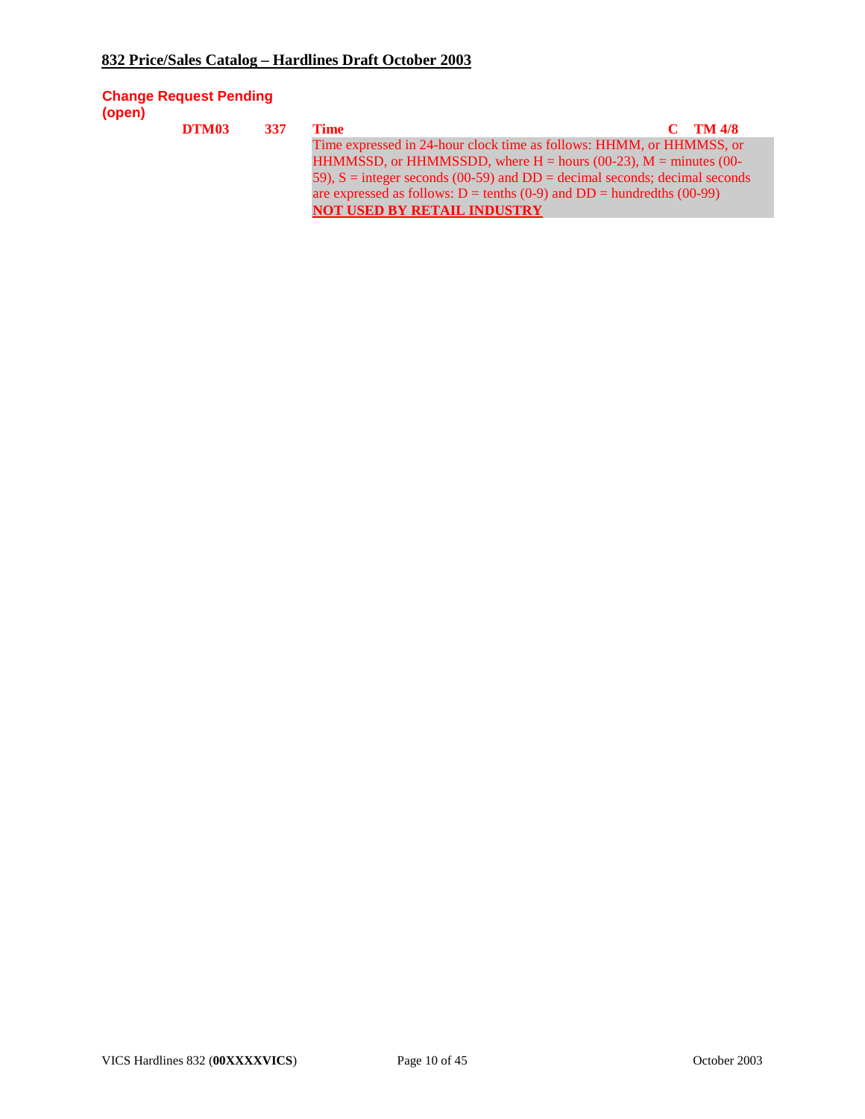#### **Change Request Pending (open)**

| DTM03 | 337 | Time                                                                           | $C$ TM 4/8 |
|-------|-----|--------------------------------------------------------------------------------|------------|
|       |     | Time expressed in 24-hour clock time as follows: HHMM, or HHMMSS, or           |            |
|       |     | HHMMSSD, or HHMMSSDD, where $H =$ hours (00-23), $M =$ minutes (00-            |            |
|       |     | 59), $S =$ integer seconds (00-59) and $DD =$ decimal seconds; decimal seconds |            |
|       |     |                                                                                |            |
|       |     | <b>NOT USED BY RETAIL INDUSTRY</b>                                             |            |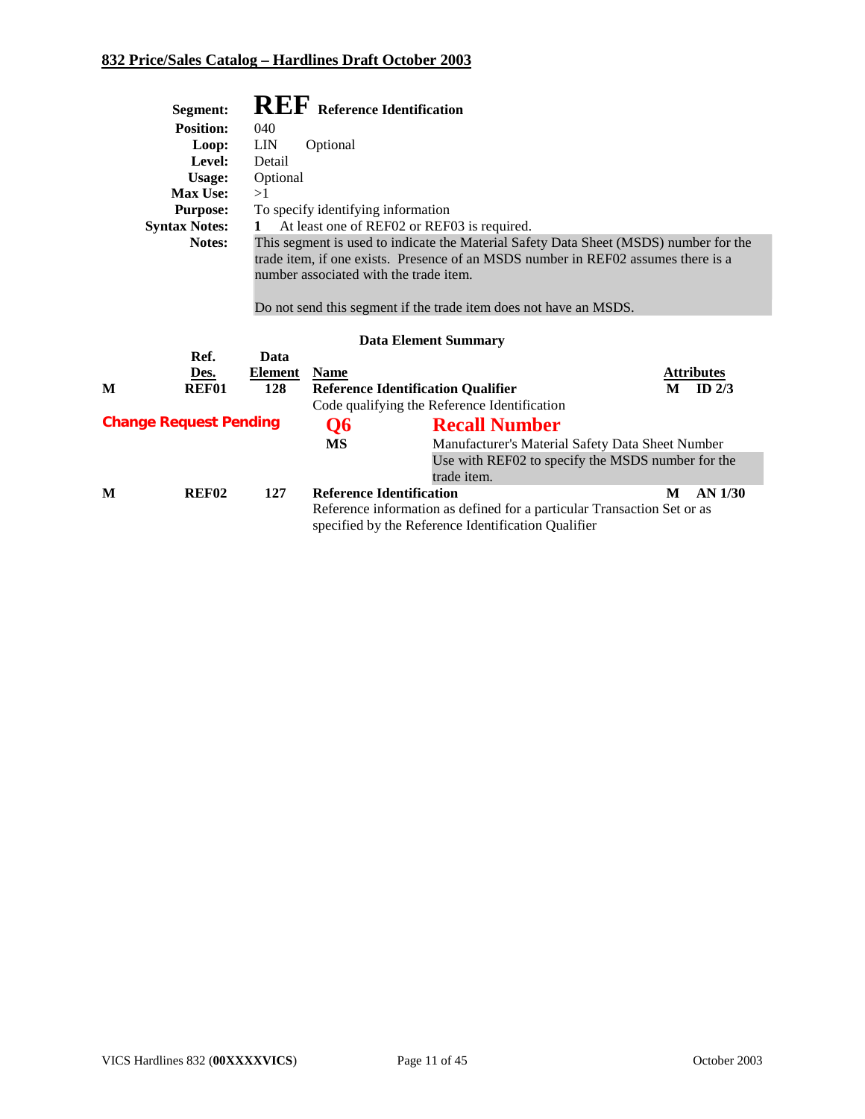|   | Segment:                      |            |                                    | <b>REF</b> Reference Identification                                                                                                                                                                                                                                                                                      |                   |  |  |  |  |
|---|-------------------------------|------------|------------------------------------|--------------------------------------------------------------------------------------------------------------------------------------------------------------------------------------------------------------------------------------------------------------------------------------------------------------------------|-------------------|--|--|--|--|
|   | <b>Position:</b>              | 040        |                                    |                                                                                                                                                                                                                                                                                                                          |                   |  |  |  |  |
|   | Loop:                         | <b>LIN</b> | Optional                           |                                                                                                                                                                                                                                                                                                                          |                   |  |  |  |  |
|   | Level:                        | Detail     |                                    |                                                                                                                                                                                                                                                                                                                          |                   |  |  |  |  |
|   | Usage:                        | Optional   |                                    |                                                                                                                                                                                                                                                                                                                          |                   |  |  |  |  |
|   | <b>Max Use:</b>               | >1         |                                    |                                                                                                                                                                                                                                                                                                                          |                   |  |  |  |  |
|   | <b>Purpose:</b>               |            | To specify identifying information |                                                                                                                                                                                                                                                                                                                          |                   |  |  |  |  |
|   | <b>Syntax Notes:</b>          | 1          |                                    | At least one of REF02 or REF03 is required.                                                                                                                                                                                                                                                                              |                   |  |  |  |  |
|   | Notes:<br>Ref.                | Data       |                                    | This segment is used to indicate the Material Safety Data Sheet (MSDS) number for the<br>trade item, if one exists. Presence of an MSDS number in REF02 assumes there is a<br>number associated with the trade item.<br>Do not send this segment if the trade item does not have an MSDS.<br><b>Data Element Summary</b> |                   |  |  |  |  |
|   | Des.                          | Element    | <b>Name</b>                        |                                                                                                                                                                                                                                                                                                                          | <b>Attributes</b> |  |  |  |  |
| М | <b>REF01</b>                  | 128        |                                    | <b>Reference Identification Qualifier</b>                                                                                                                                                                                                                                                                                | ID $2/3$<br>M     |  |  |  |  |
|   |                               |            |                                    | Code qualifying the Reference Identification                                                                                                                                                                                                                                                                             |                   |  |  |  |  |
|   | <b>Change Request Pending</b> |            | Q6                                 | <b>Recall Number</b>                                                                                                                                                                                                                                                                                                     |                   |  |  |  |  |
|   |                               |            | MS                                 | Manufacturer's Material Safety Data Sheet Number                                                                                                                                                                                                                                                                         |                   |  |  |  |  |
|   |                               |            |                                    | Use with REF02 to specify the MSDS number for the<br>trade item.                                                                                                                                                                                                                                                         |                   |  |  |  |  |
| М | <b>REF02</b>                  | 127        | <b>Reference Identification</b>    |                                                                                                                                                                                                                                                                                                                          | M<br>$AN$ 1/30    |  |  |  |  |
|   |                               |            |                                    | Reference information as defined for a particular Transaction Set or as<br>specified by the Reference Identification Qualifier                                                                                                                                                                                           |                   |  |  |  |  |

VICS Hardlines 832 (OOXXXXVICS) Page 11 of 45 October 2003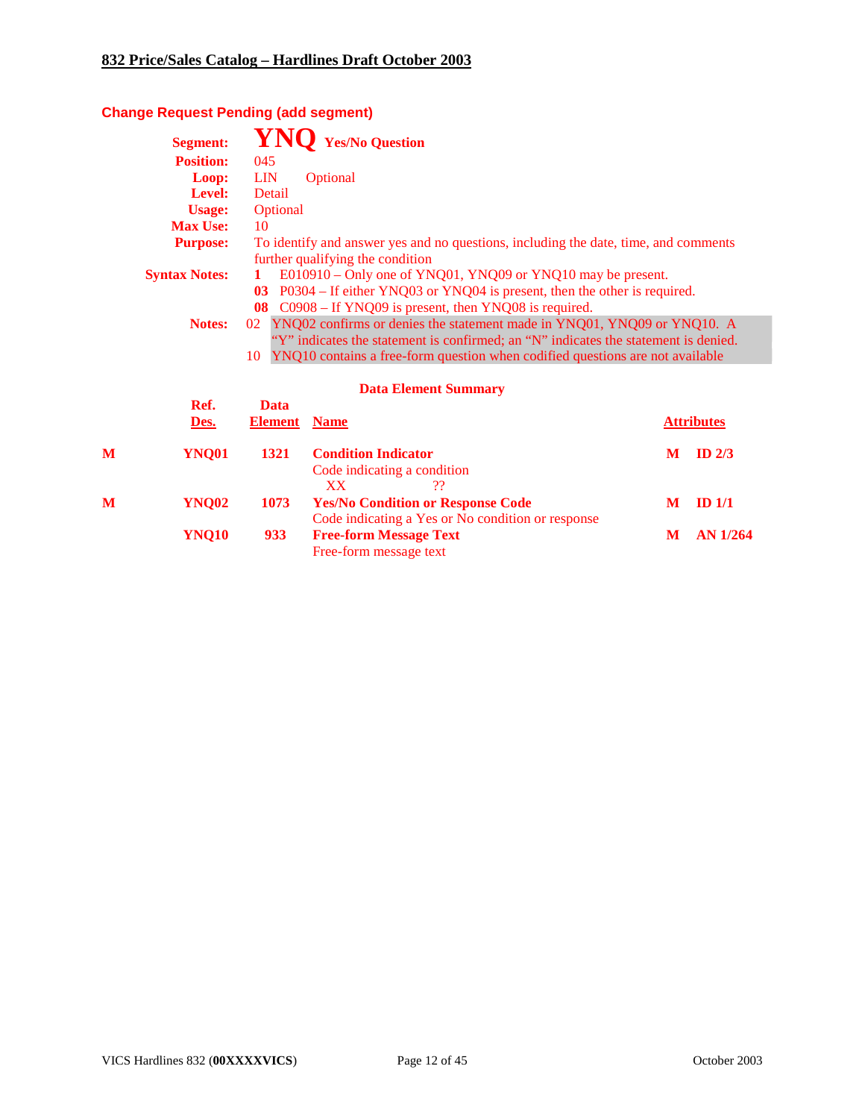# **Change Request Pending (add segment)**

|   | <b>Segment:</b>      |                                                                                                                                                                                                                                                          | <b>Yes/No Question</b>                                                                                                                                                                          |   |                   |  |  |  |  |
|---|----------------------|----------------------------------------------------------------------------------------------------------------------------------------------------------------------------------------------------------------------------------------------------------|-------------------------------------------------------------------------------------------------------------------------------------------------------------------------------------------------|---|-------------------|--|--|--|--|
|   | <b>Position:</b>     | 045                                                                                                                                                                                                                                                      |                                                                                                                                                                                                 |   |                   |  |  |  |  |
|   | Loop:                | <b>LIN</b>                                                                                                                                                                                                                                               | Optional                                                                                                                                                                                        |   |                   |  |  |  |  |
|   | Level:               | Detail                                                                                                                                                                                                                                                   |                                                                                                                                                                                                 |   |                   |  |  |  |  |
|   | <b>Usage:</b>        | Optional                                                                                                                                                                                                                                                 |                                                                                                                                                                                                 |   |                   |  |  |  |  |
|   | <b>Max Use:</b>      | 10                                                                                                                                                                                                                                                       |                                                                                                                                                                                                 |   |                   |  |  |  |  |
|   | <b>Purpose:</b>      |                                                                                                                                                                                                                                                          | To identify and answer yes and no questions, including the date, time, and comments<br>further qualifying the condition                                                                         |   |                   |  |  |  |  |
|   | <b>Syntax Notes:</b> | 1<br>$\mathbf{03}$<br>08                                                                                                                                                                                                                                 | E010910 – Only one of YNQ01, YNQ09 or YNQ10 may be present.<br>P0304 – If either YNQ03 or YNQ04 is present, then the other is required.<br>C0908 – If YNQ09 is present, then YNQ08 is required. |   |                   |  |  |  |  |
|   | Notes:               | 02 YNQ02 confirms or denies the statement made in YNQ01, YNQ09 or YNQ10. A<br>"Y" indicates the statement is confirmed; an "N" indicates the statement is denied.<br>YNQ10 contains a free-form question when codified questions are not available<br>10 |                                                                                                                                                                                                 |   |                   |  |  |  |  |
|   |                      |                                                                                                                                                                                                                                                          | <b>Data Element Summary</b>                                                                                                                                                                     |   |                   |  |  |  |  |
|   | Ref.                 | <b>Data</b>                                                                                                                                                                                                                                              |                                                                                                                                                                                                 |   |                   |  |  |  |  |
|   | Des.                 | <b>Element</b>                                                                                                                                                                                                                                           | <b>Name</b>                                                                                                                                                                                     |   | <b>Attributes</b> |  |  |  |  |
| М | <b>YNQ01</b>         | 1321                                                                                                                                                                                                                                                     | <b>Condition Indicator</b><br>Code indicating a condition<br><b>XX</b><br>??                                                                                                                    | M | ID <sub>2/3</sub> |  |  |  |  |
| М | <b>YNQ02</b>         | 1073                                                                                                                                                                                                                                                     | <b>Yes/No Condition or Response Code</b><br>Code indicating a Yes or No condition or response                                                                                                   | M | ID <sub>1/1</sub> |  |  |  |  |
|   | <b>YNQ10</b>         | 933                                                                                                                                                                                                                                                      | <b>Free-form Message Text</b><br>Free-form message text                                                                                                                                         | M | $AN$ 1/264        |  |  |  |  |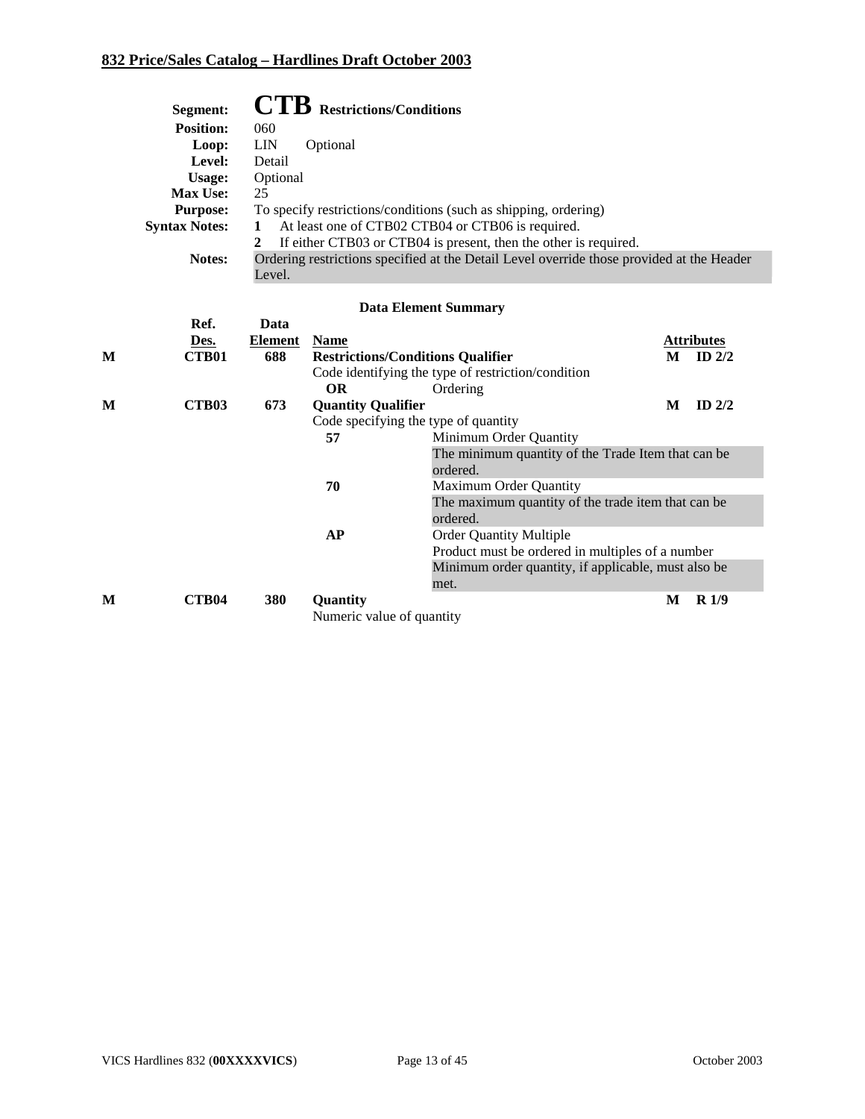| Segment:             | <b>CTB</b> Restrictions/Conditions                                                        |
|----------------------|-------------------------------------------------------------------------------------------|
| <b>Position:</b>     | 060                                                                                       |
| Loop:                | <b>LIN</b><br>Optional                                                                    |
| Level:               | Detail                                                                                    |
| Usage:               | Optional                                                                                  |
| Max Use:             | 25                                                                                        |
| <b>Purpose:</b>      | To specify restrictions/conditions (such as shipping, ordering)                           |
| <b>Syntax Notes:</b> | At least one of CTB02 CTB04 or CTB06 is required.                                         |
|                      | If either CTB03 or CTB04 is present, then the other is required.                          |
| <b>Notes:</b>        | Ordering restrictions specified at the Detail Level override those provided at the Header |
|                      | Level.                                                                                    |

|   |              |                |                                          | <b>Data Element Summary</b>                         |   |                  |
|---|--------------|----------------|------------------------------------------|-----------------------------------------------------|---|------------------|
|   | Ref.         | Data           |                                          |                                                     |   |                  |
|   | Des.         | <b>Element</b> | <b>Name</b>                              |                                                     |   | Attributes       |
| M | <b>CTB01</b> | 688            | <b>Restrictions/Conditions Qualifier</b> |                                                     | M | ID $2/2$         |
|   |              |                |                                          | Code identifying the type of restriction/condition  |   |                  |
|   |              |                | <b>OR</b>                                | Ordering                                            |   |                  |
| M | <b>CTB03</b> | 673            | <b>Quantity Qualifier</b>                |                                                     | M | $ID$ 2/2         |
|   |              |                | Code specifying the type of quantity     |                                                     |   |                  |
|   |              |                | 57                                       | Minimum Order Quantity                              |   |                  |
|   |              |                |                                          | The minimum quantity of the Trade Item that can be  |   |                  |
|   |              |                |                                          | ordered.                                            |   |                  |
|   |              |                | 70                                       | Maximum Order Quantity                              |   |                  |
|   |              |                |                                          | The maximum quantity of the trade item that can be  |   |                  |
|   |              |                |                                          | ordered.                                            |   |                  |
|   |              |                | AP                                       | <b>Order Quantity Multiple</b>                      |   |                  |
|   |              |                |                                          | Product must be ordered in multiples of a number    |   |                  |
|   |              |                |                                          | Minimum order quantity, if applicable, must also be |   |                  |
|   |              |                |                                          | met.                                                |   |                  |
| M | <b>CTB04</b> | 380            | Quantity                                 |                                                     | M | R <sub>1/9</sub> |
|   |              |                | Numeric value of quantity                |                                                     |   |                  |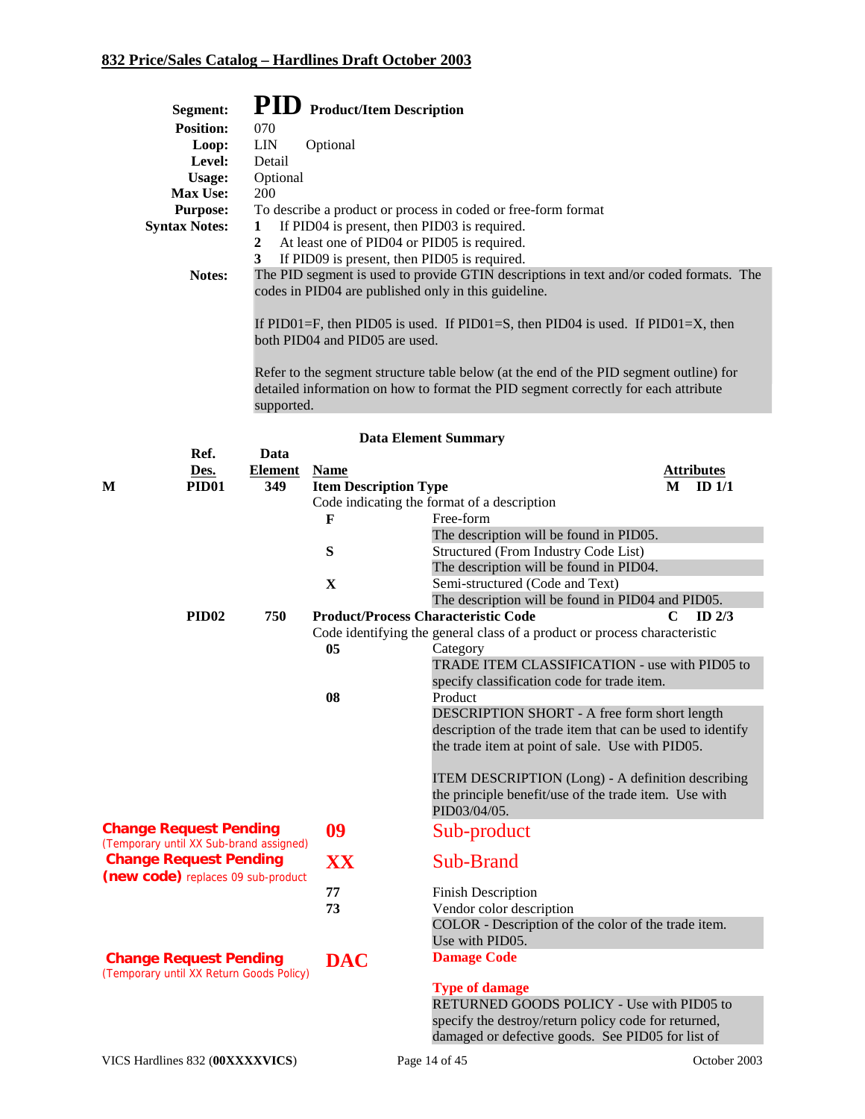| Segment:             | <b>PID</b> Product/Item Description                                                                                                            |
|----------------------|------------------------------------------------------------------------------------------------------------------------------------------------|
| <b>Position:</b>     | 070                                                                                                                                            |
| Loop:                | <b>LIN</b><br>Optional                                                                                                                         |
| Level:               | Detail                                                                                                                                         |
| Usage:               | Optional                                                                                                                                       |
| <b>Max Use:</b>      | 200                                                                                                                                            |
| <b>Purpose:</b>      | To describe a product or process in coded or free-form format                                                                                  |
| <b>Syntax Notes:</b> | If PID04 is present, then PID03 is required.<br>1                                                                                              |
|                      | At least one of PID04 or PID05 is required.<br>$\mathbf{2}$                                                                                    |
|                      | If PID09 is present, then PID05 is required.<br>3                                                                                              |
| Notes:               | The PID segment is used to provide GTIN descriptions in text and/or coded formats. The<br>codes in PID04 are published only in this guideline. |
|                      | If PID01=F, then PID05 is used. If PID01=S, then PID04 is used. If PID01=X, then<br>both PID04 and PID05 are used.                             |

Refer to the segment structure table below (at the end of the PID segment outline) for detailed information on how to format the PID segment correctly for each attribute supported.

|  | <b>Data Element Summary</b> |  |
|--|-----------------------------|--|
|--|-----------------------------|--|

|                                          | Ref.                          | Data           |                                             |                                                                           |   |                   |
|------------------------------------------|-------------------------------|----------------|---------------------------------------------|---------------------------------------------------------------------------|---|-------------------|
|                                          | Des.                          | <b>Element</b> | <b>Name</b>                                 |                                                                           |   | <b>Attributes</b> |
| M                                        | <b>PID01</b>                  | 349            | <b>Item Description Type</b>                |                                                                           | M | ID <sub>1/1</sub> |
|                                          |                               |                | Code indicating the format of a description |                                                                           |   |                   |
|                                          |                               |                | F                                           | Free-form                                                                 |   |                   |
|                                          |                               |                |                                             | The description will be found in PID05.                                   |   |                   |
|                                          |                               |                | ${\bf S}$                                   | Structured (From Industry Code List)                                      |   |                   |
|                                          |                               |                |                                             | The description will be found in PID04.                                   |   |                   |
|                                          |                               |                | X                                           | Semi-structured (Code and Text)                                           |   |                   |
|                                          |                               |                |                                             | The description will be found in PID04 and PID05.                         |   |                   |
|                                          | PID <sub>02</sub>             | 750            |                                             | <b>Product/Process Characteristic Code</b>                                | C | $ID$ $2/3$        |
|                                          |                               |                |                                             | Code identifying the general class of a product or process characteristic |   |                   |
|                                          |                               |                | 05                                          | Category                                                                  |   |                   |
|                                          |                               |                |                                             | TRADE ITEM CLASSIFICATION - use with PID05 to                             |   |                   |
|                                          |                               |                |                                             | specify classification code for trade item.                               |   |                   |
|                                          |                               |                | 08                                          | Product                                                                   |   |                   |
|                                          |                               |                |                                             | DESCRIPTION SHORT - A free form short length                              |   |                   |
|                                          |                               |                |                                             | description of the trade item that can be used to identify                |   |                   |
|                                          |                               |                |                                             | the trade item at point of sale. Use with PID05.                          |   |                   |
|                                          |                               |                |                                             |                                                                           |   |                   |
|                                          |                               |                |                                             | ITEM DESCRIPTION (Long) - A definition describing                         |   |                   |
|                                          |                               |                |                                             | the principle benefit/use of the trade item. Use with                     |   |                   |
|                                          |                               |                |                                             | PID03/04/05.                                                              |   |                   |
| <b>Change Request Pending</b>            |                               |                | 09                                          | Sub-product                                                               |   |                   |
| (Temporary until XX Sub-brand assigned)  |                               |                |                                             |                                                                           |   |                   |
|                                          | <b>Change Request Pending</b> |                | XX                                          | Sub-Brand                                                                 |   |                   |
| (new code) replaces 09 sub-product       |                               |                |                                             |                                                                           |   |                   |
|                                          |                               |                | 77                                          | <b>Finish Description</b>                                                 |   |                   |
|                                          |                               |                | 73                                          | Vendor color description                                                  |   |                   |
|                                          |                               |                |                                             | COLOR - Description of the color of the trade item.                       |   |                   |
|                                          |                               |                |                                             | Use with PID05.                                                           |   |                   |
| (Temporary until XX Return Goods Policy) | <b>Change Request Pending</b> |                | <b>DAC</b>                                  | <b>Damage Code</b>                                                        |   |                   |
|                                          |                               |                |                                             | <b>Type of damage</b>                                                     |   |                   |
|                                          |                               |                |                                             | RETURNED GOODS POLICY - Use with PID05 to                                 |   |                   |
|                                          |                               |                |                                             | specify the destroy/return policy code for returned,                      |   |                   |
|                                          |                               |                |                                             | damaged or defective goods. See PID05 for list of                         |   |                   |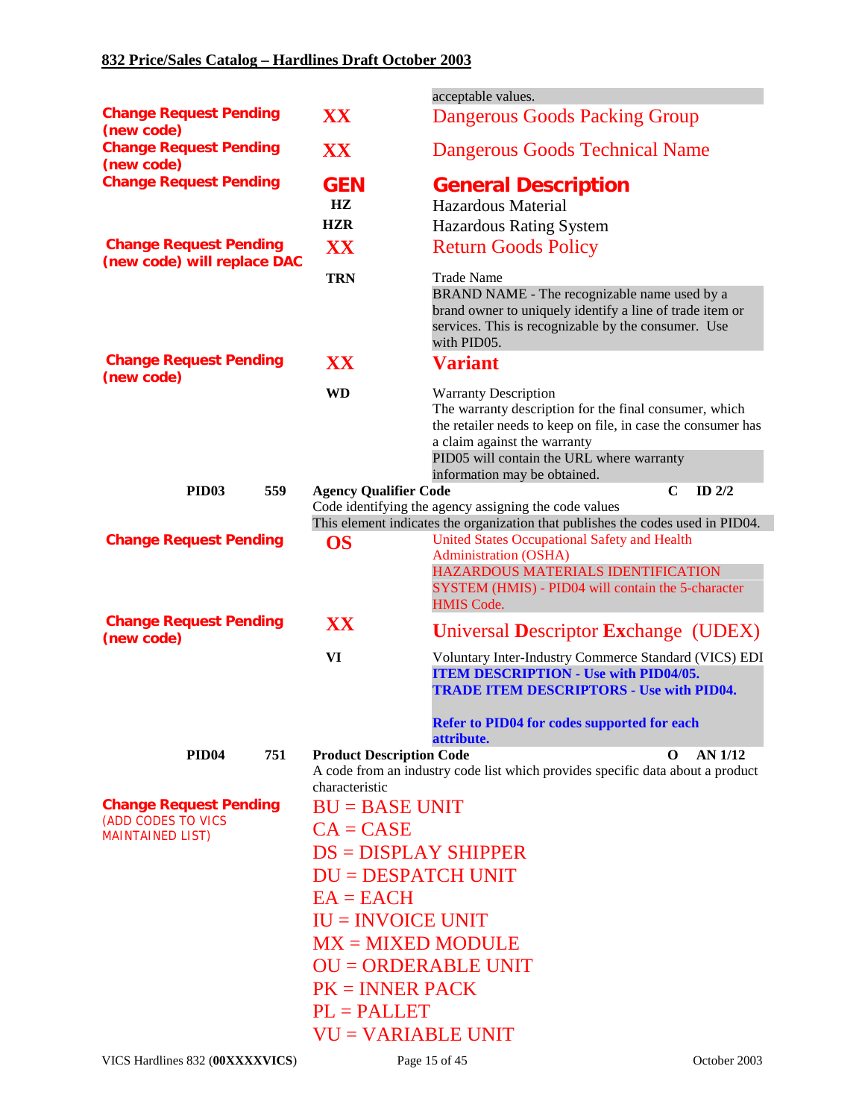|                                                              |                                 | acceptable values.                                                                                                                                                                                                                                                 |
|--------------------------------------------------------------|---------------------------------|--------------------------------------------------------------------------------------------------------------------------------------------------------------------------------------------------------------------------------------------------------------------|
| <b>Change Request Pending</b><br>(new code)                  | XX                              | <b>Dangerous Goods Packing Group</b>                                                                                                                                                                                                                               |
| <b>Change Request Pending</b><br>(new code)                  | XX                              | <b>Dangerous Goods Technical Name</b>                                                                                                                                                                                                                              |
| <b>Change Request Pending</b>                                | <b>GEN</b>                      | <b>General Description</b>                                                                                                                                                                                                                                         |
|                                                              | HZ.                             | Hazardous Material                                                                                                                                                                                                                                                 |
|                                                              | <b>HZR</b>                      | <b>Hazardous Rating System</b>                                                                                                                                                                                                                                     |
| <b>Change Request Pending</b><br>(new code) will replace DAC | XX                              | <b>Return Goods Policy</b>                                                                                                                                                                                                                                         |
|                                                              | <b>TRN</b>                      | <b>Trade Name</b><br>BRAND NAME - The recognizable name used by a<br>brand owner to uniquely identify a line of trade item or<br>services. This is recognizable by the consumer. Use<br>with PID05.                                                                |
| <b>Change Request Pending</b><br>(new code)                  | XX                              | <b>Variant</b>                                                                                                                                                                                                                                                     |
|                                                              | <b>WD</b>                       | <b>Warranty Description</b><br>The warranty description for the final consumer, which<br>the retailer needs to keep on file, in case the consumer has<br>a claim against the warranty<br>PID05 will contain the URL where warranty<br>information may be obtained. |
| PID <sub>03</sub><br>559                                     | <b>Agency Qualifier Code</b>    | $\mathbf C$<br>ID $2/2$                                                                                                                                                                                                                                            |
|                                                              |                                 | Code identifying the agency assigning the code values<br>This element indicates the organization that publishes the codes used in PID04.                                                                                                                           |
| <b>Change Request Pending</b>                                | <b>OS</b>                       | <b>United States Occupational Safety and Health</b><br>Administration (OSHA)<br>HAZARDOUS MATERIALS IDENTIFICATION<br>SYSTEM (HMIS) - PID04 will contain the 5-character<br><b>HMIS Code.</b>                                                                      |
| <b>Change Request Pending</b><br>(new code)                  | XX                              | <b>Universal Descriptor Exchange (UDEX)</b>                                                                                                                                                                                                                        |
|                                                              | VI                              | Voluntary Inter-Industry Commerce Standard (VICS) EDI<br><b>ITEM DESCRIPTION - Use with PID04/05.</b><br><b>TRADE ITEM DESCRIPTORS - Use with PID04.</b><br><b>Refer to PID04 for codes supported for each</b><br>attribute.                                       |
| 751<br>PID <sub>04</sub>                                     | <b>Product Description Code</b> | O<br><b>AN 1/12</b>                                                                                                                                                                                                                                                |
|                                                              | characteristic                  | A code from an industry code list which provides specific data about a product                                                                                                                                                                                     |
| <b>Change Request Pending</b>                                | $BU = BASE UNIT$                |                                                                                                                                                                                                                                                                    |
| (ADD CODES TO VICS                                           | $CA = CASE$                     |                                                                                                                                                                                                                                                                    |
| <b>MAINTAINED LIST)</b>                                      | $DS = DISPLAN SHIPPER$          |                                                                                                                                                                                                                                                                    |
|                                                              | <b>DU = DESPATCH UNIT</b>       |                                                                                                                                                                                                                                                                    |
|                                                              | $EA = EACH$                     |                                                                                                                                                                                                                                                                    |
|                                                              | $IU = INVOICE UNIT$             |                                                                                                                                                                                                                                                                    |
|                                                              | $MX = MIXED MODEL$              |                                                                                                                                                                                                                                                                    |
|                                                              | <b>OU = ORDERABLE UNIT</b>      |                                                                                                                                                                                                                                                                    |
|                                                              | $PK = INNER$ PACK               |                                                                                                                                                                                                                                                                    |
|                                                              | $PL = PALLET$                   |                                                                                                                                                                                                                                                                    |
|                                                              | <b>VU = VARIABLE UNIT</b>       |                                                                                                                                                                                                                                                                    |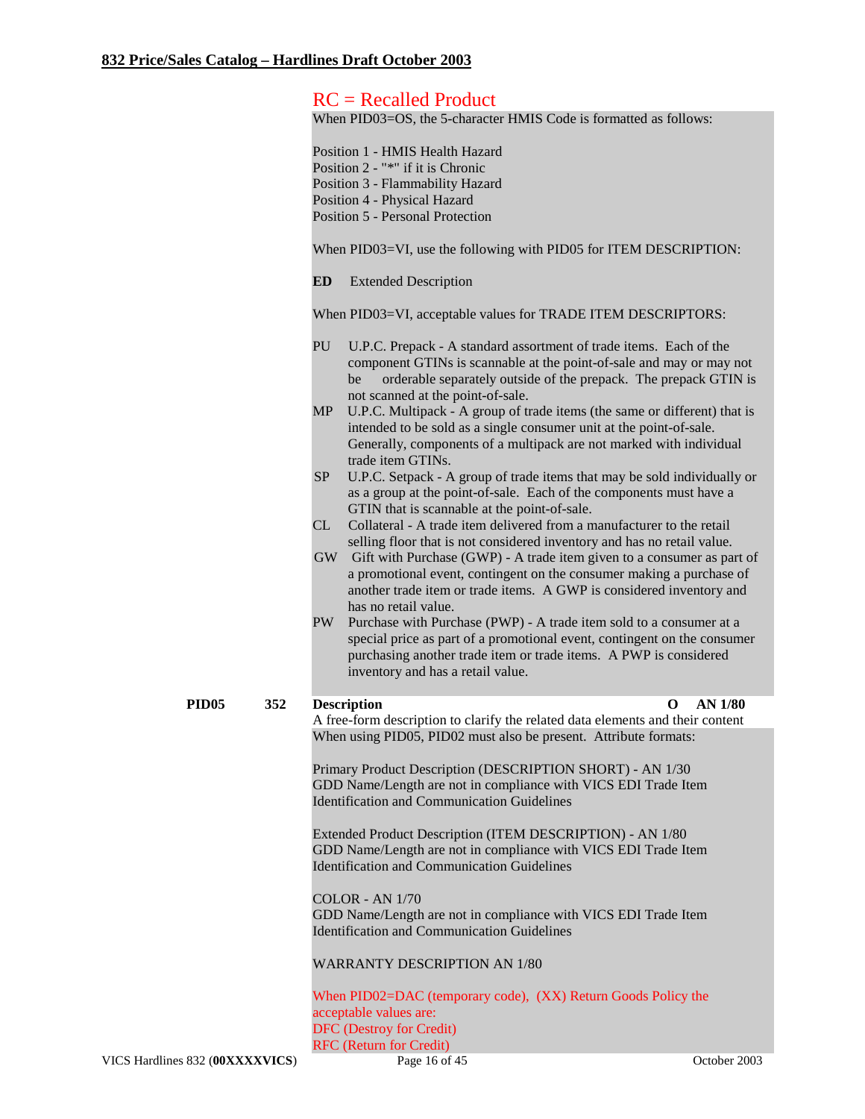# RC = Recalled Product

When PID03=OS, the 5-character HMIS Code is formatted as follows:

|                          | Position 1 - HMIS Health Hazard<br>Position 2 - "*" if it is Chronic<br>Position 3 - Flammability Hazard<br>Position 4 - Physical Hazard<br><b>Position 5 - Personal Protection</b><br>When PID03=VI, use the following with PID05 for ITEM DESCRIPTION:                                                                                                                                                                                                                                                                                                                                                                                                                                                                                                                                                                                                                                                                                                                                                                                                                                                                                                                                                                                                                                                                                                                                                                                                                                |
|--------------------------|-----------------------------------------------------------------------------------------------------------------------------------------------------------------------------------------------------------------------------------------------------------------------------------------------------------------------------------------------------------------------------------------------------------------------------------------------------------------------------------------------------------------------------------------------------------------------------------------------------------------------------------------------------------------------------------------------------------------------------------------------------------------------------------------------------------------------------------------------------------------------------------------------------------------------------------------------------------------------------------------------------------------------------------------------------------------------------------------------------------------------------------------------------------------------------------------------------------------------------------------------------------------------------------------------------------------------------------------------------------------------------------------------------------------------------------------------------------------------------------------|
|                          | ED<br><b>Extended Description</b>                                                                                                                                                                                                                                                                                                                                                                                                                                                                                                                                                                                                                                                                                                                                                                                                                                                                                                                                                                                                                                                                                                                                                                                                                                                                                                                                                                                                                                                       |
|                          |                                                                                                                                                                                                                                                                                                                                                                                                                                                                                                                                                                                                                                                                                                                                                                                                                                                                                                                                                                                                                                                                                                                                                                                                                                                                                                                                                                                                                                                                                         |
|                          | When PID03=VI, acceptable values for TRADE ITEM DESCRIPTORS:<br>PU<br>U.P.C. Prepack - A standard assortment of trade items. Each of the<br>component GTINs is scannable at the point-of-sale and may or may not<br>orderable separately outside of the prepack. The prepack GTIN is<br>be<br>not scanned at the point-of-sale.<br>U.P.C. Multipack - A group of trade items (the same or different) that is<br>MP<br>intended to be sold as a single consumer unit at the point-of-sale.<br>Generally, components of a multipack are not marked with individual<br>trade item GTINs.<br><b>SP</b><br>U.P.C. Setpack - A group of trade items that may be sold individually or<br>as a group at the point-of-sale. Each of the components must have a<br>GTIN that is scannable at the point-of-sale.<br>Collateral - A trade item delivered from a manufacturer to the retail<br>CL<br>selling floor that is not considered inventory and has no retail value.<br>GW Gift with Purchase (GWP) - A trade item given to a consumer as part of<br>a promotional event, contingent on the consumer making a purchase of<br>another trade item or trade items. A GWP is considered inventory and<br>has no retail value.<br>Purchase with Purchase (PWP) - A trade item sold to a consumer at a<br>PW<br>special price as part of a promotional event, contingent on the consumer<br>purchasing another trade item or trade items. A PWP is considered<br>inventory and has a retail value. |
| PID <sub>05</sub><br>352 | <b>Description</b><br><b>AN 1/80</b><br>O<br>A free-form description to clarify the related data elements and their content                                                                                                                                                                                                                                                                                                                                                                                                                                                                                                                                                                                                                                                                                                                                                                                                                                                                                                                                                                                                                                                                                                                                                                                                                                                                                                                                                             |
|                          | When using PID05, PID02 must also be present. Attribute formats:<br>Primary Product Description (DESCRIPTION SHORT) - AN 1/30<br>GDD Name/Length are not in compliance with VICS EDI Trade Item<br><b>Identification and Communication Guidelines</b><br>Extended Product Description (ITEM DESCRIPTION) - AN 1/80<br>GDD Name/Length are not in compliance with VICS EDI Trade Item<br><b>Identification and Communication Guidelines</b><br><b>COLOR - AN 1/70</b><br>GDD Name/Length are not in compliance with VICS EDI Trade Item<br><b>Identification and Communication Guidelines</b><br><b>WARRANTY DESCRIPTION AN 1/80</b><br>When PID02=DAC (temporary code), (XX) Return Goods Policy the<br>acceptable values are:<br><b>DFC</b> (Destroy for Credit)<br><b>RFC</b> (Return for Credit)                                                                                                                                                                                                                                                                                                                                                                                                                                                                                                                                                                                                                                                                                     |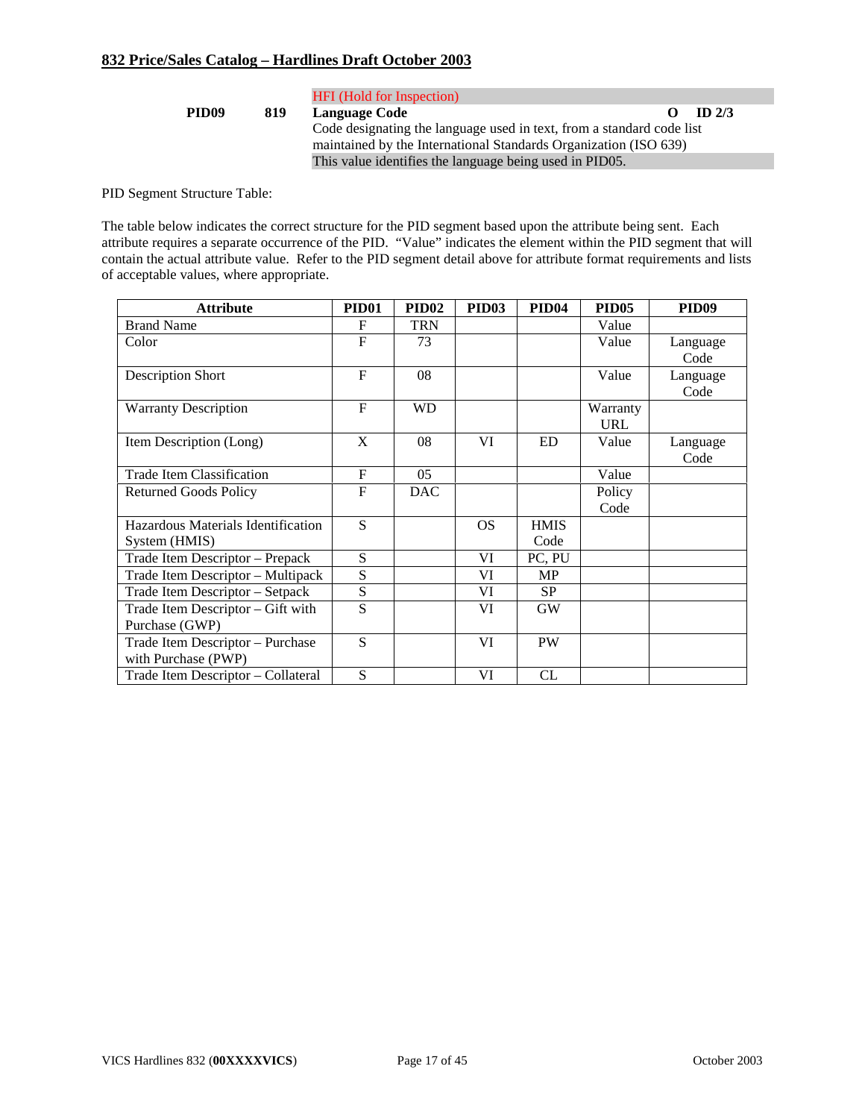|                   |     | <b>HFI</b> (Hold for Inspection)                                      |           |                   |
|-------------------|-----|-----------------------------------------------------------------------|-----------|-------------------|
| PID <sub>09</sub> | 819 | <b>Language Code</b>                                                  | $\bullet$ | ID <sub>2/3</sub> |
|                   |     | Code designating the language used in text, from a standard code list |           |                   |
|                   |     | maintained by the International Standards Organization (ISO 639)      |           |                   |
|                   |     | This value identifies the language being used in PID05.               |           |                   |

PID Segment Structure Table:

The table below indicates the correct structure for the PID segment based upon the attribute being sent. Each attribute requires a separate occurrence of the PID. "Value" indicates the element within the PID segment that will contain the actual attribute value. Refer to the PID segment detail above for attribute format requirements and lists of acceptable values, where appropriate.

| <b>Attribute</b>                   | <b>PID01</b> | PID <sub>02</sub> | PID <sub>03</sub> | <b>PID04</b> | <b>PID05</b> | PID <sub>09</sub> |
|------------------------------------|--------------|-------------------|-------------------|--------------|--------------|-------------------|
| <b>Brand Name</b>                  | F            | <b>TRN</b>        |                   |              | Value        |                   |
| Color                              | $\mathbf{F}$ | 73                |                   |              | Value        | Language          |
|                                    |              |                   |                   |              |              | Code              |
| <b>Description Short</b>           | $\mathbf F$  | 08                |                   |              | Value        | Language          |
|                                    |              |                   |                   |              |              | Code              |
| <b>Warranty Description</b>        | $\mathbf{F}$ | <b>WD</b>         |                   |              | Warranty     |                   |
|                                    |              |                   |                   |              | <b>URL</b>   |                   |
| Item Description (Long)            | X            | 08                | VI                | <b>ED</b>    | Value        | Language          |
|                                    |              |                   |                   |              |              | Code              |
| <b>Trade Item Classification</b>   | $\mathbf{F}$ | 05                |                   |              | Value        |                   |
| <b>Returned Goods Policy</b>       | $\mathbf{F}$ | <b>DAC</b>        |                   |              | Policy       |                   |
|                                    |              |                   |                   |              | Code         |                   |
| Hazardous Materials Identification | S            |                   | <b>OS</b>         | <b>HMIS</b>  |              |                   |
| System (HMIS)                      |              |                   |                   | Code         |              |                   |
| Trade Item Descriptor - Prepack    | S            |                   | VI                | PC, PU       |              |                   |
| Trade Item Descriptor – Multipack  | S            |                   | VI                | <b>MP</b>    |              |                   |
| Trade Item Descriptor - Setpack    | S            |                   | VI                | <b>SP</b>    |              |                   |
| Trade Item Descriptor - Gift with  | S            |                   | VI                | <b>GW</b>    |              |                   |
| Purchase (GWP)                     |              |                   |                   |              |              |                   |
| Trade Item Descriptor - Purchase   | S            |                   | VI                | <b>PW</b>    |              |                   |
| with Purchase (PWP)                |              |                   |                   |              |              |                   |
| Trade Item Descriptor - Collateral | S            |                   | VI                | CL           |              |                   |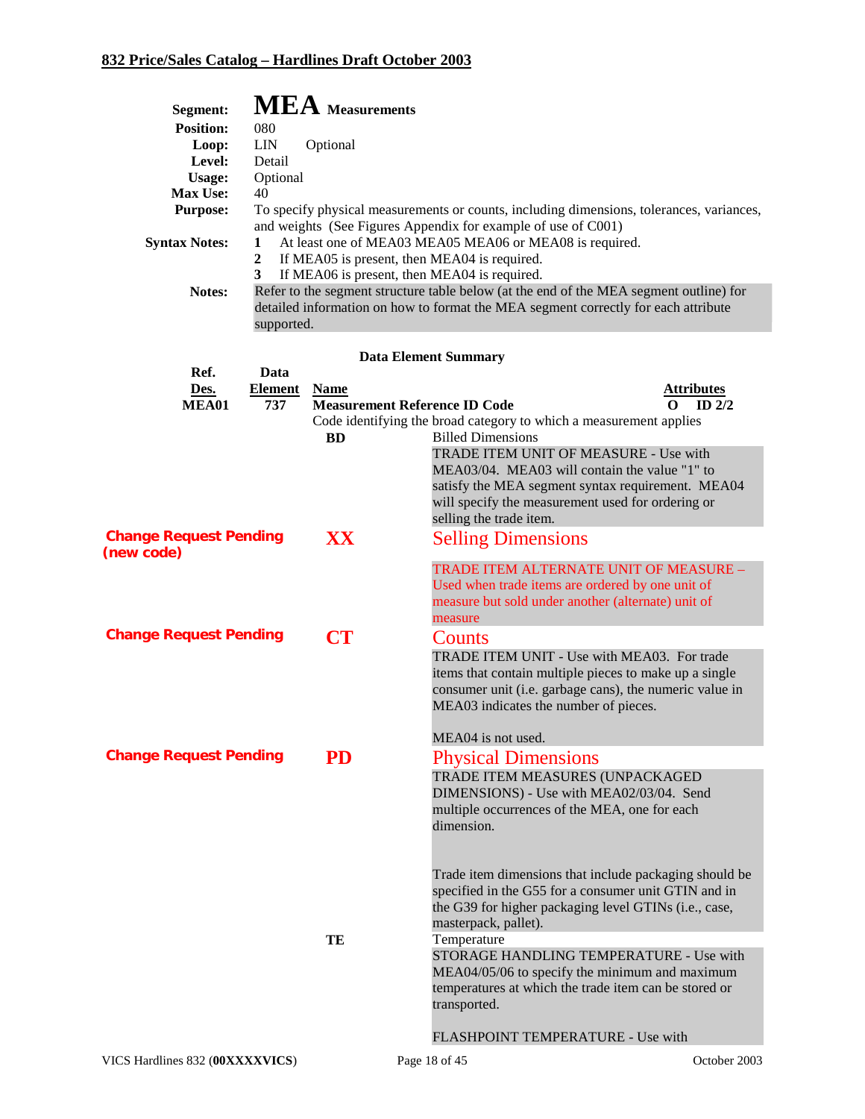| Segment:                      |                | <b>MEA</b> Measurements              |                                                                                                    |
|-------------------------------|----------------|--------------------------------------|----------------------------------------------------------------------------------------------------|
| <b>Position:</b>              | 080            |                                      |                                                                                                    |
| Loop:                         | <b>LIN</b>     | Optional                             |                                                                                                    |
| Level:                        | Detail         |                                      |                                                                                                    |
| Usage:                        | Optional       |                                      |                                                                                                    |
| Max Use:                      | 40             |                                      |                                                                                                    |
| <b>Purpose:</b>               |                |                                      | To specify physical measurements or counts, including dimensions, tolerances, variances,           |
|                               |                |                                      | and weights (See Figures Appendix for example of use of C001)                                      |
| <b>Syntax Notes:</b>          | 1              |                                      | At least one of MEA03 MEA05 MEA06 or MEA08 is required.                                            |
|                               | $\overline{2}$ |                                      | If MEA05 is present, then MEA04 is required.                                                       |
|                               | 3              |                                      | If MEA06 is present, then MEA04 is required.                                                       |
| Notes:                        |                |                                      | Refer to the segment structure table below (at the end of the MEA segment outline) for             |
|                               |                |                                      | detailed information on how to format the MEA segment correctly for each attribute                 |
|                               | supported.     |                                      |                                                                                                    |
|                               |                |                                      | <b>Data Element Summary</b>                                                                        |
| Ref.                          | Data           |                                      |                                                                                                    |
| Des.                          | <b>Element</b> | <b>Name</b>                          | <b>Attributes</b>                                                                                  |
| <b>MEA01</b>                  | 737            | <b>Measurement Reference ID Code</b> | $ID$ $2/2$<br>0                                                                                    |
|                               |                |                                      | Code identifying the broad category to which a measurement applies                                 |
|                               |                | <b>BD</b>                            | <b>Billed Dimensions</b>                                                                           |
|                               |                |                                      | TRADE ITEM UNIT OF MEASURE - Use with                                                              |
|                               |                |                                      | MEA03/04. MEA03 will contain the value "1" to<br>satisfy the MEA segment syntax requirement. MEA04 |
|                               |                |                                      | will specify the measurement used for ordering or                                                  |
|                               |                |                                      | selling the trade item.                                                                            |
| <b>Change Request Pending</b> |                | XX                                   |                                                                                                    |
| (new code)                    |                |                                      | <b>Selling Dimensions</b>                                                                          |
|                               |                |                                      | TRADE ITEM ALTERNATE UNIT OF MEASURE -                                                             |
|                               |                |                                      | Used when trade items are ordered by one unit of                                                   |
|                               |                |                                      | measure but sold under another (alternate) unit of                                                 |
|                               |                |                                      | measure                                                                                            |
| <b>Change Request Pending</b> |                | <b>CT</b>                            | Counts                                                                                             |
|                               |                |                                      | TRADE ITEM UNIT - Use with MEA03. For trade                                                        |
|                               |                |                                      | items that contain multiple pieces to make up a single                                             |
|                               |                |                                      | consumer unit (i.e. garbage cans), the numeric value in                                            |
|                               |                |                                      | MEA03 indicates the number of pieces.                                                              |
|                               |                |                                      |                                                                                                    |
|                               |                |                                      | MEA04 is not used.                                                                                 |
| <b>Change Request Pending</b> |                | PD                                   | <b>Physical Dimensions</b>                                                                         |
|                               |                |                                      | TRADE ITEM MEASURES (UNPACKAGED                                                                    |
|                               |                |                                      | DIMENSIONS) - Use with MEA02/03/04. Send                                                           |
|                               |                |                                      | multiple occurrences of the MEA, one for each                                                      |
|                               |                |                                      | dimension.                                                                                         |
|                               |                |                                      |                                                                                                    |
|                               |                |                                      |                                                                                                    |
|                               |                |                                      | Trade item dimensions that include packaging should be                                             |
|                               |                |                                      | specified in the G55 for a consumer unit GTIN and in                                               |
|                               |                |                                      | the G39 for higher packaging level GTINs (i.e., case,                                              |
|                               |                |                                      | masterpack, pallet).                                                                               |
|                               |                | TE                                   | Temperature                                                                                        |
|                               |                |                                      | STORAGE HANDLING TEMPERATURE - Use with                                                            |
|                               |                |                                      | MEA04/05/06 to specify the minimum and maximum                                                     |
|                               |                |                                      | temperatures at which the trade item can be stored or                                              |
|                               |                |                                      | transported.                                                                                       |
|                               |                |                                      |                                                                                                    |
|                               |                |                                      | FLASHPOINT TEMPERATURE - Use with                                                                  |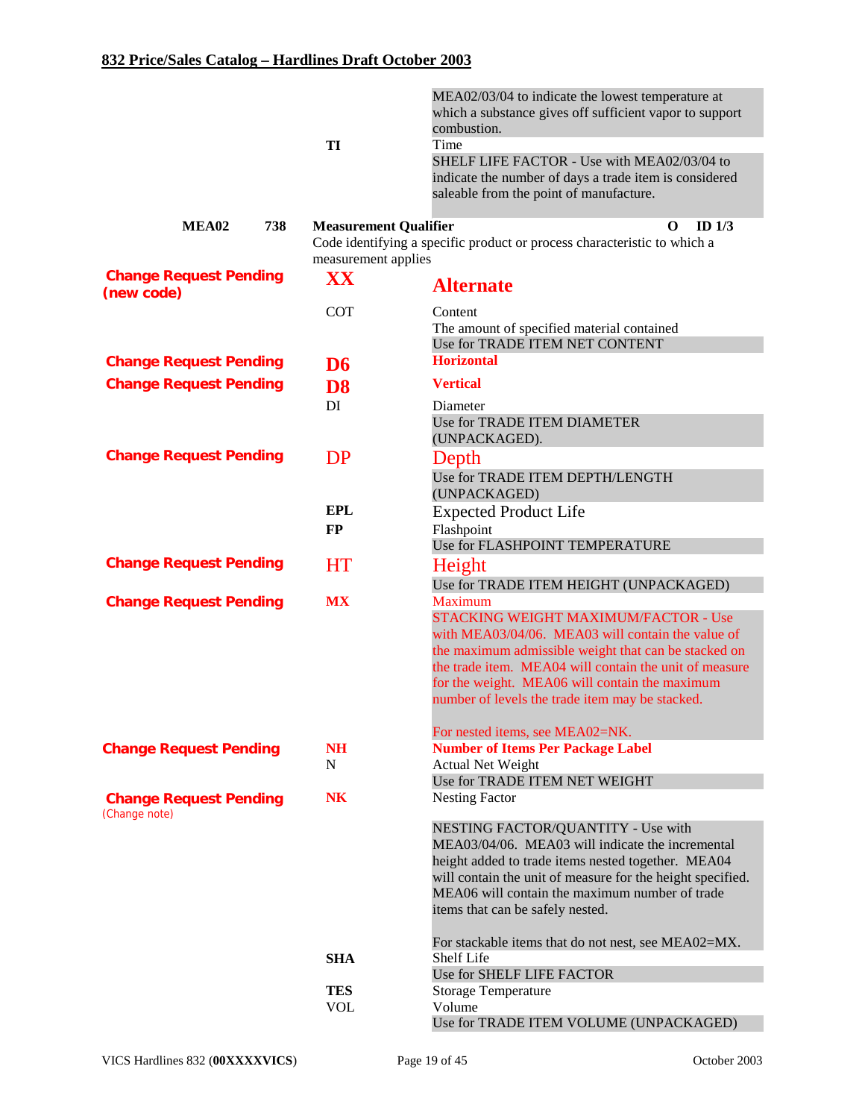|                                                | TI                                                  | MEA02/03/04 to indicate the lowest temperature at<br>which a substance gives off sufficient vapor to support<br>combustion.<br>Time<br>SHELF LIFE FACTOR - Use with MEA02/03/04 to<br>indicate the number of days a trade item is considered |
|------------------------------------------------|-----------------------------------------------------|----------------------------------------------------------------------------------------------------------------------------------------------------------------------------------------------------------------------------------------------|
|                                                |                                                     | saleable from the point of manufacture.                                                                                                                                                                                                      |
| MEA02<br>738                                   | <b>Measurement Qualifier</b><br>measurement applies | ID $1/3$<br>$\Omega$<br>Code identifying a specific product or process characteristic to which a                                                                                                                                             |
| <b>Change Request Pending</b><br>(new code)    | XX                                                  | <b>Alternate</b>                                                                                                                                                                                                                             |
|                                                | <b>COT</b>                                          | Content<br>The amount of specified material contained<br>Use for TRADE ITEM NET CONTENT                                                                                                                                                      |
| <b>Change Request Pending</b>                  | D <sub>6</sub>                                      | <b>Horizontal</b>                                                                                                                                                                                                                            |
| <b>Change Request Pending</b>                  | D <sub>8</sub>                                      | <b>Vertical</b>                                                                                                                                                                                                                              |
|                                                | DI                                                  | Diameter<br>Use for TRADE ITEM DIAMETER<br>(UNPACKAGED).                                                                                                                                                                                     |
| <b>Change Request Pending</b>                  | DP                                                  | Depth                                                                                                                                                                                                                                        |
|                                                |                                                     | Use for TRADE ITEM DEPTH/LENGTH<br>(UNPACKAGED)                                                                                                                                                                                              |
|                                                | <b>EPL</b>                                          | <b>Expected Product Life</b>                                                                                                                                                                                                                 |
|                                                | <b>FP</b>                                           | Flashpoint<br>Use for FLASHPOINT TEMPERATURE                                                                                                                                                                                                 |
| <b>Change Request Pending</b>                  | <b>HT</b>                                           | Height                                                                                                                                                                                                                                       |
|                                                |                                                     | Use for TRADE ITEM HEIGHT (UNPACKAGED)                                                                                                                                                                                                       |
| <b>Change Request Pending</b>                  | <b>MX</b>                                           | <b>Maximum</b>                                                                                                                                                                                                                               |
|                                                |                                                     | <b>STACKING WEIGHT MAXIMUM/FACTOR - Use</b>                                                                                                                                                                                                  |
|                                                |                                                     | with MEA03/04/06. MEA03 will contain the value of<br>the maximum admissible weight that can be stacked on                                                                                                                                    |
|                                                |                                                     | the trade item. MEA04 will contain the unit of measure                                                                                                                                                                                       |
|                                                |                                                     | for the weight. MEA06 will contain the maximum<br>number of levels the trade item may be stacked.                                                                                                                                            |
|                                                |                                                     |                                                                                                                                                                                                                                              |
| <b>Change Request Pending</b>                  | <b>NH</b>                                           | For nested items, see MEA02=NK.<br><b>Number of Items Per Package Label</b>                                                                                                                                                                  |
|                                                | N                                                   | <b>Actual Net Weight</b>                                                                                                                                                                                                                     |
|                                                |                                                     | Use for TRADE ITEM NET WEIGHT                                                                                                                                                                                                                |
| <b>Change Request Pending</b><br>(Change note) | N <sub>K</sub>                                      | <b>Nesting Factor</b>                                                                                                                                                                                                                        |
|                                                |                                                     | NESTING FACTOR/QUANTITY - Use with                                                                                                                                                                                                           |
|                                                |                                                     | MEA03/04/06. MEA03 will indicate the incremental                                                                                                                                                                                             |
|                                                |                                                     | height added to trade items nested together. MEA04<br>will contain the unit of measure for the height specified.                                                                                                                             |
|                                                |                                                     | MEA06 will contain the maximum number of trade                                                                                                                                                                                               |
|                                                |                                                     | items that can be safely nested.                                                                                                                                                                                                             |
|                                                |                                                     | For stackable items that do not nest, see MEA02=MX.                                                                                                                                                                                          |
|                                                | <b>SHA</b>                                          | Shelf Life                                                                                                                                                                                                                                   |
|                                                |                                                     | Use for SHELF LIFE FACTOR                                                                                                                                                                                                                    |
|                                                | <b>TES</b><br><b>VOL</b>                            | <b>Storage Temperature</b><br>Volume                                                                                                                                                                                                         |
|                                                |                                                     | Use for TRADE ITEM VOLUME (UNPACKAGED)                                                                                                                                                                                                       |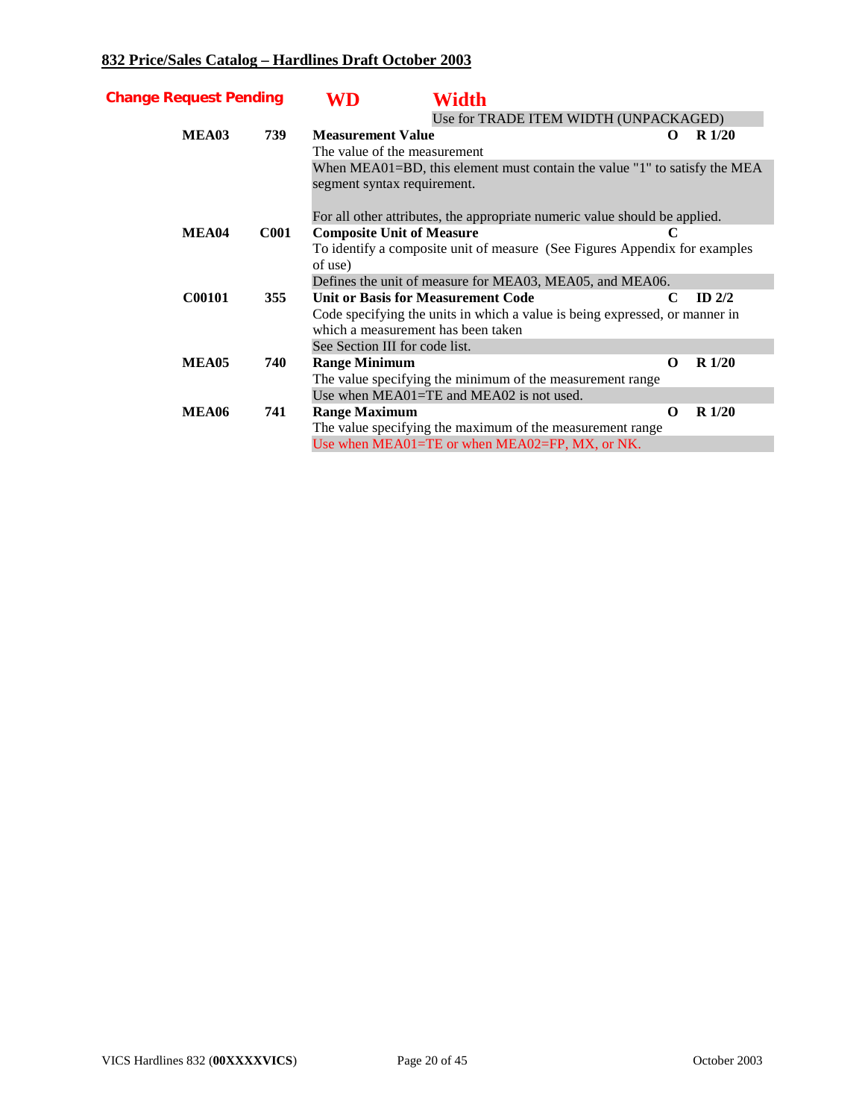| <b>Change Request Pending</b> |             | WD                                                                          | Width                                                                      |             |           |  |  |
|-------------------------------|-------------|-----------------------------------------------------------------------------|----------------------------------------------------------------------------|-------------|-----------|--|--|
|                               |             |                                                                             | Use for TRADE ITEM WIDTH (UNPACKAGED)                                      |             |           |  |  |
| MEA03                         | 739         | <b>Measurement Value</b>                                                    |                                                                            | O           | $R\ 1/20$ |  |  |
|                               |             | The value of the measurement                                                |                                                                            |             |           |  |  |
|                               |             |                                                                             | When MEA01=BD, this element must contain the value "1" to satisfy the MEA  |             |           |  |  |
|                               |             | segment syntax requirement.                                                 |                                                                            |             |           |  |  |
|                               |             |                                                                             | For all other attributes, the appropriate numeric value should be applied. |             |           |  |  |
| MEA04                         | <b>C001</b> | <b>Composite Unit of Measure</b>                                            |                                                                            | C           |           |  |  |
|                               |             |                                                                             | To identify a composite unit of measure (See Figures Appendix for examples |             |           |  |  |
|                               |             | of use)                                                                     |                                                                            |             |           |  |  |
|                               |             |                                                                             | Defines the unit of measure for MEA03, MEA05, and MEA06.                   |             |           |  |  |
| <b>C00101</b>                 | 355         |                                                                             | <b>Unit or Basis for Measurement Code</b>                                  | $\mathbf C$ | ID $2/2$  |  |  |
|                               |             | Code specifying the units in which a value is being expressed, or manner in |                                                                            |             |           |  |  |
|                               |             | which a measurement has been taken                                          |                                                                            |             |           |  |  |
|                               |             | See Section III for code list.                                              |                                                                            |             |           |  |  |
| MEA05                         | 740         | <b>Range Minimum</b>                                                        |                                                                            | $\Omega$    | $R\ 1/20$ |  |  |
|                               |             |                                                                             | The value specifying the minimum of the measurement range                  |             |           |  |  |
|                               |             |                                                                             | Use when MEA01=TE and MEA02 is not used.                                   |             |           |  |  |
| <b>MEA06</b>                  | 741         | <b>Range Maximum</b>                                                        |                                                                            | $\Omega$    | $R\ 1/20$ |  |  |
|                               |             |                                                                             | The value specifying the maximum of the measurement range                  |             |           |  |  |
|                               |             |                                                                             | Use when MEA01=TE or when MEA02=FP, MX, or NK.                             |             |           |  |  |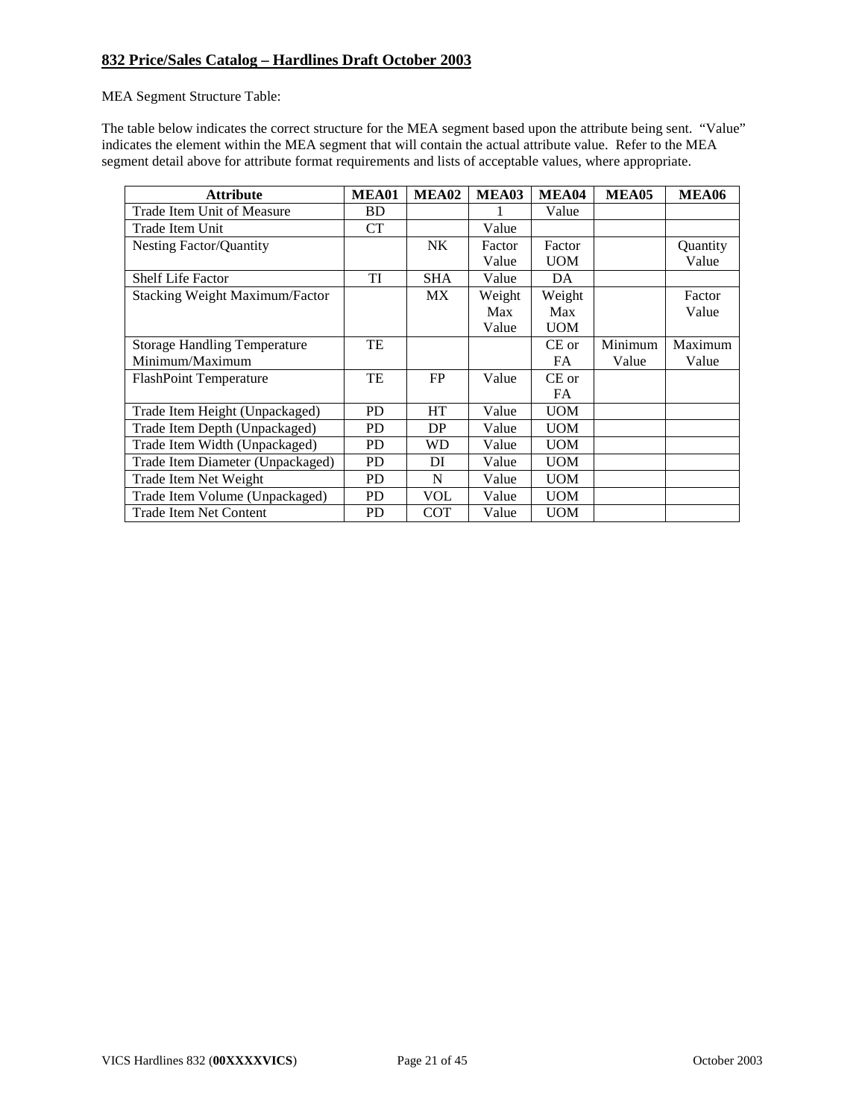MEA Segment Structure Table:

The table below indicates the correct structure for the MEA segment based upon the attribute being sent. "Value" indicates the element within the MEA segment that will contain the actual attribute value. Refer to the MEA segment detail above for attribute format requirements and lists of acceptable values, where appropriate.

| <b>Attribute</b>                      | MEA01     | MEA02      | MEA03  | MEA04      | <b>MEA05</b> | <b>MEA06</b> |
|---------------------------------------|-----------|------------|--------|------------|--------------|--------------|
| Trade Item Unit of Measure            | <b>BD</b> |            |        | Value      |              |              |
| Trade Item Unit                       | <b>CT</b> |            | Value  |            |              |              |
| <b>Nesting Factor/Quantity</b>        |           | NK         | Factor | Factor     |              | Quantity     |
|                                       |           |            | Value  | <b>UOM</b> |              | Value        |
| <b>Shelf Life Factor</b>              | TI        | <b>SHA</b> | Value  | DA         |              |              |
| <b>Stacking Weight Maximum/Factor</b> |           | <b>MX</b>  | Weight | Weight     |              | Factor       |
|                                       |           |            | Max    | Max        |              | Value        |
|                                       |           |            | Value  | <b>UOM</b> |              |              |
| <b>Storage Handling Temperature</b>   | TE        |            |        | $CE$ or    | Minimum      | Maximum      |
| Minimum/Maximum                       |           |            |        | FA.        | Value        | Value        |
| <b>FlashPoint Temperature</b>         | TE        | FP         | Value  | $CE$ or    |              |              |
|                                       |           |            |        | FA.        |              |              |
| Trade Item Height (Unpackaged)        | <b>PD</b> | <b>HT</b>  | Value  | <b>UOM</b> |              |              |
| Trade Item Depth (Unpackaged)         | <b>PD</b> | DP         | Value  | <b>UOM</b> |              |              |
| Trade Item Width (Unpackaged)         | <b>PD</b> | WD         | Value  | <b>UOM</b> |              |              |
| Trade Item Diameter (Unpackaged)      | PD        | DI         | Value  | <b>UOM</b> |              |              |
| Trade Item Net Weight                 | <b>PD</b> | N          | Value  | <b>UOM</b> |              |              |
| Trade Item Volume (Unpackaged)        | <b>PD</b> | <b>VOL</b> | Value  | <b>UOM</b> |              |              |
| Trade Item Net Content                | <b>PD</b> | <b>COT</b> | Value  | <b>UOM</b> |              |              |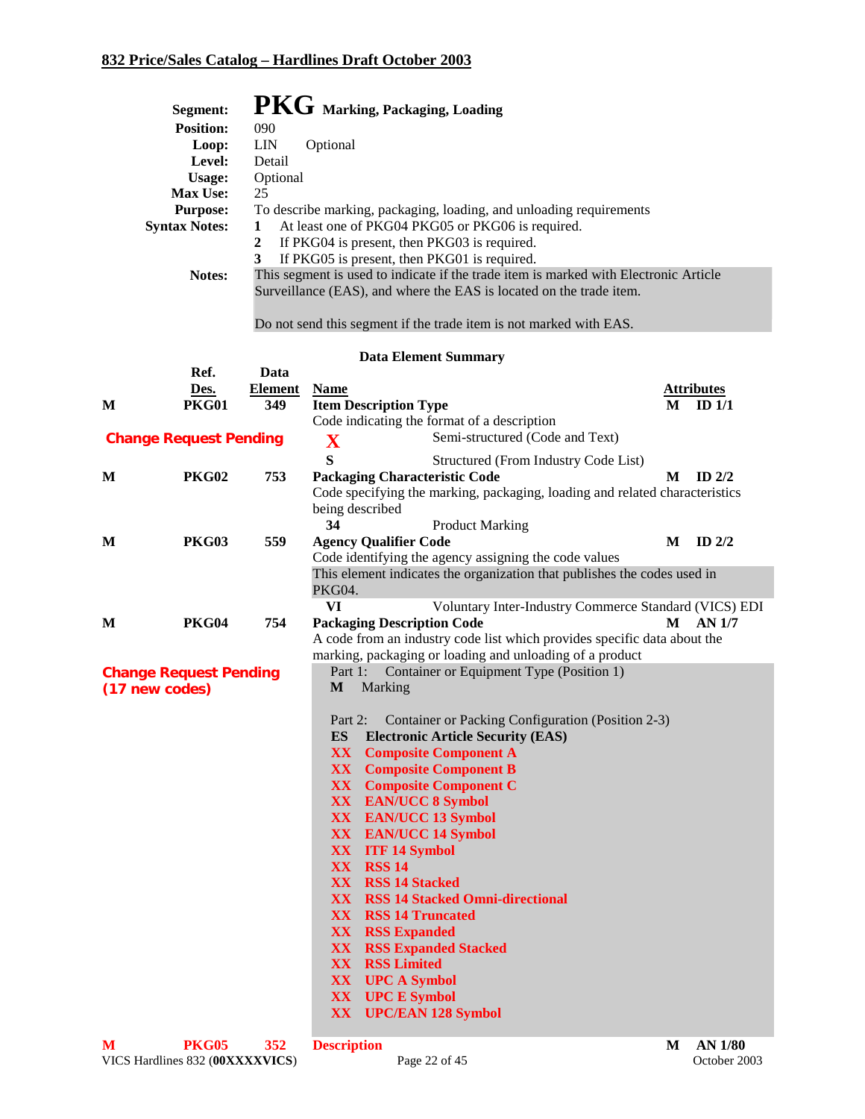|   | Segment:                      |                | PKG Marking, Packaging, Loading                                                                                                                             |                   |  |
|---|-------------------------------|----------------|-------------------------------------------------------------------------------------------------------------------------------------------------------------|-------------------|--|
|   | Position:                     | 090            |                                                                                                                                                             |                   |  |
|   | Loop:                         | <b>LIN</b>     | Optional                                                                                                                                                    |                   |  |
|   | Level:                        | Detail         |                                                                                                                                                             |                   |  |
|   | Usage:                        | Optional       |                                                                                                                                                             |                   |  |
|   | <b>Max Use:</b>               | 25             |                                                                                                                                                             |                   |  |
|   | <b>Purpose:</b>               |                | To describe marking, packaging, loading, and unloading requirements                                                                                         |                   |  |
|   | <b>Syntax Notes:</b>          | 1              | At least one of PKG04 PKG05 or PKG06 is required.                                                                                                           |                   |  |
|   |                               | $\overline{2}$ | If PKG04 is present, then PKG03 is required.                                                                                                                |                   |  |
|   |                               | 3              | If PKG05 is present, then PKG01 is required.                                                                                                                |                   |  |
|   | Notes:                        |                | This segment is used to indicate if the trade item is marked with Electronic Article<br>Surveillance (EAS), and where the EAS is located on the trade item. |                   |  |
|   |                               |                |                                                                                                                                                             |                   |  |
|   |                               |                | Do not send this segment if the trade item is not marked with EAS.                                                                                          |                   |  |
|   |                               |                | <b>Data Element Summary</b>                                                                                                                                 |                   |  |
|   | Ref.                          | Data           |                                                                                                                                                             |                   |  |
|   | Des.                          | <b>Element</b> | <b>Name</b>                                                                                                                                                 | <b>Attributes</b> |  |
| М | <b>PKG01</b>                  | 349            | <b>Item Description Type</b>                                                                                                                                | ID $1/1$<br>M     |  |
|   |                               |                | Code indicating the format of a description                                                                                                                 |                   |  |
|   | <b>Change Request Pending</b> |                | Semi-structured (Code and Text)<br>$\mathbf X$                                                                                                              |                   |  |
|   |                               |                | S<br>Structured (From Industry Code List)                                                                                                                   |                   |  |
| M | <b>PKG02</b>                  | 753            | <b>Packaging Characteristic Code</b>                                                                                                                        | ID $2/2$<br>M     |  |
|   |                               |                | Code specifying the marking, packaging, loading and related characteristics<br>being described                                                              |                   |  |
|   |                               |                | 34<br><b>Product Marking</b>                                                                                                                                |                   |  |
| M | <b>PKG03</b>                  | 559            | <b>Agency Qualifier Code</b>                                                                                                                                | M<br>ID $2/2$     |  |
|   |                               |                | Code identifying the agency assigning the code values                                                                                                       |                   |  |
|   |                               |                | This element indicates the organization that publishes the codes used in                                                                                    |                   |  |
|   |                               |                | PKG04.                                                                                                                                                      |                   |  |
|   |                               |                | VI<br>Voluntary Inter-Industry Commerce Standard (VICS) EDI                                                                                                 |                   |  |
| М | <b>PKG04</b>                  | 754            | <b>Packaging Description Code</b>                                                                                                                           | AN 1/7<br>M       |  |
|   |                               |                | A code from an industry code list which provides specific data about the                                                                                    |                   |  |
|   |                               |                | marking, packaging or loading and unloading of a product                                                                                                    |                   |  |
|   | <b>Change Request Pending</b> |                | Part 1:<br>Container or Equipment Type (Position 1)<br>Marking<br>M                                                                                         |                   |  |
|   | (17 new codes)                |                |                                                                                                                                                             |                   |  |
|   |                               |                | Container or Packing Configuration (Position 2-3)<br>Part 2:                                                                                                |                   |  |
|   |                               |                | ES<br><b>Electronic Article Security (EAS)</b>                                                                                                              |                   |  |
|   |                               |                | XX<br><b>Composite Component A</b>                                                                                                                          |                   |  |
|   |                               |                | <b>XX</b> Composite Component B                                                                                                                             |                   |  |
|   |                               |                | <b>XX</b> Composite Component C                                                                                                                             |                   |  |
|   |                               |                | XX EAN/UCC 8 Symbol                                                                                                                                         |                   |  |
|   |                               |                | XX EAN/UCC 13 Symbol                                                                                                                                        |                   |  |
|   |                               |                | XX EAN/UCC 14 Symbol<br>XX ITF 14 Symbol                                                                                                                    |                   |  |
|   |                               |                | <b>XX RSS 14</b>                                                                                                                                            |                   |  |
|   |                               |                | <b>XX RSS 14 Stacked</b>                                                                                                                                    |                   |  |
|   |                               |                | <b>XX RSS 14 Stacked Omni-directional</b>                                                                                                                   |                   |  |
|   |                               |                | <b>XX</b> RSS 14 Truncated                                                                                                                                  |                   |  |
|   |                               |                | <b>XX RSS Expanded</b>                                                                                                                                      |                   |  |
|   |                               |                | <b>XX RSS Expanded Stacked</b>                                                                                                                              |                   |  |
|   |                               |                | <b>XX RSS Limited</b>                                                                                                                                       |                   |  |
|   |                               |                | <b>XX</b> UPC A Symbol                                                                                                                                      |                   |  |
|   |                               |                | <b>XX</b> UPC E Symbol<br>XX UPC/EAN 128 Symbol                                                                                                             |                   |  |
|   |                               |                |                                                                                                                                                             |                   |  |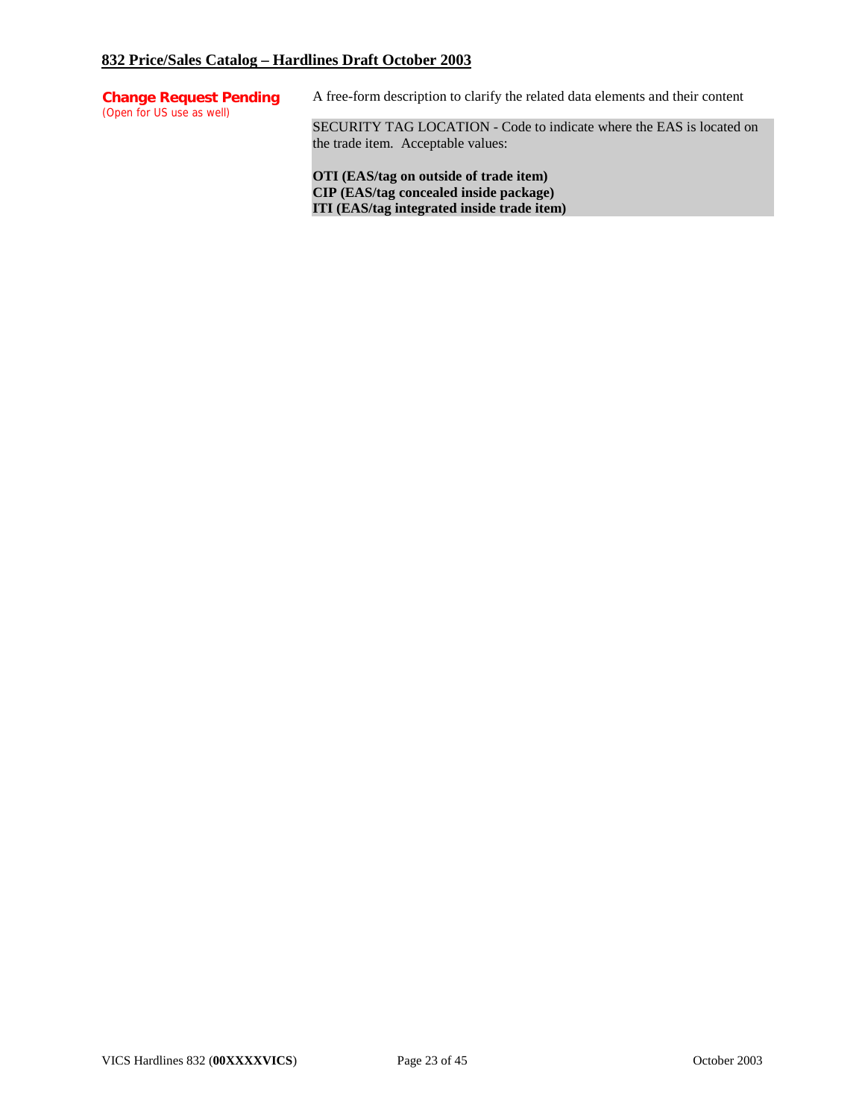| <b>Change Request Pending</b><br>(Open for US use as well) | A free-form description to clarify the related data elements and their content                             |
|------------------------------------------------------------|------------------------------------------------------------------------------------------------------------|
|                                                            | SECURITY TAG LOCATION - Code to indicate where the EAS is located on<br>the trade item. Acceptable values: |

**OTI (EAS/tag on outside of trade item) CIP (EAS/tag concealed inside package) ITI (EAS/tag integrated inside trade item)**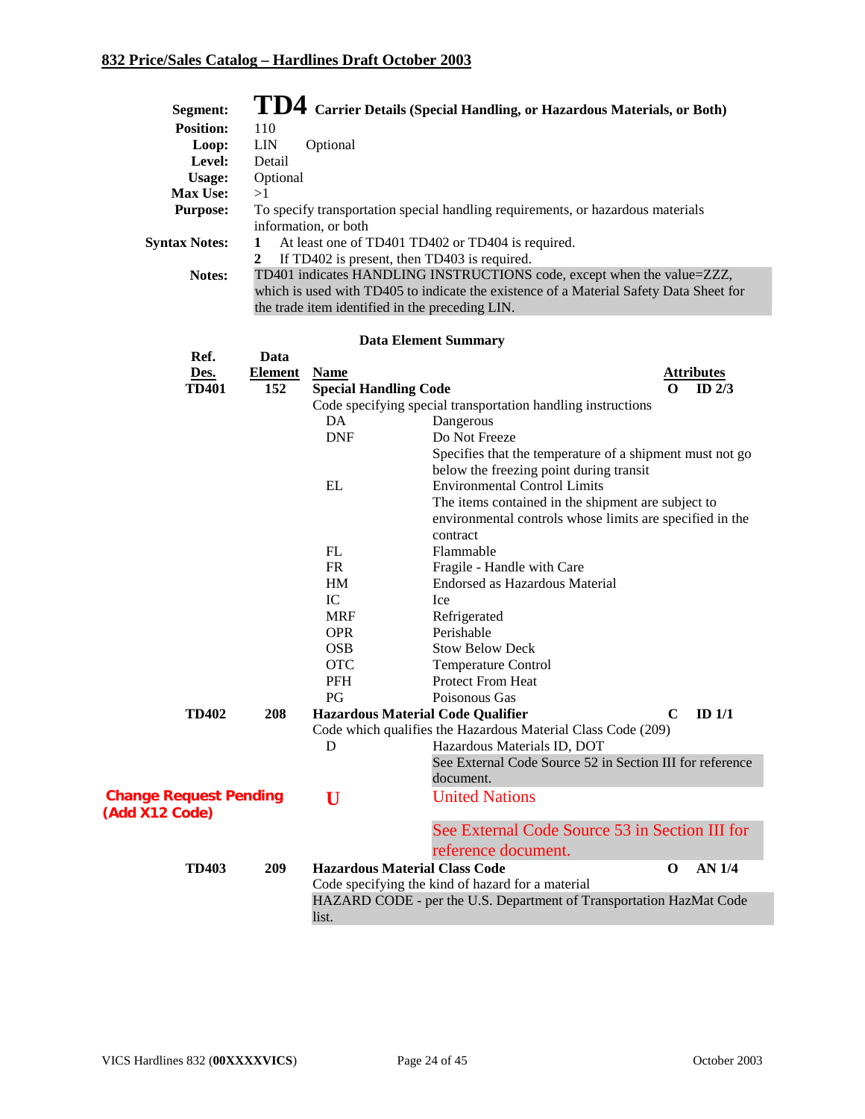| Segment:                                        |                       |                                                 | $\bf{T}D4$ Carrier Details (Special Handling, or Hazardous Materials, or Both)                                                                                   |                                  |
|-------------------------------------------------|-----------------------|-------------------------------------------------|------------------------------------------------------------------------------------------------------------------------------------------------------------------|----------------------------------|
| <b>Position:</b>                                | 110                   |                                                 |                                                                                                                                                                  |                                  |
| Loop:                                           | <b>LIN</b>            | Optional                                        |                                                                                                                                                                  |                                  |
| Level:                                          | Detail                |                                                 |                                                                                                                                                                  |                                  |
| Usage:                                          | Optional              |                                                 |                                                                                                                                                                  |                                  |
| Max Use:                                        | >1                    |                                                 |                                                                                                                                                                  |                                  |
| <b>Purpose:</b>                                 |                       | information, or both                            | To specify transportation special handling requirements, or hazardous materials                                                                                  |                                  |
| <b>Syntax Notes:</b>                            | 1<br>$\boldsymbol{2}$ |                                                 | At least one of TD401 TD402 or TD404 is required.<br>If TD402 is present, then TD403 is required.                                                                |                                  |
| Notes:                                          |                       | the trade item identified in the preceding LIN. | TD401 indicates HANDLING INSTRUCTIONS code, except when the value=ZZZ,<br>which is used with TD405 to indicate the existence of a Material Safety Data Sheet for |                                  |
|                                                 |                       |                                                 | <b>Data Element Summary</b>                                                                                                                                      |                                  |
| Ref.                                            | Data                  |                                                 |                                                                                                                                                                  |                                  |
| Des.                                            | <b>Element</b>        | <b>Name</b>                                     |                                                                                                                                                                  | <b>Attributes</b>                |
| <b>TD401</b>                                    | 152                   | <b>Special Handling Code</b>                    |                                                                                                                                                                  | $\Omega$<br>ID $2/3$             |
|                                                 |                       |                                                 | Code specifying special transportation handling instructions                                                                                                     |                                  |
|                                                 |                       | DA                                              | Dangerous                                                                                                                                                        |                                  |
|                                                 |                       | <b>DNF</b>                                      | Do Not Freeze                                                                                                                                                    |                                  |
|                                                 |                       |                                                 | Specifies that the temperature of a shipment must not go                                                                                                         |                                  |
|                                                 |                       |                                                 | below the freezing point during transit                                                                                                                          |                                  |
|                                                 |                       | $\mathbf{EL}$                                   | <b>Environmental Control Limits</b>                                                                                                                              |                                  |
|                                                 |                       |                                                 | The items contained in the shipment are subject to                                                                                                               |                                  |
|                                                 |                       |                                                 | environmental controls whose limits are specified in the                                                                                                         |                                  |
|                                                 |                       |                                                 | contract                                                                                                                                                         |                                  |
|                                                 |                       | FL                                              | Flammable                                                                                                                                                        |                                  |
|                                                 |                       | FR                                              | Fragile - Handle with Care                                                                                                                                       |                                  |
|                                                 |                       | HM                                              | <b>Endorsed as Hazardous Material</b>                                                                                                                            |                                  |
|                                                 |                       | IC                                              | Ice                                                                                                                                                              |                                  |
|                                                 |                       | <b>MRF</b>                                      | Refrigerated                                                                                                                                                     |                                  |
|                                                 |                       | <b>OPR</b>                                      | Perishable                                                                                                                                                       |                                  |
|                                                 |                       | <b>OSB</b>                                      | <b>Stow Below Deck</b>                                                                                                                                           |                                  |
|                                                 |                       | <b>OTC</b>                                      | Temperature Control                                                                                                                                              |                                  |
|                                                 |                       | <b>PFH</b>                                      | Protect From Heat                                                                                                                                                |                                  |
|                                                 |                       | PG                                              | Poisonous Gas                                                                                                                                                    |                                  |
| <b>TD402</b>                                    | 208                   |                                                 | <b>Hazardous Material Code Qualifier</b>                                                                                                                         | $\mathbf C$<br>ID <sub>1/1</sub> |
|                                                 |                       |                                                 | Code which qualifies the Hazardous Material Class Code (209)                                                                                                     |                                  |
|                                                 |                       | D                                               | Hazardous Materials ID, DOT<br>See External Code Source 52 in Section III for reference                                                                          |                                  |
|                                                 |                       |                                                 | document.                                                                                                                                                        |                                  |
|                                                 |                       |                                                 |                                                                                                                                                                  |                                  |
| <b>Change Request Pending</b><br>(Add X12 Code) |                       | U                                               | <b>United Nations</b>                                                                                                                                            |                                  |
|                                                 |                       |                                                 | See External Code Source 53 in Section III for<br>reference document.                                                                                            |                                  |
| <b>TD403</b>                                    | 209                   | <b>Hazardous Material Class Code</b>            |                                                                                                                                                                  | <b>AN 1/4</b><br>$\mathbf 0$     |
|                                                 |                       |                                                 | Code specifying the kind of hazard for a material                                                                                                                |                                  |
|                                                 |                       |                                                 | HAZARD CODE - per the U.S. Department of Transportation HazMat Code                                                                                              |                                  |
|                                                 |                       | list.                                           |                                                                                                                                                                  |                                  |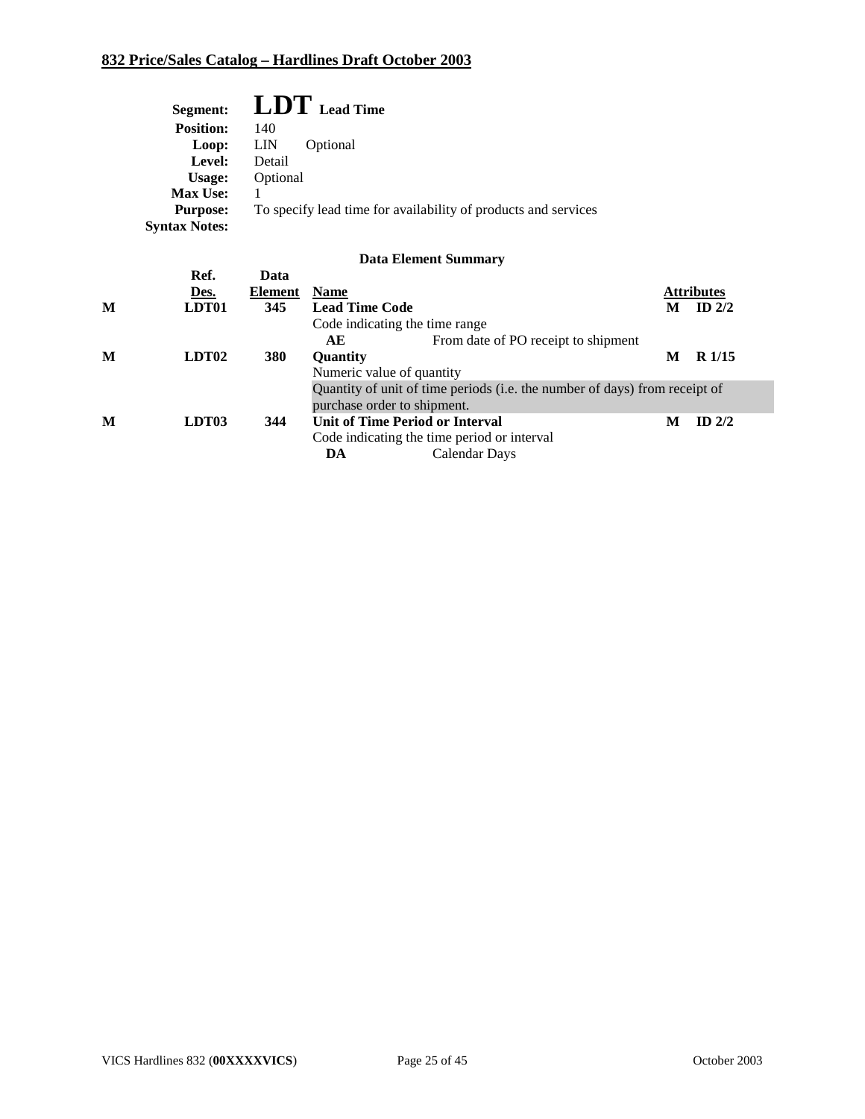| Segment:             | $LDT$ Lead Time                                                |
|----------------------|----------------------------------------------------------------|
| <b>Position:</b>     | 140                                                            |
| Loop:                | <b>LIN</b><br>Optional                                         |
| Level:               | Detail                                                         |
| Usage:               | Optional                                                       |
| <b>Max Use:</b>      |                                                                |
| <b>Purpose:</b>      | To specify lead time for availability of products and services |
| <b>Syntax Notes:</b> |                                                                |
|                      |                                                                |

|   |                   |                |                                             | <u></u>                                                                    |   |                   |
|---|-------------------|----------------|---------------------------------------------|----------------------------------------------------------------------------|---|-------------------|
|   | Ref.              | Data           |                                             |                                                                            |   |                   |
|   | Des.              | <b>Element</b> | <b>Name</b>                                 |                                                                            |   | <b>Attributes</b> |
| M | LDT01             | 345            | <b>Lead Time Code</b>                       |                                                                            | M | ID $2/2$          |
|   |                   |                | Code indicating the time range              |                                                                            |   |                   |
|   |                   |                | AE                                          | From date of PO receipt to shipment                                        |   |                   |
| M | LDT <sub>02</sub> | 380            | <b>Ouantity</b>                             |                                                                            | M | R <sub>1/15</sub> |
|   |                   |                | Numeric value of quantity                   |                                                                            |   |                   |
|   |                   |                |                                             | Quantity of unit of time periods (i.e. the number of days) from receipt of |   |                   |
|   |                   |                | purchase order to shipment.                 |                                                                            |   |                   |
| M | LDT <sub>03</sub> | 344            | Unit of Time Period or Interval             |                                                                            | M | $ID$ 2/2          |
|   |                   |                | Code indicating the time period or interval |                                                                            |   |                   |
|   |                   |                | DA                                          | Calendar Days                                                              |   |                   |
|   |                   |                |                                             |                                                                            |   |                   |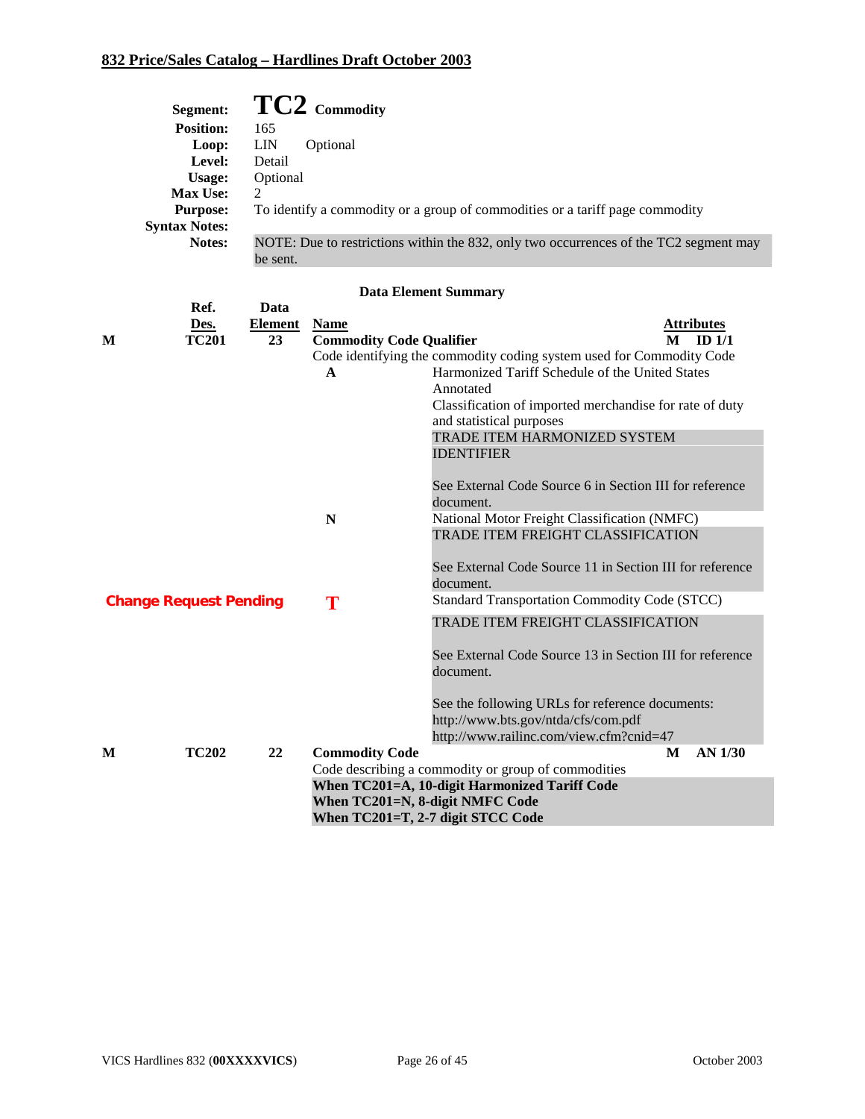| Segment:             | $TC2$ Commodity                                                                       |
|----------------------|---------------------------------------------------------------------------------------|
| <b>Position:</b>     | 165                                                                                   |
| Loop:                | <b>LIN</b><br>Optional                                                                |
| Level:               | Detail                                                                                |
| Usage:               | Optional                                                                              |
| <b>Max Use:</b>      | $\overline{2}$                                                                        |
| <b>Purpose:</b>      | To identify a commodity or a group of commodities or a tariff page commodity          |
| <b>Syntax Notes:</b> |                                                                                       |
| <b>Notes:</b>        | NOTE: Due to restrictions within the 832, only two occurrences of the TC2 segment may |
|                      | be sent.                                                                              |

|   | Ref.                          | Data    |                                 |                                                                      |
|---|-------------------------------|---------|---------------------------------|----------------------------------------------------------------------|
|   | Des.                          | Element | <b>Name</b>                     | <b>Attributes</b>                                                    |
| M | <b>TC201</b>                  | 23      | <b>Commodity Code Qualifier</b> | ID <sub>1/1</sub><br>M                                               |
|   |                               |         |                                 | Code identifying the commodity coding system used for Commodity Code |
|   |                               |         | $\mathbf{A}$                    | Harmonized Tariff Schedule of the United States                      |
|   |                               |         |                                 | Annotated                                                            |
|   |                               |         |                                 | Classification of imported merchandise for rate of duty              |
|   |                               |         |                                 | and statistical purposes                                             |
|   |                               |         |                                 | TRADE ITEM HARMONIZED SYSTEM                                         |
|   |                               |         |                                 | <b>IDENTIFIER</b>                                                    |
|   |                               |         |                                 |                                                                      |
|   |                               |         |                                 | See External Code Source 6 in Section III for reference              |
|   |                               |         |                                 | document.                                                            |
|   |                               |         | N                               | National Motor Freight Classification (NMFC)                         |
|   |                               |         |                                 | TRADE ITEM FREIGHT CLASSIFICATION                                    |
|   |                               |         |                                 |                                                                      |
|   |                               |         |                                 | See External Code Source 11 in Section III for reference             |
|   |                               |         |                                 | document.                                                            |
|   | <b>Change Request Pending</b> |         | T                               | <b>Standard Transportation Commodity Code (STCC)</b>                 |
|   |                               |         |                                 | TRADE ITEM FREIGHT CLASSIFICATION                                    |
|   |                               |         |                                 |                                                                      |
|   |                               |         |                                 | See External Code Source 13 in Section III for reference             |
|   |                               |         |                                 | document.                                                            |
|   |                               |         |                                 |                                                                      |
|   |                               |         |                                 | See the following URLs for reference documents:                      |
|   |                               |         |                                 | http://www.bts.gov/ntda/cfs/com.pdf                                  |
|   |                               |         |                                 | http://www.railinc.com/view.cfm?cnid=47                              |
| M | <b>TC202</b>                  | 22      | <b>Commodity Code</b>           | AN 1/30<br>M                                                         |
|   |                               |         |                                 | Code describing a commodity or group of commodities                  |
|   |                               |         |                                 | When TC201=A, 10-digit Harmonized Tariff Code                        |
|   |                               |         | When TC201=N, 8-digit NMFC Code |                                                                      |
|   |                               |         |                                 | When TC201=T, 2-7 digit STCC Code                                    |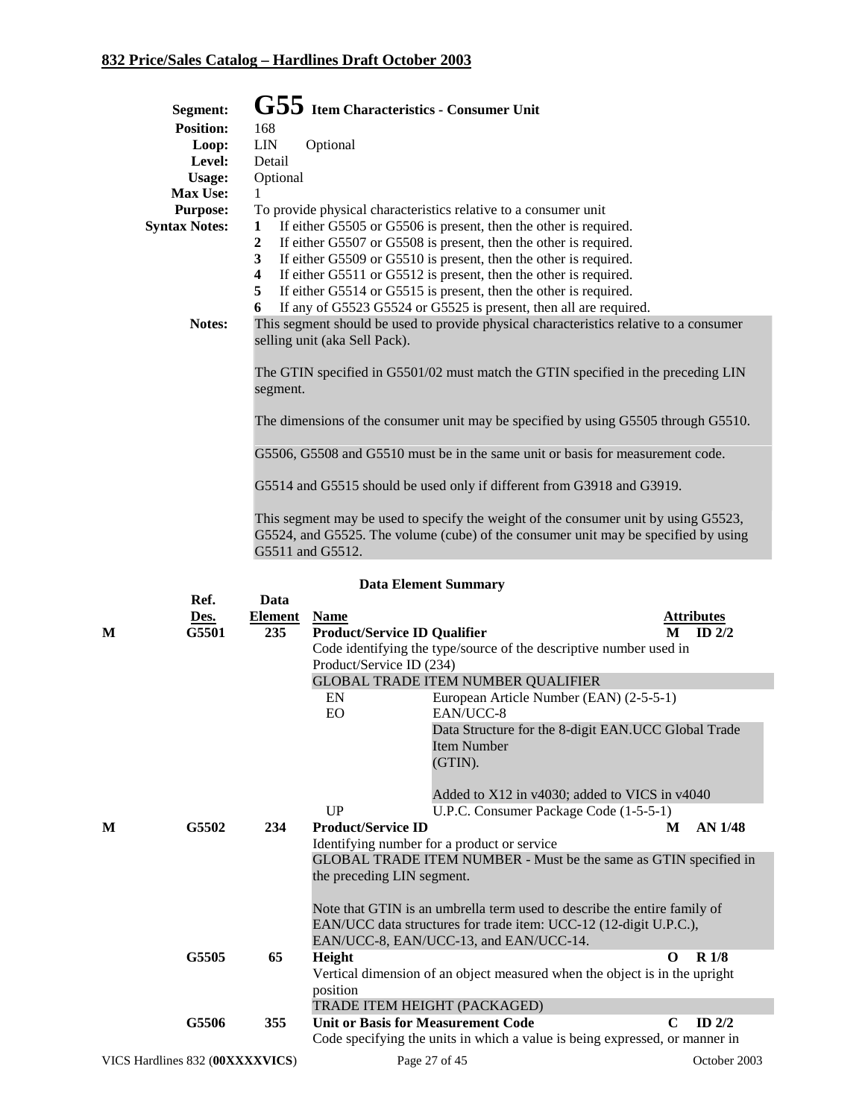|   | Segment:             |                | G55 Item Characteristics - Consumer Unit |                                                                                                                                                                           |   |                   |
|---|----------------------|----------------|------------------------------------------|---------------------------------------------------------------------------------------------------------------------------------------------------------------------------|---|-------------------|
|   | <b>Position:</b>     | 168            |                                          |                                                                                                                                                                           |   |                   |
|   | Loop:                | ${\rm LIN}$    | Optional                                 |                                                                                                                                                                           |   |                   |
|   | Level:               | Detail         |                                          |                                                                                                                                                                           |   |                   |
|   | <b>Usage:</b>        | Optional       |                                          |                                                                                                                                                                           |   |                   |
|   | Max Use:             | 1              |                                          |                                                                                                                                                                           |   |                   |
|   | <b>Purpose:</b>      |                |                                          | To provide physical characteristics relative to a consumer unit                                                                                                           |   |                   |
|   | <b>Syntax Notes:</b> | 1              |                                          | If either G5505 or G5506 is present, then the other is required.                                                                                                          |   |                   |
|   |                      | 2              |                                          | If either G5507 or G5508 is present, then the other is required.                                                                                                          |   |                   |
|   |                      | 3              |                                          | If either G5509 or G5510 is present, then the other is required.                                                                                                          |   |                   |
|   |                      | 4              |                                          | If either G5511 or G5512 is present, then the other is required.                                                                                                          |   |                   |
|   |                      | 5              |                                          | If either G5514 or G5515 is present, then the other is required.                                                                                                          |   |                   |
|   |                      | 6              |                                          | If any of G5523 G5524 or G5525 is present, then all are required.                                                                                                         |   |                   |
|   | Notes:               |                |                                          | This segment should be used to provide physical characteristics relative to a consumer                                                                                    |   |                   |
|   |                      |                | selling unit (aka Sell Pack).            |                                                                                                                                                                           |   |                   |
|   |                      | segment.       |                                          | The GTIN specified in G5501/02 must match the GTIN specified in the preceding LIN                                                                                         |   |                   |
|   |                      |                |                                          | The dimensions of the consumer unit may be specified by using G5505 through G5510.                                                                                        |   |                   |
|   |                      |                |                                          | G5506, G5508 and G5510 must be in the same unit or basis for measurement code.                                                                                            |   |                   |
|   |                      |                |                                          | G5514 and G5515 should be used only if different from G3918 and G3919.                                                                                                    |   |                   |
|   |                      |                | G5511 and G5512.                         | This segment may be used to specify the weight of the consumer unit by using G5523,<br>G5524, and G5525. The volume (cube) of the consumer unit may be specified by using |   |                   |
|   |                      |                |                                          | <b>Data Element Summary</b>                                                                                                                                               |   |                   |
|   | Ref.                 | Data           |                                          |                                                                                                                                                                           |   |                   |
|   | Des.                 | <b>Element</b> | <b>Name</b>                              |                                                                                                                                                                           |   | <b>Attributes</b> |
| М | G5501                | 235            | <b>Product/Service ID Qualifier</b>      |                                                                                                                                                                           | M | ID $2/2$          |
|   |                      |                |                                          | Code identifying the type/source of the descriptive number used in                                                                                                        |   |                   |
|   |                      |                | Product/Service ID (234)                 |                                                                                                                                                                           |   |                   |
|   |                      |                |                                          | <b>GLOBAL TRADE ITEM NUMBER QUALIFIER</b>                                                                                                                                 |   |                   |
|   |                      |                | EN                                       | European Article Number (EAN) (2-5-5-1)                                                                                                                                   |   |                   |
|   |                      |                | EO                                       | EAN/UCC-8                                                                                                                                                                 |   |                   |

|                                 |     | Item Number                                                                 |                                                                            |  |  |
|---------------------------------|-----|-----------------------------------------------------------------------------|----------------------------------------------------------------------------|--|--|
|                                 |     | (GTIN).                                                                     |                                                                            |  |  |
|                                 |     |                                                                             |                                                                            |  |  |
|                                 |     | Added to X12 in v4030; added to VICS in v4040                               |                                                                            |  |  |
|                                 |     | U.P.C. Consumer Package Code (1-5-5-1)<br>UP                                |                                                                            |  |  |
| M<br>G5502                      | 234 | <b>Product/Service ID</b><br>М                                              | AN 1/48                                                                    |  |  |
|                                 |     | Identifying number for a product or service                                 |                                                                            |  |  |
|                                 |     | GLOBAL TRADE ITEM NUMBER - Must be the same as GTIN specified in            |                                                                            |  |  |
|                                 |     | the preceding LIN segment.                                                  |                                                                            |  |  |
|                                 |     |                                                                             |                                                                            |  |  |
|                                 |     | Note that GTIN is an umbrella term used to describe the entire family of    |                                                                            |  |  |
|                                 |     | EAN/UCC data structures for trade item: UCC-12 (12-digit U.P.C.),           |                                                                            |  |  |
|                                 |     | EAN/UCC-8, EAN/UCC-13, and EAN/UCC-14.                                      |                                                                            |  |  |
| G5505                           | 65  | Height<br>0                                                                 | R <sub>1/8</sub>                                                           |  |  |
|                                 |     |                                                                             | Vertical dimension of an object measured when the object is in the upright |  |  |
|                                 |     | position                                                                    |                                                                            |  |  |
|                                 |     | TRADE ITEM HEIGHT (PACKAGED)                                                |                                                                            |  |  |
| G5506                           | 355 | <b>Unit or Basis for Measurement Code</b><br>$\mathbf C$                    | $ID$ 2/2                                                                   |  |  |
|                                 |     | Code specifying the units in which a value is being expressed, or manner in |                                                                            |  |  |
| VICS Hardlines 832 (00XXXXVICS) |     | Page 27 of 45                                                               | October 2003                                                               |  |  |

Data Structure for the 8-digit EAN.UCC Global Trade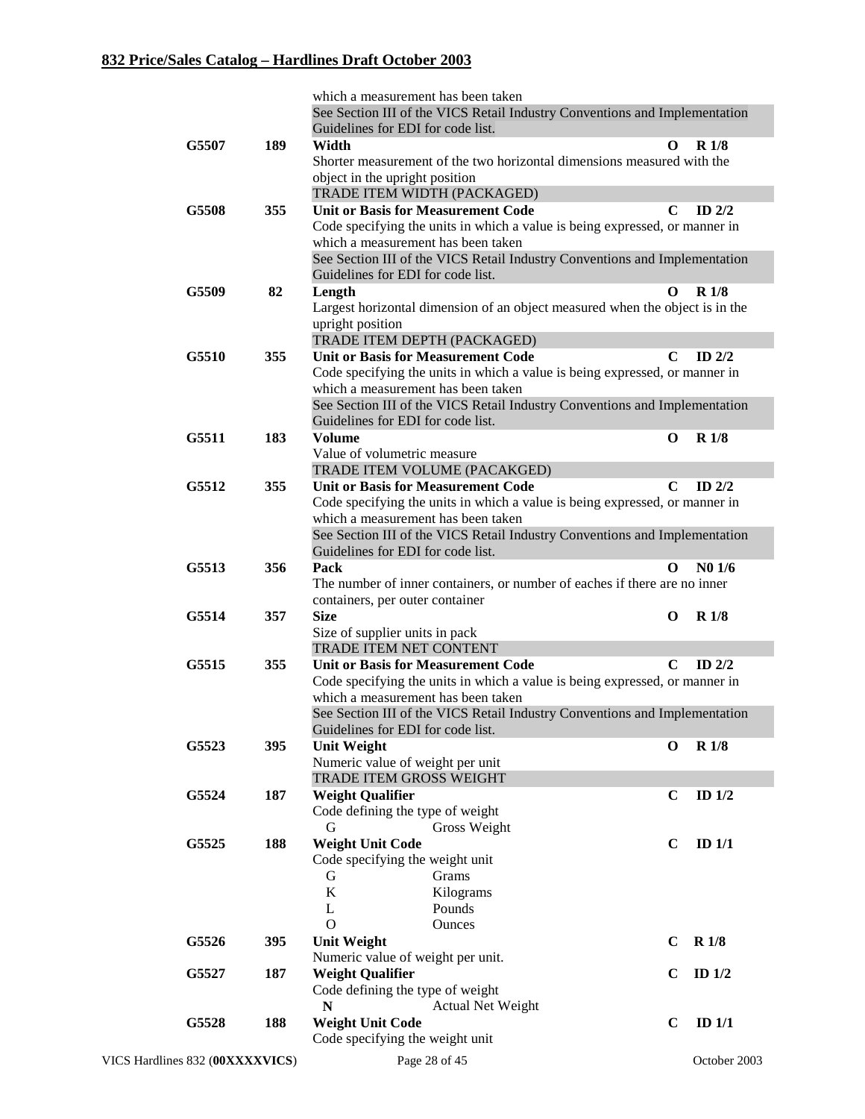|       |     | which a measurement has been taken                                           |             |                    |
|-------|-----|------------------------------------------------------------------------------|-------------|--------------------|
|       |     | See Section III of the VICS Retail Industry Conventions and Implementation   |             |                    |
|       |     | Guidelines for EDI for code list.                                            |             |                    |
| G5507 | 189 | Width                                                                        | $\mathbf 0$ | <b>R</b> 1/8       |
|       |     | Shorter measurement of the two horizontal dimensions measured with the       |             |                    |
|       |     | object in the upright position                                               |             |                    |
|       |     | TRADE ITEM WIDTH (PACKAGED)                                                  |             |                    |
| G5508 | 355 | <b>Unit or Basis for Measurement Code</b>                                    | C           | ID $2/2$           |
|       |     | Code specifying the units in which a value is being expressed, or manner in  |             |                    |
|       |     | which a measurement has been taken                                           |             |                    |
|       |     | See Section III of the VICS Retail Industry Conventions and Implementation   |             |                    |
|       |     | Guidelines for EDI for code list.                                            |             |                    |
| G5509 | 82  | Length                                                                       | $\Omega$    | R <sub>1/8</sub>   |
|       |     | Largest horizontal dimension of an object measured when the object is in the |             |                    |
|       |     | upright position                                                             |             |                    |
|       |     | TRADE ITEM DEPTH (PACKAGED)                                                  |             |                    |
| G5510 | 355 | <b>Unit or Basis for Measurement Code</b>                                    | C           | ID $2/2$           |
|       |     | Code specifying the units in which a value is being expressed, or manner in  |             |                    |
|       |     | which a measurement has been taken                                           |             |                    |
|       |     | See Section III of the VICS Retail Industry Conventions and Implementation   |             |                    |
|       |     | Guidelines for EDI for code list.                                            |             |                    |
| G5511 | 183 | <b>Volume</b>                                                                | O           | <b>R</b> 1/8       |
|       |     | Value of volumetric measure                                                  |             |                    |
|       |     | TRADE ITEM VOLUME (PACAKGED)                                                 |             |                    |
| G5512 | 355 | <b>Unit or Basis for Measurement Code</b>                                    | $\mathbf C$ | ID $2/2$           |
|       |     | Code specifying the units in which a value is being expressed, or manner in  |             |                    |
|       |     | which a measurement has been taken                                           |             |                    |
|       |     | See Section III of the VICS Retail Industry Conventions and Implementation   |             |                    |
|       |     | Guidelines for EDI for code list.                                            |             |                    |
| G5513 | 356 | Pack                                                                         | O           | N <sub>0</sub> 1/6 |
|       |     | The number of inner containers, or number of eaches if there are no inner    |             |                    |
|       |     | containers, per outer container                                              |             |                    |
| G5514 | 357 | <b>Size</b>                                                                  | $\bf{0}$    | <b>R</b> 1/8       |
|       |     | Size of supplier units in pack                                               |             |                    |
|       |     | TRADE ITEM NET CONTENT                                                       |             |                    |
| G5515 | 355 | Unit or Basis for Measurement Code                                           | $\mathbf C$ | ID $2/2$           |
|       |     | Code specifying the units in which a value is being expressed, or manner in  |             |                    |
|       |     | which a measurement has been taken                                           |             |                    |
|       |     | See Section III of the VICS Retail Industry Conventions and Implementation   |             |                    |
|       |     | Guidelines for EDI for code list.                                            |             |                    |
| G5523 | 395 | <b>Unit Weight</b>                                                           | O           | R <sub>1/8</sub>   |
|       |     | Numeric value of weight per unit                                             |             |                    |
|       |     | TRADE ITEM GROSS WEIGHT                                                      |             |                    |
| G5524 | 187 | <b>Weight Qualifier</b>                                                      | C           | ID $1/2$           |
|       |     | Code defining the type of weight                                             |             |                    |
|       |     | G<br>Gross Weight                                                            |             |                    |
| G5525 | 188 | <b>Weight Unit Code</b>                                                      | $\mathbf C$ | ID $1/1$           |
|       |     | Code specifying the weight unit                                              |             |                    |
|       |     | Grams<br>G                                                                   |             |                    |
|       |     | $\bf K$<br>Kilograms                                                         |             |                    |
|       |     | L<br>Pounds                                                                  |             |                    |
|       |     | $\Omega$<br>Ounces                                                           |             |                    |
| G5526 | 395 | <b>Unit Weight</b>                                                           | $\mathbf C$ | R1/8               |
|       |     | Numeric value of weight per unit.                                            |             |                    |
| G5527 | 187 | <b>Weight Qualifier</b>                                                      | C           | ID $1/2$           |
|       |     | Code defining the type of weight                                             |             |                    |
|       |     | Actual Net Weight<br>N                                                       |             |                    |
| G5528 | 188 | <b>Weight Unit Code</b>                                                      | $\mathbf C$ | $ID$ $1/1$         |
|       |     | Code specifying the weight unit                                              |             |                    |
|       |     |                                                                              |             |                    |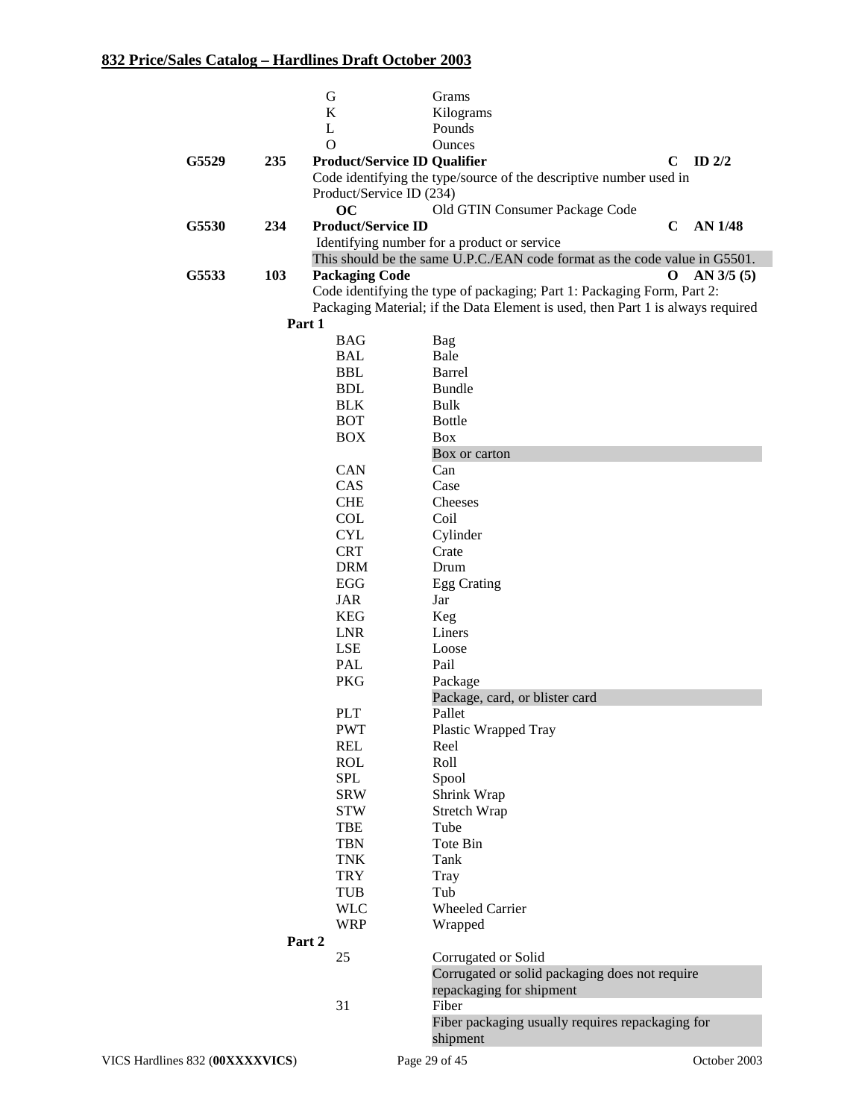|                                 |        | G                         | Grams                                                                           |                               |
|---------------------------------|--------|---------------------------|---------------------------------------------------------------------------------|-------------------------------|
|                                 |        | $\bf K$                   | Kilograms                                                                       |                               |
|                                 |        | L                         | Pounds                                                                          |                               |
|                                 |        | $\Omega$                  | <b>Ounces</b>                                                                   |                               |
| G5529                           | 235    |                           | <b>Product/Service ID Qualifier</b>                                             | ID $2/2$<br>$\mathbf C$       |
|                                 |        |                           | Code identifying the type/source of the descriptive number used in              |                               |
|                                 |        | Product/Service ID (234)  |                                                                                 |                               |
|                                 |        | oc                        | Old GTIN Consumer Package Code                                                  |                               |
| G5530                           | 234    | <b>Product/Service ID</b> |                                                                                 | <b>AN 1/48</b><br>$\mathbf C$ |
|                                 |        |                           | Identifying number for a product or service                                     |                               |
|                                 |        |                           | This should be the same U.P.C./EAN code format as the code value in G5501.      |                               |
| G5533                           | 103    | <b>Packaging Code</b>     |                                                                                 | $\bf{0}$<br>AN 3/5(5)         |
|                                 |        |                           | Code identifying the type of packaging; Part 1: Packaging Form, Part 2:         |                               |
|                                 |        |                           | Packaging Material; if the Data Element is used, then Part 1 is always required |                               |
|                                 |        | Part 1                    |                                                                                 |                               |
|                                 |        | <b>BAG</b>                | Bag                                                                             |                               |
|                                 |        | <b>BAL</b>                | Bale                                                                            |                               |
|                                 |        | <b>BBL</b>                | Barrel                                                                          |                               |
|                                 |        | <b>BDL</b>                | <b>Bundle</b>                                                                   |                               |
|                                 |        | <b>BLK</b>                | Bulk                                                                            |                               |
|                                 |        | <b>BOT</b>                | <b>Bottle</b>                                                                   |                               |
|                                 |        | <b>BOX</b>                | Box                                                                             |                               |
|                                 |        |                           |                                                                                 |                               |
|                                 |        | CAN                       | Box or carton                                                                   |                               |
|                                 |        | CAS                       | Can                                                                             |                               |
|                                 |        | <b>CHE</b>                | Case                                                                            |                               |
|                                 |        |                           | Cheeses                                                                         |                               |
|                                 |        | COL                       | Coil                                                                            |                               |
|                                 |        | <b>CYL</b>                | Cylinder                                                                        |                               |
|                                 |        | <b>CRT</b>                | Crate                                                                           |                               |
|                                 |        | <b>DRM</b>                | Drum                                                                            |                               |
|                                 |        | EGG                       | Egg Crating                                                                     |                               |
|                                 |        | JAR                       | Jar                                                                             |                               |
|                                 |        | <b>KEG</b>                | Keg                                                                             |                               |
|                                 |        | <b>LNR</b>                | Liners                                                                          |                               |
|                                 |        | LSE                       | Loose                                                                           |                               |
|                                 |        | PAL                       | Pail                                                                            |                               |
|                                 |        | <b>PKG</b>                | Package                                                                         |                               |
|                                 |        |                           | Package, card, or blister card                                                  |                               |
|                                 |        | <b>PLT</b>                | Pallet                                                                          |                               |
|                                 |        | <b>PWT</b>                | Plastic Wrapped Tray                                                            |                               |
|                                 |        | <b>REL</b>                | Reel                                                                            |                               |
|                                 |        | <b>ROL</b>                | Roll                                                                            |                               |
|                                 |        | <b>SPL</b>                | Spool                                                                           |                               |
|                                 |        | <b>SRW</b>                | Shrink Wrap                                                                     |                               |
|                                 |        | <b>STW</b>                | Stretch Wrap                                                                    |                               |
|                                 |        | <b>TBE</b>                | Tube                                                                            |                               |
|                                 |        | <b>TBN</b>                | Tote Bin                                                                        |                               |
|                                 |        | <b>TNK</b>                | Tank                                                                            |                               |
|                                 |        | <b>TRY</b>                | Tray                                                                            |                               |
|                                 |        | TUB                       | Tub                                                                             |                               |
|                                 |        | <b>WLC</b>                | <b>Wheeled Carrier</b>                                                          |                               |
|                                 |        | <b>WRP</b>                | Wrapped                                                                         |                               |
|                                 | Part 2 |                           |                                                                                 |                               |
|                                 |        | 25                        | Corrugated or Solid                                                             |                               |
|                                 |        |                           | Corrugated or solid packaging does not require                                  |                               |
|                                 |        |                           | repackaging for shipment                                                        |                               |
|                                 |        | 31                        | Fiber                                                                           |                               |
|                                 |        |                           | Fiber packaging usually requires repackaging for                                |                               |
|                                 |        |                           | shipment                                                                        |                               |
| VICS Hardlines 832 (00XXXXVICS) |        |                           | Page 29 of 45                                                                   | October 2003                  |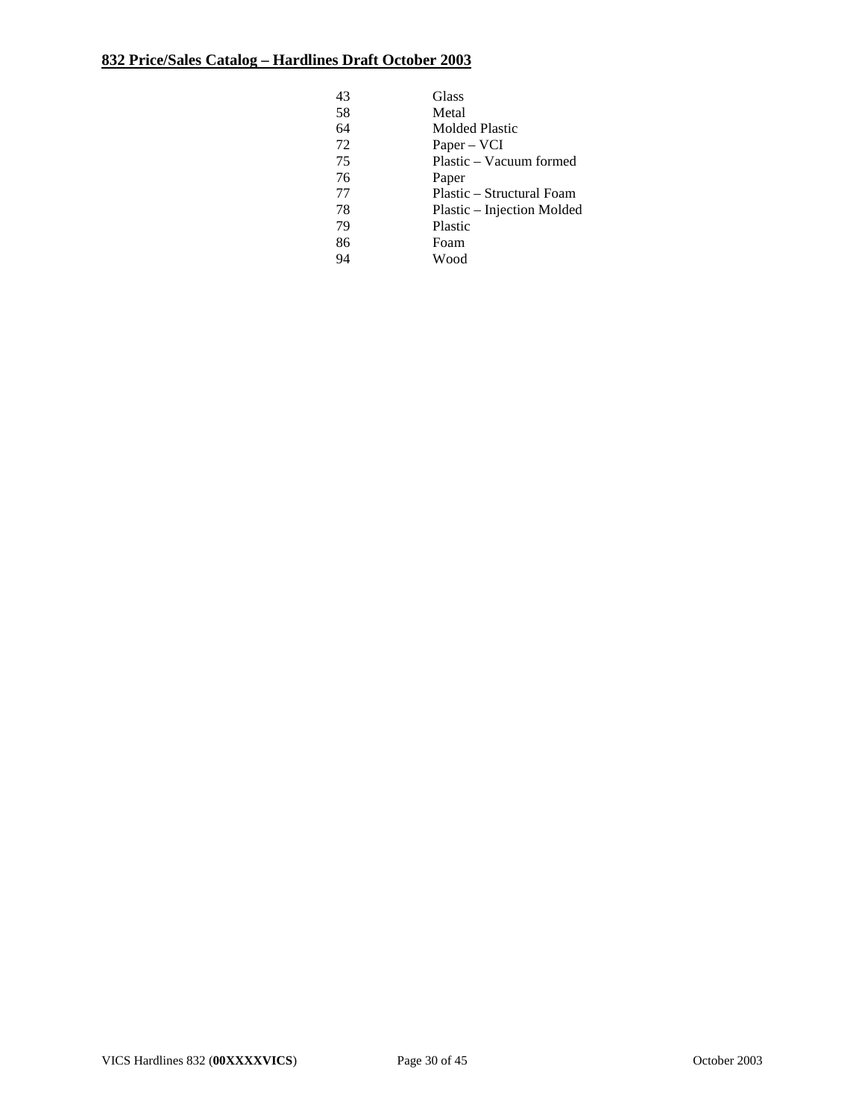| 43 | Glass                      |
|----|----------------------------|
| 58 | Metal                      |
| 64 | <b>Molded Plastic</b>      |
| 72 | $Paper - VCI$              |
| 75 | Plastic – Vacuum formed    |
| 76 | Paper                      |
| 77 | Plastic – Structural Foam  |
| 78 | Plastic – Injection Molded |
| 79 | Plastic                    |
| 86 | Foam                       |
| 94 | Wood                       |
|    |                            |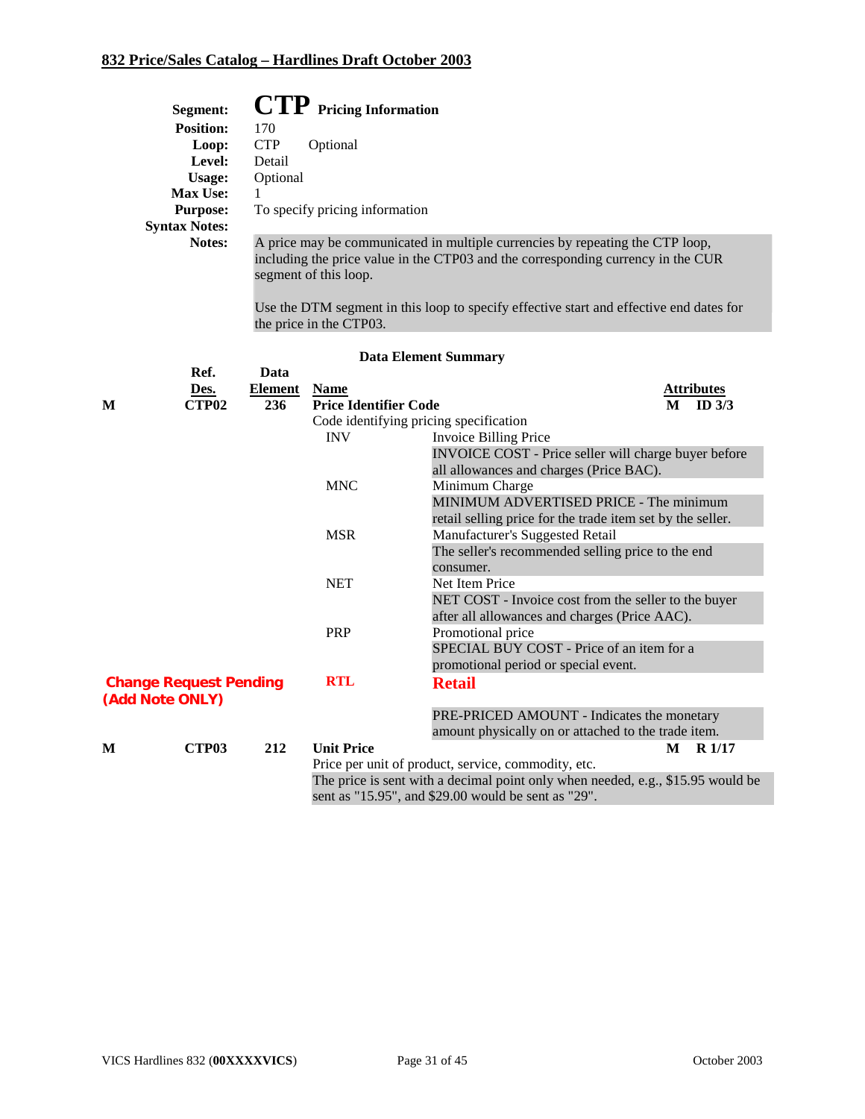|   | Segment:                                         |                | $\text{CTP}$ Pricing Information       |                                                                                         |  |  |  |
|---|--------------------------------------------------|----------------|----------------------------------------|-----------------------------------------------------------------------------------------|--|--|--|
|   | <b>Position:</b>                                 | 170            |                                        |                                                                                         |  |  |  |
|   | Loop:                                            | <b>CTP</b>     | Optional                               |                                                                                         |  |  |  |
|   | Level:                                           | Detail         |                                        |                                                                                         |  |  |  |
|   | <b>Usage:</b>                                    | Optional       |                                        |                                                                                         |  |  |  |
|   | Max Use:                                         | 1              |                                        |                                                                                         |  |  |  |
|   | <b>Purpose:</b>                                  |                | To specify pricing information         |                                                                                         |  |  |  |
|   | <b>Syntax Notes:</b>                             |                |                                        |                                                                                         |  |  |  |
|   | Notes:                                           |                |                                        | A price may be communicated in multiple currencies by repeating the CTP loop,           |  |  |  |
|   |                                                  |                | segment of this loop.                  | including the price value in the CTP03 and the corresponding currency in the CUR        |  |  |  |
|   |                                                  |                | the price in the CTP03.                | Use the DTM segment in this loop to specify effective start and effective end dates for |  |  |  |
|   |                                                  |                |                                        | <b>Data Element Summary</b>                                                             |  |  |  |
|   | Ref.                                             | Data           |                                        |                                                                                         |  |  |  |
|   | Des.                                             | <b>Element</b> | <b>Name</b>                            | <b>Attributes</b>                                                                       |  |  |  |
| M | CTP02                                            | 236            | <b>Price Identifier Code</b>           | ID $3/3$<br>M                                                                           |  |  |  |
|   |                                                  |                | Code identifying pricing specification |                                                                                         |  |  |  |
|   |                                                  |                | INV                                    | <b>Invoice Billing Price</b>                                                            |  |  |  |
|   |                                                  |                |                                        | INVOICE COST - Price seller will charge buyer before                                    |  |  |  |
|   |                                                  |                |                                        | all allowances and charges (Price BAC).                                                 |  |  |  |
|   |                                                  |                | <b>MNC</b>                             | Minimum Charge                                                                          |  |  |  |
|   |                                                  |                |                                        | MINIMUM ADVERTISED PRICE - The minimum                                                  |  |  |  |
|   |                                                  |                |                                        | retail selling price for the trade item set by the seller.                              |  |  |  |
|   |                                                  |                | <b>MSR</b>                             | Manufacturer's Suggested Retail                                                         |  |  |  |
|   |                                                  |                |                                        | The seller's recommended selling price to the end                                       |  |  |  |
|   |                                                  |                |                                        | consumer.                                                                               |  |  |  |
|   |                                                  |                | <b>NET</b>                             | Net Item Price                                                                          |  |  |  |
|   |                                                  |                |                                        | NET COST - Invoice cost from the seller to the buyer                                    |  |  |  |
|   |                                                  |                |                                        | after all allowances and charges (Price AAC).                                           |  |  |  |
|   |                                                  |                | <b>PRP</b>                             | Promotional price                                                                       |  |  |  |
|   |                                                  |                |                                        | SPECIAL BUY COST - Price of an item for a                                               |  |  |  |
|   |                                                  |                |                                        | promotional period or special event.                                                    |  |  |  |
|   | <b>Change Request Pending</b><br>(Add Note ONLY) |                | <b>RTL</b>                             | <b>Retail</b>                                                                           |  |  |  |
|   |                                                  |                |                                        | PRE-PRICED AMOUNT - Indicates the monetary                                              |  |  |  |
|   |                                                  |                |                                        | amount physically on or attached to the trade item.                                     |  |  |  |
| M | CTP <sub>03</sub>                                | 212            | <b>Unit Price</b>                      | M<br>R <sub>1/17</sub>                                                                  |  |  |  |
|   |                                                  |                |                                        | Price per unit of product, service, commodity, etc.                                     |  |  |  |
|   |                                                  |                |                                        | The price is sent with a decimal point only when needed, e.g., \$15.95 would be         |  |  |  |
|   |                                                  |                |                                        | sent as "15.95", and \$29.00 would be sent as "29".                                     |  |  |  |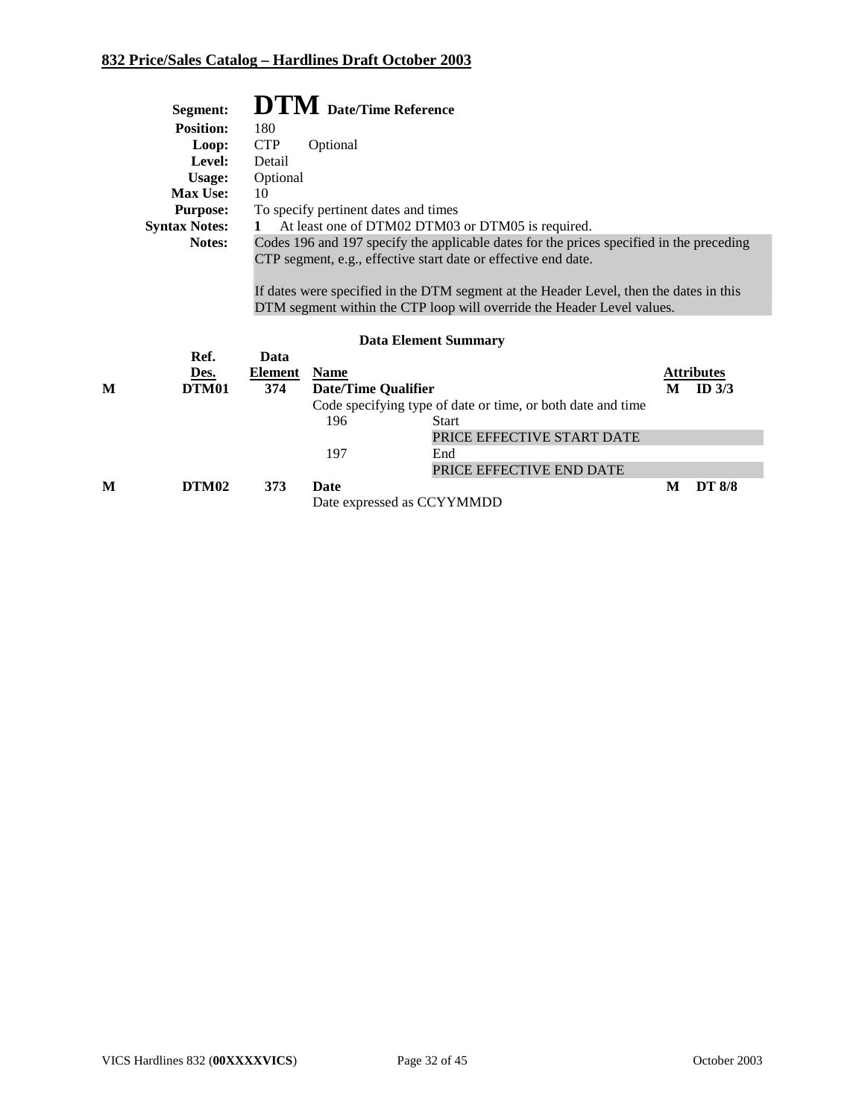|   | Segment:             |                                                                                                                                                                                                                                                                                                                                |             | <b>DTM</b> Date/Time Reference                              |   |                   |
|---|----------------------|--------------------------------------------------------------------------------------------------------------------------------------------------------------------------------------------------------------------------------------------------------------------------------------------------------------------------------|-------------|-------------------------------------------------------------|---|-------------------|
|   | <b>Position:</b>     | 180                                                                                                                                                                                                                                                                                                                            |             |                                                             |   |                   |
|   | Loop:                | <b>CTP</b>                                                                                                                                                                                                                                                                                                                     | Optional    |                                                             |   |                   |
|   | Level:               | Detail                                                                                                                                                                                                                                                                                                                         |             |                                                             |   |                   |
|   | Usage:               | Optional                                                                                                                                                                                                                                                                                                                       |             |                                                             |   |                   |
|   | Max Use:             | 10                                                                                                                                                                                                                                                                                                                             |             |                                                             |   |                   |
|   | <b>Purpose:</b>      |                                                                                                                                                                                                                                                                                                                                |             | To specify pertinent dates and times                        |   |                   |
|   | <b>Syntax Notes:</b> | $\mathbf 1$                                                                                                                                                                                                                                                                                                                    |             | At least one of DTM02 DTM03 or DTM05 is required.           |   |                   |
|   | Notes:               | Codes 196 and 197 specify the applicable dates for the prices specified in the preceding<br>CTP segment, e.g., effective start date or effective end date.<br>If dates were specified in the DTM segment at the Header Level, then the dates in this<br>DTM segment within the CTP loop will override the Header Level values. |             |                                                             |   |                   |
|   |                      |                                                                                                                                                                                                                                                                                                                                |             | <b>Data Element Summary</b>                                 |   |                   |
|   | Ref.                 | Data                                                                                                                                                                                                                                                                                                                           |             |                                                             |   |                   |
|   | Des.                 | Element                                                                                                                                                                                                                                                                                                                        | <b>Name</b> |                                                             |   | <b>Attributes</b> |
| М | <b>DTM01</b>         | 374                                                                                                                                                                                                                                                                                                                            |             | <b>Date/Time Qualifier</b>                                  | M | ID $3/3$          |
|   |                      |                                                                                                                                                                                                                                                                                                                                |             | Code specifying type of date or time, or both date and time |   |                   |
|   |                      |                                                                                                                                                                                                                                                                                                                                | 196         | <b>Start</b>                                                |   |                   |
|   |                      |                                                                                                                                                                                                                                                                                                                                |             | PRICE EFFECTIVE START DATE                                  |   |                   |
|   |                      |                                                                                                                                                                                                                                                                                                                                | 197         | End                                                         |   |                   |
|   |                      |                                                                                                                                                                                                                                                                                                                                |             | PRICE EFFECTIVE END DATE                                    |   |                   |
| М | DTM <sub>02</sub>    | 373                                                                                                                                                                                                                                                                                                                            | Date        |                                                             | M | <b>DT 8/8</b>     |
|   |                      | Date expressed as CCYYMMDD                                                                                                                                                                                                                                                                                                     |             |                                                             |   |                   |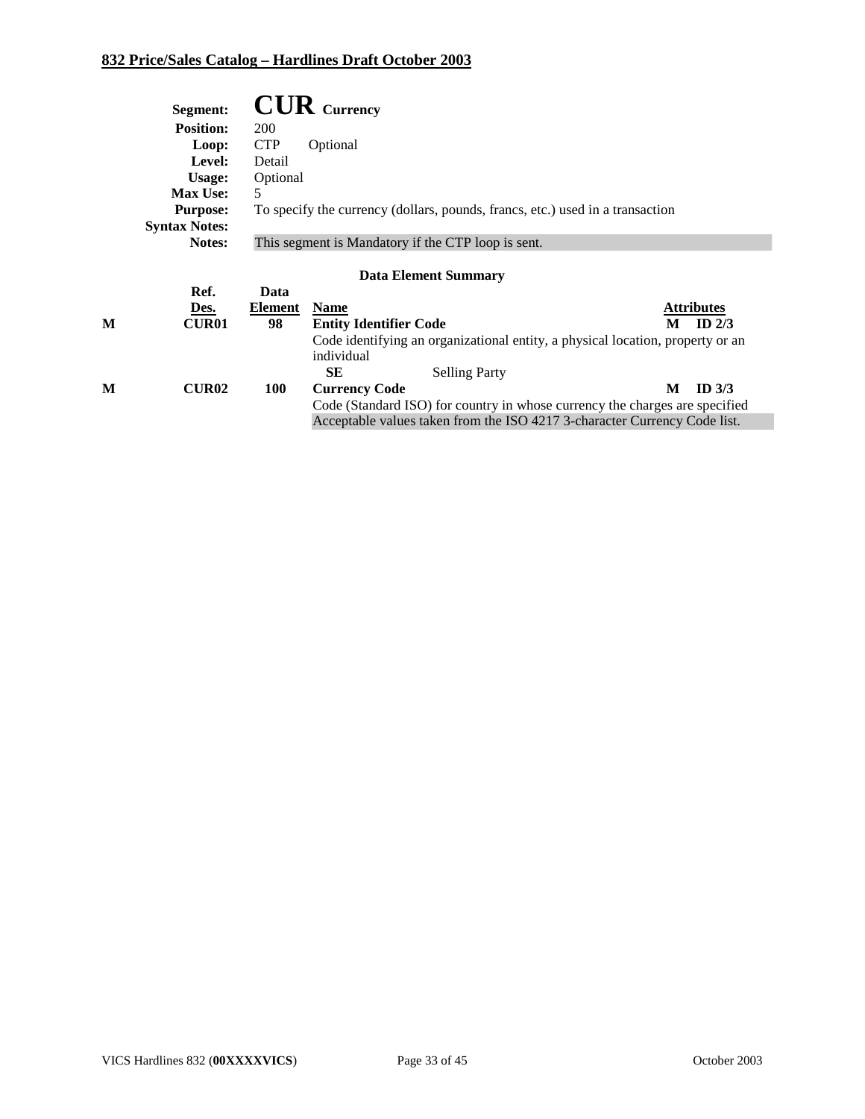|   | Segment:             |                                                    | $\mathbf{C}\mathbf{U}\mathbf{R}$ Currency                                                    |                   |  |  |
|---|----------------------|----------------------------------------------------|----------------------------------------------------------------------------------------------|-------------------|--|--|
|   | <b>Position:</b>     | 200                                                |                                                                                              |                   |  |  |
|   | Loop:                | <b>CTP</b>                                         | Optional                                                                                     |                   |  |  |
|   | Level:               | Detail                                             |                                                                                              |                   |  |  |
|   | Usage:               | Optional                                           |                                                                                              |                   |  |  |
|   | <b>Max Use:</b>      | 5                                                  |                                                                                              |                   |  |  |
|   | <b>Purpose:</b>      |                                                    | To specify the currency (dollars, pounds, francs, etc.) used in a transaction                |                   |  |  |
|   | <b>Syntax Notes:</b> |                                                    |                                                                                              |                   |  |  |
|   | Notes:               | This segment is Mandatory if the CTP loop is sent. |                                                                                              |                   |  |  |
|   | Ref.                 | Data                                               | <b>Data Element Summary</b>                                                                  |                   |  |  |
|   | Des.                 | Element                                            | <b>Name</b>                                                                                  | <b>Attributes</b> |  |  |
| М | <b>CUR01</b>         | 98                                                 | <b>Entity Identifier Code</b><br>M                                                           | ID $2/3$          |  |  |
|   |                      |                                                    | Code identifying an organizational entity, a physical location, property or an<br>individual |                   |  |  |
|   |                      |                                                    | <b>SE</b><br><b>Selling Party</b>                                                            |                   |  |  |
| М | <b>CUR02</b>         | <b>100</b>                                         | M<br><b>Currency Code</b>                                                                    | ID <sub>3/3</sub> |  |  |
|   |                      |                                                    | Code (Standard ISO) for country in whose currency the charges are specified                  |                   |  |  |
|   |                      |                                                    | Acceptable values taken from the ISO 4217 3-character Currency Code list.                    |                   |  |  |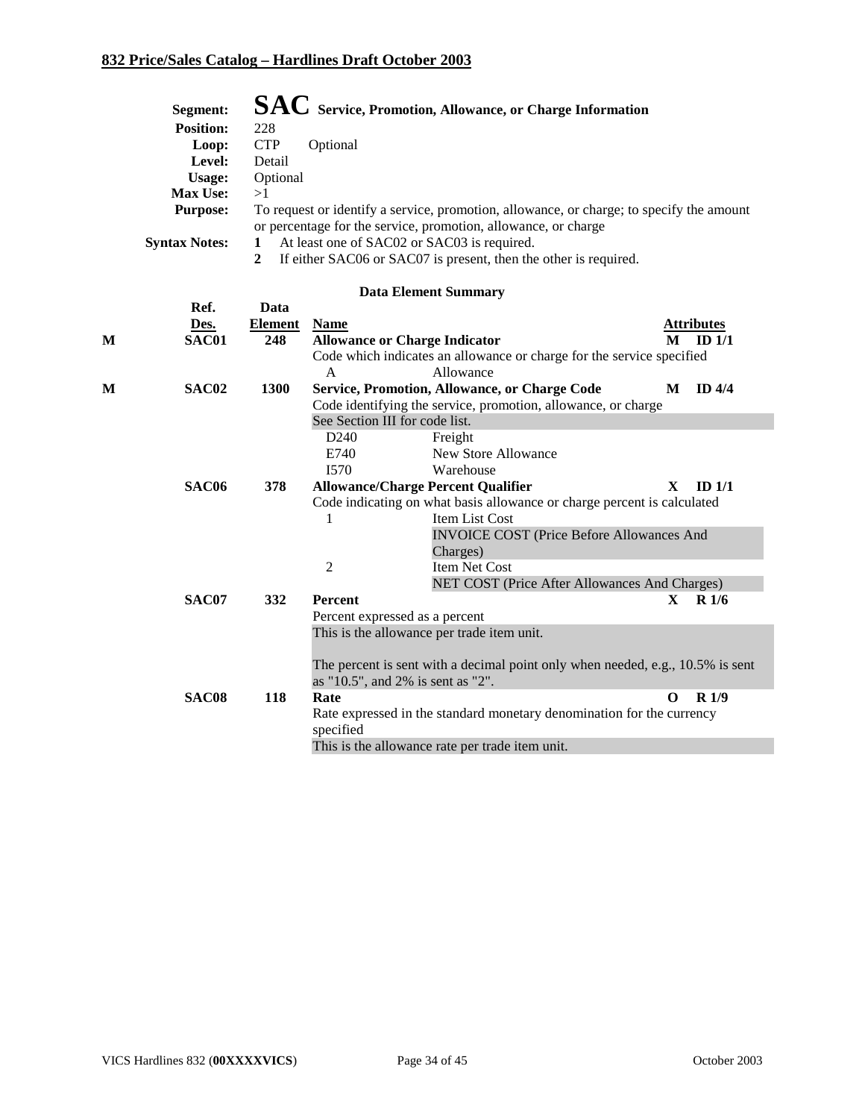| Segment:             | SAC Service, Promotion, Allowance, or Charge Information                                 |
|----------------------|------------------------------------------------------------------------------------------|
| <b>Position:</b>     | 228                                                                                      |
| Loop:                | <b>CTP</b><br>Optional                                                                   |
| Level:               | Detail                                                                                   |
| Usage:               | Optional                                                                                 |
| <b>Max Use:</b>      | >1                                                                                       |
| <b>Purpose:</b>      | To request or identify a service, promotion, allowance, or charge; to specify the amount |
|                      | or percentage for the service, promotion, allowance, or charge                           |
| <b>Syntax Notes:</b> | At least one of SAC02 or SAC03 is required.                                              |

**2** If either SAC06 or SAC07 is present, then the other is required.

|   | Ref.              | Data           |                                |                                                                                |              |                   |
|---|-------------------|----------------|--------------------------------|--------------------------------------------------------------------------------|--------------|-------------------|
|   | Des.              | <b>Element</b> | <b>Name</b>                    |                                                                                |              | <b>Attributes</b> |
| M | SAC01             | 248            |                                | <b>Allowance or Charge Indicator</b>                                           | M            | ID $1/1$          |
|   |                   |                |                                | Code which indicates an allowance or charge for the service specified          |              |                   |
|   |                   |                | A                              | Allowance                                                                      |              |                   |
| M | SAC <sub>02</sub> | <b>1300</b>    |                                | Service, Promotion, Allowance, or Charge Code                                  | M            | ID $4/4$          |
|   |                   |                |                                | Code identifying the service, promotion, allowance, or charge                  |              |                   |
|   |                   |                | See Section III for code list. |                                                                                |              |                   |
|   |                   |                | D <sub>240</sub>               | Freight                                                                        |              |                   |
|   |                   |                | E740                           | <b>New Store Allowance</b>                                                     |              |                   |
|   |                   |                | I570                           | Warehouse                                                                      |              |                   |
|   | SAC <sub>06</sub> | 378            |                                | <b>Allowance/Charge Percent Qualifier</b>                                      | $\mathbf{X}$ | ID <sub>1/1</sub> |
|   |                   |                |                                | Code indicating on what basis allowance or charge percent is calculated        |              |                   |
|   |                   |                | 1                              | Item List Cost                                                                 |              |                   |
|   |                   |                |                                | <b>INVOICE COST (Price Before Allowances And</b>                               |              |                   |
|   |                   |                |                                | Charges)                                                                       |              |                   |
|   |                   |                | $\overline{2}$                 | <b>Item Net Cost</b>                                                           |              |                   |
|   |                   |                |                                | NET COST (Price After Allowances And Charges)                                  |              |                   |
|   | SAC07             | 332            | <b>Percent</b>                 |                                                                                | X            | R <sub>1/6</sub>  |
|   |                   |                |                                | Percent expressed as a percent                                                 |              |                   |
|   |                   |                |                                | This is the allowance per trade item unit.                                     |              |                   |
|   |                   |                |                                |                                                                                |              |                   |
|   |                   |                |                                | The percent is sent with a decimal point only when needed, e.g., 10.5% is sent |              |                   |
|   |                   |                |                                | as "10.5", and 2% is sent as "2".                                              |              |                   |
|   | SAC08             | 118            | Rate                           |                                                                                | $\Omega$     | R1/9              |
|   |                   |                |                                | Rate expressed in the standard monetary denomination for the currency          |              |                   |
|   |                   |                | specified                      |                                                                                |              |                   |
|   |                   |                |                                | This is the allowance rate per trade item unit.                                |              |                   |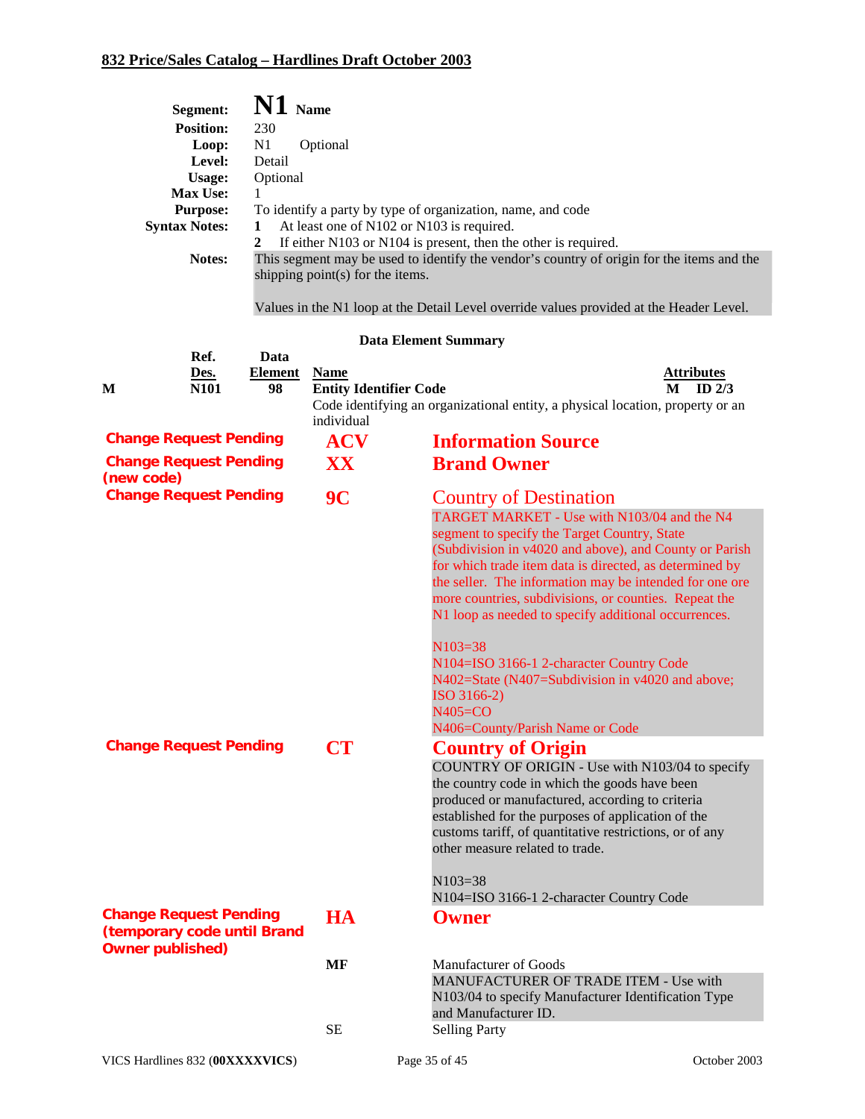|                         | Segment:                                                     | $\mathbf{N1}$ Name     |                                     |                                                                                                                   |
|-------------------------|--------------------------------------------------------------|------------------------|-------------------------------------|-------------------------------------------------------------------------------------------------------------------|
|                         | <b>Position:</b>                                             | 230                    |                                     |                                                                                                                   |
|                         | Loop:<br>Level:                                              | N1<br>Detail           | Optional                            |                                                                                                                   |
|                         | Usage:                                                       | Optional               |                                     |                                                                                                                   |
|                         | Max Use:                                                     | 1                      |                                     |                                                                                                                   |
|                         | <b>Purpose:</b><br><b>Syntax Notes:</b>                      | 1                      |                                     | To identify a party by type of organization, name, and code<br>At least one of N102 or N103 is required.          |
|                         |                                                              | $\overline{2}$         |                                     | If either N103 or N104 is present, then the other is required.                                                    |
|                         | Notes:                                                       |                        | shipping point $(s)$ for the items. | This segment may be used to identify the vendor's country of origin for the items and the                         |
|                         |                                                              |                        |                                     | Values in the N1 loop at the Detail Level override values provided at the Header Level.                           |
|                         |                                                              |                        |                                     | <b>Data Element Summary</b>                                                                                       |
|                         | Ref.<br>Des.                                                 | Data<br><b>Element</b> | <b>Name</b>                         | <b>Attributes</b>                                                                                                 |
| M                       | N101                                                         | 98                     | <b>Entity Identifier Code</b>       | $M$ ID $2/3$                                                                                                      |
|                         |                                                              |                        | individual                          | Code identifying an organizational entity, a physical location, property or an                                    |
|                         | <b>Change Request Pending</b>                                |                        | <b>ACV</b>                          | <b>Information Source</b>                                                                                         |
|                         | <b>Change Request Pending</b>                                |                        | XX                                  | <b>Brand Owner</b>                                                                                                |
| (new code)              | <b>Change Request Pending</b>                                |                        | 9 <sup>C</sup>                      | <b>Country of Destination</b>                                                                                     |
|                         |                                                              |                        |                                     | TARGET MARKET - Use with N103/04 and the N4                                                                       |
|                         |                                                              |                        |                                     | segment to specify the Target Country, State                                                                      |
|                         |                                                              |                        |                                     | (Subdivision in v4020 and above), and County or Parish<br>for which trade item data is directed, as determined by |
|                         |                                                              |                        |                                     | the seller. The information may be intended for one ore                                                           |
|                         |                                                              |                        |                                     | more countries, subdivisions, or counties. Repeat the                                                             |
|                         |                                                              |                        |                                     | N1 loop as needed to specify additional occurrences.                                                              |
|                         |                                                              |                        |                                     | $N103=38$                                                                                                         |
|                         |                                                              |                        |                                     | N104=ISO 3166-1 2-character Country Code<br>N402=State (N407=Subdivision in v4020 and above;                      |
|                         |                                                              |                        |                                     | ISO 3166-2)                                                                                                       |
|                         |                                                              |                        |                                     | $N405 = CO$<br>N406=County/Parish Name or Code                                                                    |
|                         | <b>Change Request Pending</b>                                |                        | CT                                  | <b>Country of Origin</b>                                                                                          |
|                         |                                                              |                        |                                     | COUNTRY OF ORIGIN - Use with N103/04 to specify                                                                   |
|                         |                                                              |                        |                                     | the country code in which the goods have been                                                                     |
|                         |                                                              |                        |                                     | produced or manufactured, according to criteria<br>established for the purposes of application of the             |
|                         |                                                              |                        |                                     | customs tariff, of quantitative restrictions, or of any                                                           |
|                         |                                                              |                        |                                     | other measure related to trade.                                                                                   |
|                         |                                                              |                        |                                     | $N103=38$                                                                                                         |
|                         |                                                              |                        |                                     | N104=ISO 3166-1 2-character Country Code                                                                          |
|                         | <b>Change Request Pending</b><br>(temporary code until Brand |                        | <b>HA</b>                           | <b>Owner</b>                                                                                                      |
| <b>Owner published)</b> |                                                              |                        | <b>MF</b>                           | <b>Manufacturer of Goods</b>                                                                                      |
|                         |                                                              |                        |                                     | MANUFACTURER OF TRADE ITEM - Use with                                                                             |
|                         |                                                              |                        |                                     | N103/04 to specify Manufacturer Identification Type                                                               |
|                         |                                                              |                        | SЕ                                  | and Manufacturer ID.<br><b>Selling Party</b>                                                                      |
|                         |                                                              |                        |                                     |                                                                                                                   |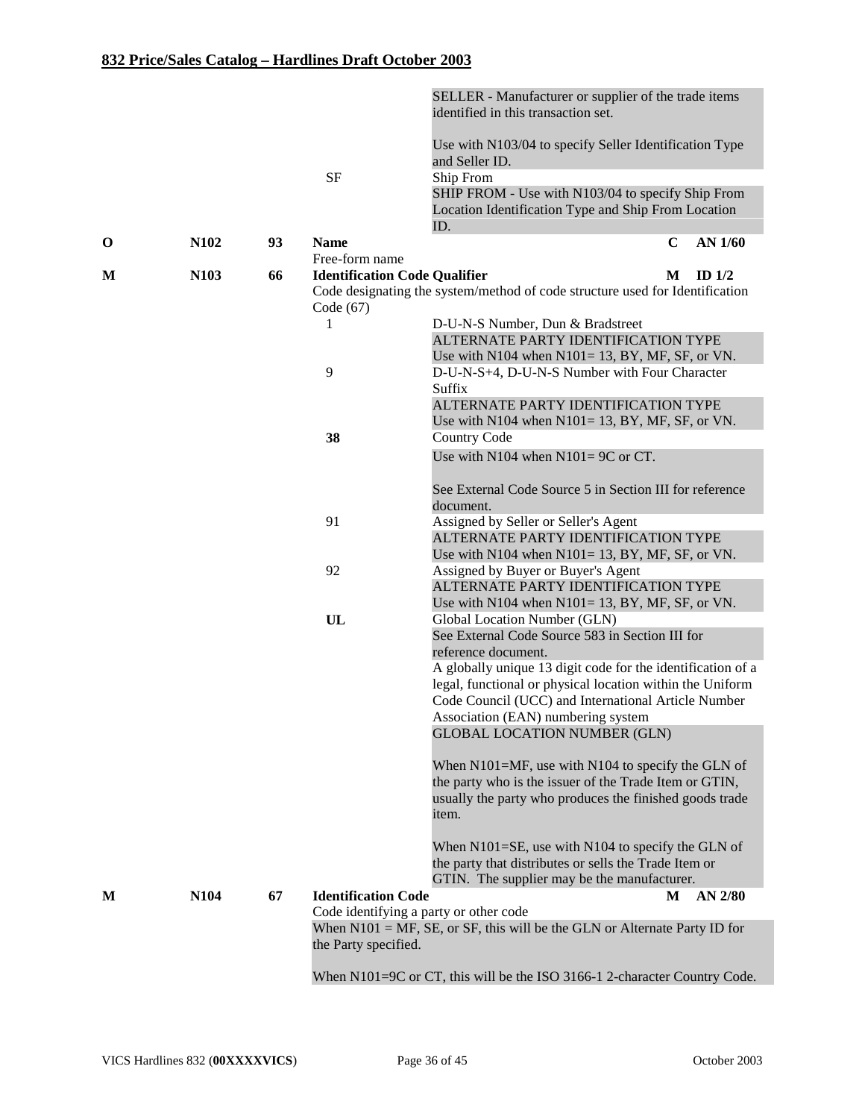| Use with N103/04 to specify Seller Identification Type<br>and Seller ID.<br><b>SF</b><br>Ship From<br>SHIP FROM - Use with N103/04 to specify Ship From<br>Location Identification Type and Ship From Location<br>ID.<br>N102<br><b>Name</b><br>AN 1/60<br>93<br>C<br>$\mathbf 0$<br>Free-form name<br>N103<br><b>Identification Code Qualifier</b><br>66<br>ID $1/2$<br>M<br>М<br>Code designating the system/method of code structure used for Identification<br>Code $(67)$<br>D-U-N-S Number, Dun & Bradstreet<br>1<br>ALTERNATE PARTY IDENTIFICATION TYPE<br>Use with N104 when $N101 = 13$ , BY, MF, SF, or VN.<br>9<br>D-U-N-S+4, D-U-N-S Number with Four Character<br>Suffix<br>ALTERNATE PARTY IDENTIFICATION TYPE<br>Use with N104 when $N101 = 13$ , BY, MF, SF, or VN. |  |
|-------------------------------------------------------------------------------------------------------------------------------------------------------------------------------------------------------------------------------------------------------------------------------------------------------------------------------------------------------------------------------------------------------------------------------------------------------------------------------------------------------------------------------------------------------------------------------------------------------------------------------------------------------------------------------------------------------------------------------------------------------------------------------------|--|
|                                                                                                                                                                                                                                                                                                                                                                                                                                                                                                                                                                                                                                                                                                                                                                                     |  |
|                                                                                                                                                                                                                                                                                                                                                                                                                                                                                                                                                                                                                                                                                                                                                                                     |  |
|                                                                                                                                                                                                                                                                                                                                                                                                                                                                                                                                                                                                                                                                                                                                                                                     |  |
|                                                                                                                                                                                                                                                                                                                                                                                                                                                                                                                                                                                                                                                                                                                                                                                     |  |
|                                                                                                                                                                                                                                                                                                                                                                                                                                                                                                                                                                                                                                                                                                                                                                                     |  |
|                                                                                                                                                                                                                                                                                                                                                                                                                                                                                                                                                                                                                                                                                                                                                                                     |  |
|                                                                                                                                                                                                                                                                                                                                                                                                                                                                                                                                                                                                                                                                                                                                                                                     |  |
|                                                                                                                                                                                                                                                                                                                                                                                                                                                                                                                                                                                                                                                                                                                                                                                     |  |
|                                                                                                                                                                                                                                                                                                                                                                                                                                                                                                                                                                                                                                                                                                                                                                                     |  |
|                                                                                                                                                                                                                                                                                                                                                                                                                                                                                                                                                                                                                                                                                                                                                                                     |  |
|                                                                                                                                                                                                                                                                                                                                                                                                                                                                                                                                                                                                                                                                                                                                                                                     |  |
|                                                                                                                                                                                                                                                                                                                                                                                                                                                                                                                                                                                                                                                                                                                                                                                     |  |
|                                                                                                                                                                                                                                                                                                                                                                                                                                                                                                                                                                                                                                                                                                                                                                                     |  |
|                                                                                                                                                                                                                                                                                                                                                                                                                                                                                                                                                                                                                                                                                                                                                                                     |  |
|                                                                                                                                                                                                                                                                                                                                                                                                                                                                                                                                                                                                                                                                                                                                                                                     |  |
| 38<br><b>Country Code</b>                                                                                                                                                                                                                                                                                                                                                                                                                                                                                                                                                                                                                                                                                                                                                           |  |
| Use with N104 when $N101 = 9C$ or CT.                                                                                                                                                                                                                                                                                                                                                                                                                                                                                                                                                                                                                                                                                                                                               |  |
| See External Code Source 5 in Section III for reference<br>document.                                                                                                                                                                                                                                                                                                                                                                                                                                                                                                                                                                                                                                                                                                                |  |
| 91<br>Assigned by Seller or Seller's Agent                                                                                                                                                                                                                                                                                                                                                                                                                                                                                                                                                                                                                                                                                                                                          |  |
| ALTERNATE PARTY IDENTIFICATION TYPE                                                                                                                                                                                                                                                                                                                                                                                                                                                                                                                                                                                                                                                                                                                                                 |  |
| Use with N104 when $N101 = 13$ , BY, MF, SF, or VN.                                                                                                                                                                                                                                                                                                                                                                                                                                                                                                                                                                                                                                                                                                                                 |  |
| 92<br>Assigned by Buyer or Buyer's Agent                                                                                                                                                                                                                                                                                                                                                                                                                                                                                                                                                                                                                                                                                                                                            |  |
| ALTERNATE PARTY IDENTIFICATION TYPE                                                                                                                                                                                                                                                                                                                                                                                                                                                                                                                                                                                                                                                                                                                                                 |  |
| Use with N104 when $N101 = 13$ , BY, MF, SF, or VN.                                                                                                                                                                                                                                                                                                                                                                                                                                                                                                                                                                                                                                                                                                                                 |  |
| UL<br>Global Location Number (GLN)                                                                                                                                                                                                                                                                                                                                                                                                                                                                                                                                                                                                                                                                                                                                                  |  |
| See External Code Source 583 in Section III for                                                                                                                                                                                                                                                                                                                                                                                                                                                                                                                                                                                                                                                                                                                                     |  |
| reference document.                                                                                                                                                                                                                                                                                                                                                                                                                                                                                                                                                                                                                                                                                                                                                                 |  |
| A globally unique 13 digit code for the identification of a                                                                                                                                                                                                                                                                                                                                                                                                                                                                                                                                                                                                                                                                                                                         |  |
| legal, functional or physical location within the Uniform<br>Code Council (UCC) and International Article Number                                                                                                                                                                                                                                                                                                                                                                                                                                                                                                                                                                                                                                                                    |  |
| Association (EAN) numbering system                                                                                                                                                                                                                                                                                                                                                                                                                                                                                                                                                                                                                                                                                                                                                  |  |
| <b>GLOBAL LOCATION NUMBER (GLN)</b>                                                                                                                                                                                                                                                                                                                                                                                                                                                                                                                                                                                                                                                                                                                                                 |  |
|                                                                                                                                                                                                                                                                                                                                                                                                                                                                                                                                                                                                                                                                                                                                                                                     |  |
| When $N101=MF$ , use with $N104$ to specify the GLN of                                                                                                                                                                                                                                                                                                                                                                                                                                                                                                                                                                                                                                                                                                                              |  |
| the party who is the issuer of the Trade Item or GTIN,                                                                                                                                                                                                                                                                                                                                                                                                                                                                                                                                                                                                                                                                                                                              |  |
| usually the party who produces the finished goods trade                                                                                                                                                                                                                                                                                                                                                                                                                                                                                                                                                                                                                                                                                                                             |  |
| item.                                                                                                                                                                                                                                                                                                                                                                                                                                                                                                                                                                                                                                                                                                                                                                               |  |
| When N101=SE, use with N104 to specify the GLN of                                                                                                                                                                                                                                                                                                                                                                                                                                                                                                                                                                                                                                                                                                                                   |  |
| the party that distributes or sells the Trade Item or                                                                                                                                                                                                                                                                                                                                                                                                                                                                                                                                                                                                                                                                                                                               |  |
| GTIN. The supplier may be the manufacturer.                                                                                                                                                                                                                                                                                                                                                                                                                                                                                                                                                                                                                                                                                                                                         |  |
| N104<br><b>Identification Code</b><br>67<br>AN 2/80<br>M<br>M                                                                                                                                                                                                                                                                                                                                                                                                                                                                                                                                                                                                                                                                                                                       |  |
| Code identifying a party or other code                                                                                                                                                                                                                                                                                                                                                                                                                                                                                                                                                                                                                                                                                                                                              |  |
| When $N101 = MF$ , SE, or SF, this will be the GLN or Alternate Party ID for                                                                                                                                                                                                                                                                                                                                                                                                                                                                                                                                                                                                                                                                                                        |  |
| the Party specified.                                                                                                                                                                                                                                                                                                                                                                                                                                                                                                                                                                                                                                                                                                                                                                |  |
|                                                                                                                                                                                                                                                                                                                                                                                                                                                                                                                                                                                                                                                                                                                                                                                     |  |
| When $N101=9C$ or CT, this will be the ISO 3166-1 2-character Country Code.                                                                                                                                                                                                                                                                                                                                                                                                                                                                                                                                                                                                                                                                                                         |  |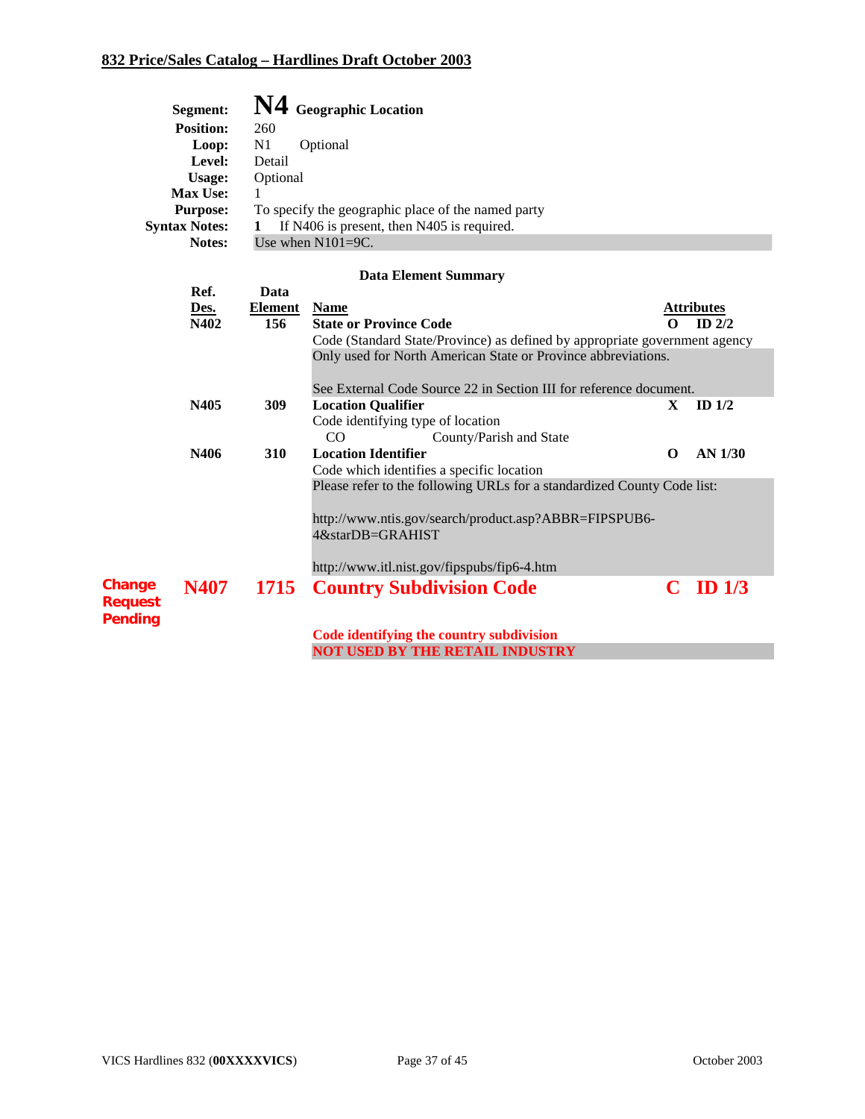|                          | Segment:             | N4             | <b>Geographic Location</b>                                                 |             |                   |  |  |  |  |
|--------------------------|----------------------|----------------|----------------------------------------------------------------------------|-------------|-------------------|--|--|--|--|
|                          | <b>Position:</b>     | 260            |                                                                            |             |                   |  |  |  |  |
|                          | Loop:                | N <sub>1</sub> | Optional                                                                   |             |                   |  |  |  |  |
|                          | Level:               | Detail         |                                                                            |             |                   |  |  |  |  |
|                          | Usage:               | Optional       |                                                                            |             |                   |  |  |  |  |
|                          | <b>Max Use:</b>      | 1              |                                                                            |             |                   |  |  |  |  |
|                          | <b>Purpose:</b>      |                | To specify the geographic place of the named party                         |             |                   |  |  |  |  |
|                          | <b>Syntax Notes:</b> | 1              | If N406 is present, then N405 is required.                                 |             |                   |  |  |  |  |
|                          | Notes:               |                | Use when $N101=9C$ .                                                       |             |                   |  |  |  |  |
|                          |                      |                | <b>Data Element Summary</b>                                                |             |                   |  |  |  |  |
|                          | Ref.                 | Data           |                                                                            |             |                   |  |  |  |  |
|                          | Des.                 | <b>Element</b> | <b>Name</b>                                                                |             | <b>Attributes</b> |  |  |  |  |
|                          | N402                 | 156            | <b>State or Province Code</b>                                              | 0           | $ID$ $2/2$        |  |  |  |  |
|                          |                      |                | Code (Standard State/Province) as defined by appropriate government agency |             |                   |  |  |  |  |
|                          |                      |                | Only used for North American State or Province abbreviations.              |             |                   |  |  |  |  |
|                          |                      |                |                                                                            |             |                   |  |  |  |  |
|                          |                      |                | See External Code Source 22 in Section III for reference document.         |             |                   |  |  |  |  |
|                          | N405                 | 309            | <b>Location Qualifier</b>                                                  | X           | ID $1/2$          |  |  |  |  |
|                          |                      |                | Code identifying type of location                                          |             |                   |  |  |  |  |
|                          |                      |                | County/Parish and State<br>CO                                              |             |                   |  |  |  |  |
|                          | N406                 | 310            | <b>Location Identifier</b>                                                 | $\mathbf 0$ | AN 1/30           |  |  |  |  |
|                          |                      |                | Code which identifies a specific location                                  |             |                   |  |  |  |  |
|                          |                      |                | Please refer to the following URLs for a standardized County Code list:    |             |                   |  |  |  |  |
|                          |                      |                |                                                                            |             |                   |  |  |  |  |
|                          |                      |                | http://www.ntis.gov/search/product.asp?ABBR=FIPSPUB6-                      |             |                   |  |  |  |  |
|                          |                      |                | 4&starDB=GRAHIST                                                           |             |                   |  |  |  |  |
|                          |                      |                | http://www.itl.nist.gov/fipspubs/fip6-4.htm                                |             |                   |  |  |  |  |
|                          |                      |                |                                                                            |             |                   |  |  |  |  |
| Change<br><b>Request</b> | N407                 | 1715           | <b>Country Subdivision Code</b>                                            | C           | ID $1/3$          |  |  |  |  |
| Pending                  |                      |                |                                                                            |             |                   |  |  |  |  |
|                          |                      |                | Code identifying the country subdivision                                   |             |                   |  |  |  |  |
|                          |                      |                | <b>NOT USED BY THE RETAIL INDUSTRY</b>                                     |             |                   |  |  |  |  |
|                          |                      |                |                                                                            |             |                   |  |  |  |  |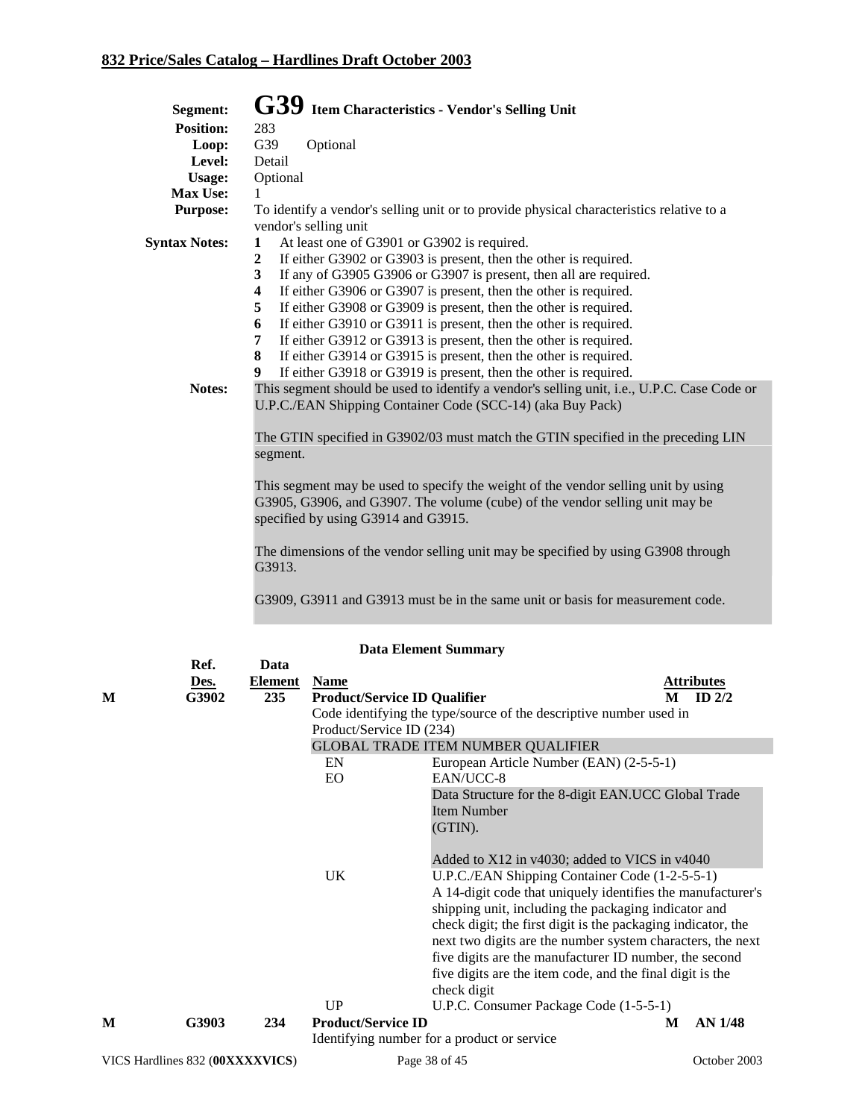| Segment:             | G39 Item Characteristics - Vendor's Selling Unit                                                                                                                                                          |
|----------------------|-----------------------------------------------------------------------------------------------------------------------------------------------------------------------------------------------------------|
| <b>Position:</b>     | 283                                                                                                                                                                                                       |
| Loop:                | G39<br>Optional                                                                                                                                                                                           |
| Level:               | Detail                                                                                                                                                                                                    |
| <b>Usage:</b>        | Optional                                                                                                                                                                                                  |
| Max Use:             |                                                                                                                                                                                                           |
| <b>Purpose:</b>      | To identify a vendor's selling unit or to provide physical characteristics relative to a<br>vendor's selling unit                                                                                         |
| <b>Syntax Notes:</b> | At least one of G3901 or G3902 is required.<br>$\mathbf{1}$                                                                                                                                               |
|                      | If either G3902 or G3903 is present, then the other is required.<br>$\mathbf{2}$                                                                                                                          |
|                      | If any of G3905 G3906 or G3907 is present, then all are required.<br>3                                                                                                                                    |
|                      | $\boldsymbol{4}$<br>If either G3906 or G3907 is present, then the other is required.                                                                                                                      |
|                      | If either G3908 or G3909 is present, then the other is required.<br>5                                                                                                                                     |
|                      | 6<br>If either G3910 or G3911 is present, then the other is required.                                                                                                                                     |
|                      | If either G3912 or G3913 is present, then the other is required.<br>7                                                                                                                                     |
|                      | If either G3914 or G3915 is present, then the other is required.<br>8                                                                                                                                     |
|                      | If either G3918 or G3919 is present, then the other is required.<br>9                                                                                                                                     |
| Notes:               | This segment should be used to identify a vendor's selling unit, i.e., U.P.C. Case Code or                                                                                                                |
|                      | U.P.C./EAN Shipping Container Code (SCC-14) (aka Buy Pack)                                                                                                                                                |
|                      | The GTIN specified in G3902/03 must match the GTIN specified in the preceding LIN<br>segment.                                                                                                             |
|                      | This segment may be used to specify the weight of the vendor selling unit by using<br>G3905, G3906, and G3907. The volume (cube) of the vendor selling unit may be<br>specified by using G3914 and G3915. |
|                      | The dimensions of the vendor selling unit may be specified by using G3908 through<br>G3913.                                                                                                               |

G3909, G3911 and G3913 must be in the same unit or basis for measurement code.

|   | Ref.                            | Data           |                                     |                                                                    |   |                |  |
|---|---------------------------------|----------------|-------------------------------------|--------------------------------------------------------------------|---|----------------|--|
|   | Des.                            | <b>Element</b> | <b>Name</b>                         |                                                                    |   | Attributes     |  |
| M | G3902                           | 235            | <b>Product/Service ID Qualifier</b> |                                                                    | M | ID $2/2$       |  |
|   |                                 |                |                                     | Code identifying the type/source of the descriptive number used in |   |                |  |
|   |                                 |                | Product/Service ID (234)            |                                                                    |   |                |  |
|   |                                 |                |                                     | <b>GLOBAL TRADE ITEM NUMBER QUALIFIER</b>                          |   |                |  |
|   |                                 |                | EN                                  | European Article Number (EAN) (2-5-5-1)                            |   |                |  |
|   |                                 |                | EO                                  | EAN/UCC-8                                                          |   |                |  |
|   |                                 |                |                                     | Data Structure for the 8-digit EAN.UCC Global Trade                |   |                |  |
|   |                                 |                |                                     | <b>Item Number</b>                                                 |   |                |  |
|   |                                 |                |                                     | (GTIN).                                                            |   |                |  |
|   |                                 |                |                                     |                                                                    |   |                |  |
|   |                                 |                |                                     | Added to X12 in v4030; added to VICS in v4040                      |   |                |  |
|   |                                 |                | <b>UK</b>                           | U.P.C./EAN Shipping Container Code (1-2-5-5-1)                     |   |                |  |
|   |                                 |                |                                     | A 14-digit code that uniquely identifies the manufacturer's        |   |                |  |
|   |                                 |                |                                     | shipping unit, including the packaging indicator and               |   |                |  |
|   |                                 |                |                                     | check digit; the first digit is the packaging indicator, the       |   |                |  |
|   |                                 |                |                                     | next two digits are the number system characters, the next         |   |                |  |
|   |                                 |                |                                     | five digits are the manufacturer ID number, the second             |   |                |  |
|   |                                 |                |                                     | five digits are the item code, and the final digit is the          |   |                |  |
|   |                                 |                |                                     | check digit                                                        |   |                |  |
|   |                                 |                | UP                                  | U.P.C. Consumer Package Code (1-5-5-1)                             |   |                |  |
| M | G3903                           | 234            | <b>Product/Service ID</b>           |                                                                    | M | <b>AN 1/48</b> |  |
|   |                                 |                |                                     | Identifying number for a product or service                        |   |                |  |
|   | VICS Hardlines 832 (00XXXXVICS) |                |                                     | Page 38 of 45                                                      |   | October 2003   |  |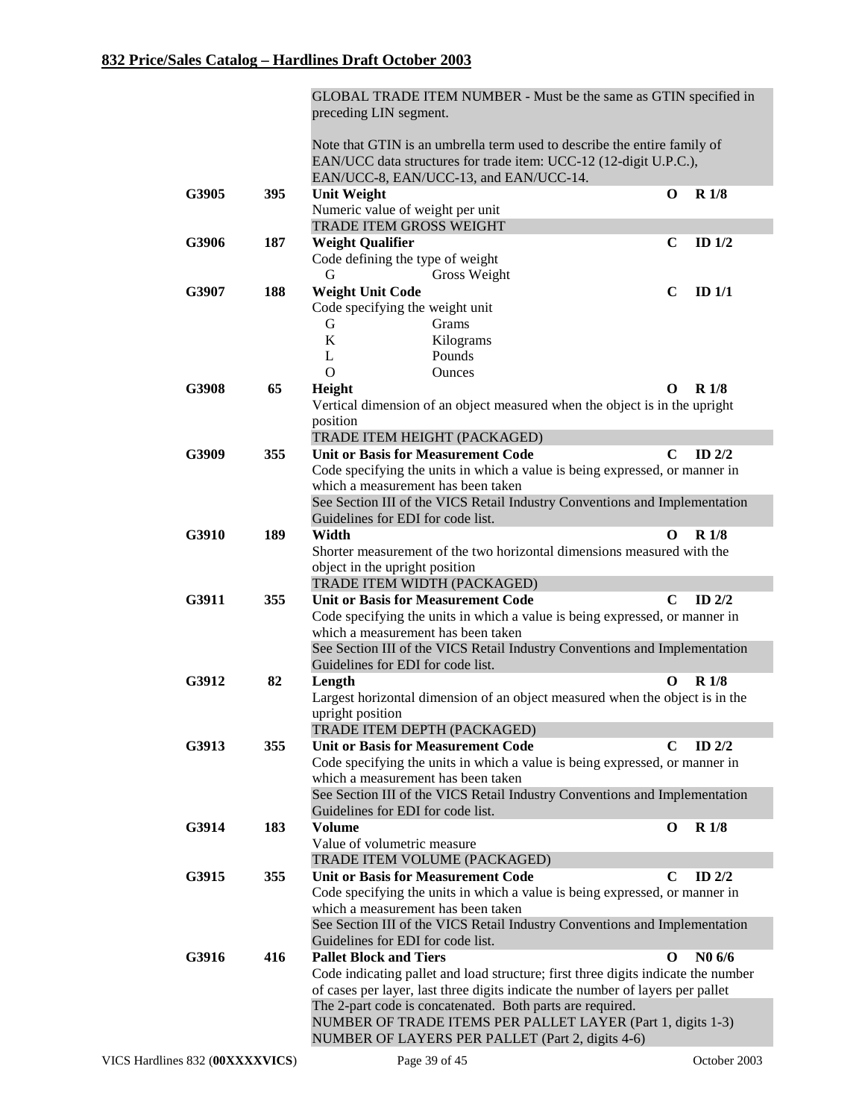|       |     | GLOBAL TRADE ITEM NUMBER - Must be the same as GTIN specified in<br>preceding LIN segment.                                                                                              |             |                    |
|-------|-----|-----------------------------------------------------------------------------------------------------------------------------------------------------------------------------------------|-------------|--------------------|
|       |     | Note that GTIN is an umbrella term used to describe the entire family of<br>EAN/UCC data structures for trade item: UCC-12 (12-digit U.P.C.),<br>EAN/UCC-8, EAN/UCC-13, and EAN/UCC-14. |             |                    |
| G3905 | 395 | <b>Unit Weight</b>                                                                                                                                                                      | $\bf{0}$    | <b>R</b> 1/8       |
|       |     | Numeric value of weight per unit                                                                                                                                                        |             |                    |
|       |     | TRADE ITEM GROSS WEIGHT                                                                                                                                                                 |             |                    |
| G3906 | 187 | <b>Weight Qualifier</b>                                                                                                                                                                 | $\mathbf C$ | ID $1/2$           |
|       |     | Code defining the type of weight                                                                                                                                                        |             |                    |
|       |     | G<br>Gross Weight                                                                                                                                                                       |             |                    |
| G3907 | 188 | <b>Weight Unit Code</b>                                                                                                                                                                 | $\mathbf C$ | ID $1/1$           |
|       |     | Code specifying the weight unit                                                                                                                                                         |             |                    |
|       |     | Grams<br>G                                                                                                                                                                              |             |                    |
|       |     | K<br>Kilograms                                                                                                                                                                          |             |                    |
|       |     | Pounds<br>L                                                                                                                                                                             |             |                    |
|       |     | $\overline{O}$<br>Ounces                                                                                                                                                                |             |                    |
| G3908 | 65  | Height                                                                                                                                                                                  | $\Omega$    | R <sub>1/8</sub>   |
|       |     | Vertical dimension of an object measured when the object is in the upright                                                                                                              |             |                    |
|       |     | position                                                                                                                                                                                |             |                    |
| G3909 | 355 | TRADE ITEM HEIGHT (PACKAGED)<br><b>Unit or Basis for Measurement Code</b>                                                                                                               | $\mathbf C$ | ID $2/2$           |
|       |     | Code specifying the units in which a value is being expressed, or manner in                                                                                                             |             |                    |
|       |     | which a measurement has been taken                                                                                                                                                      |             |                    |
|       |     | See Section III of the VICS Retail Industry Conventions and Implementation                                                                                                              |             |                    |
|       |     | Guidelines for EDI for code list.                                                                                                                                                       |             |                    |
| G3910 | 189 | Width                                                                                                                                                                                   | $\Omega$    | R1/8               |
|       |     | Shorter measurement of the two horizontal dimensions measured with the                                                                                                                  |             |                    |
|       |     | object in the upright position                                                                                                                                                          |             |                    |
|       |     | TRADE ITEM WIDTH (PACKAGED)                                                                                                                                                             |             |                    |
| G3911 | 355 | <b>Unit or Basis for Measurement Code</b>                                                                                                                                               | $\mathbf C$ | ID $2/2$           |
|       |     | Code specifying the units in which a value is being expressed, or manner in                                                                                                             |             |                    |
|       |     | which a measurement has been taken                                                                                                                                                      |             |                    |
|       |     | See Section III of the VICS Retail Industry Conventions and Implementation                                                                                                              |             |                    |
| G3912 | 82  | Guidelines for EDI for code list.                                                                                                                                                       | $\Omega$    | <b>R</b> 1/8       |
|       |     | Length<br>Largest horizontal dimension of an object measured when the object is in the                                                                                                  |             |                    |
|       |     | upright position                                                                                                                                                                        |             |                    |
|       |     | TRADE ITEM DEPTH (PACKAGED)                                                                                                                                                             |             |                    |
| G3913 | 355 | <b>Unit or Basis for Measurement Code</b>                                                                                                                                               | C           | ID $2/2$           |
|       |     | Code specifying the units in which a value is being expressed, or manner in                                                                                                             |             |                    |
|       |     | which a measurement has been taken                                                                                                                                                      |             |                    |
|       |     | See Section III of the VICS Retail Industry Conventions and Implementation                                                                                                              |             |                    |
|       |     | Guidelines for EDI for code list.                                                                                                                                                       |             |                    |
| G3914 | 183 | <b>Volume</b>                                                                                                                                                                           | $\bf{0}$    | R1/8               |
|       |     | Value of volumetric measure                                                                                                                                                             |             |                    |
| G3915 | 355 | TRADE ITEM VOLUME (PACKAGED)<br><b>Unit or Basis for Measurement Code</b>                                                                                                               | $\mathbf C$ | ID $2/2$           |
|       |     | Code specifying the units in which a value is being expressed, or manner in                                                                                                             |             |                    |
|       |     | which a measurement has been taken                                                                                                                                                      |             |                    |
|       |     | See Section III of the VICS Retail Industry Conventions and Implementation                                                                                                              |             |                    |
|       |     | Guidelines for EDI for code list.                                                                                                                                                       |             |                    |
| G3916 | 416 | <b>Pallet Block and Tiers</b>                                                                                                                                                           | O           | N <sub>0</sub> 6/6 |
|       |     | Code indicating pallet and load structure; first three digits indicate the number                                                                                                       |             |                    |
|       |     | of cases per layer, last three digits indicate the number of layers per pallet                                                                                                          |             |                    |
|       |     | The 2-part code is concatenated. Both parts are required.                                                                                                                               |             |                    |
|       |     | NUMBER OF TRADE ITEMS PER PALLET LAYER (Part 1, digits 1-3)                                                                                                                             |             |                    |
|       |     | NUMBER OF LAYERS PER PALLET (Part 2, digits 4-6)                                                                                                                                        |             |                    |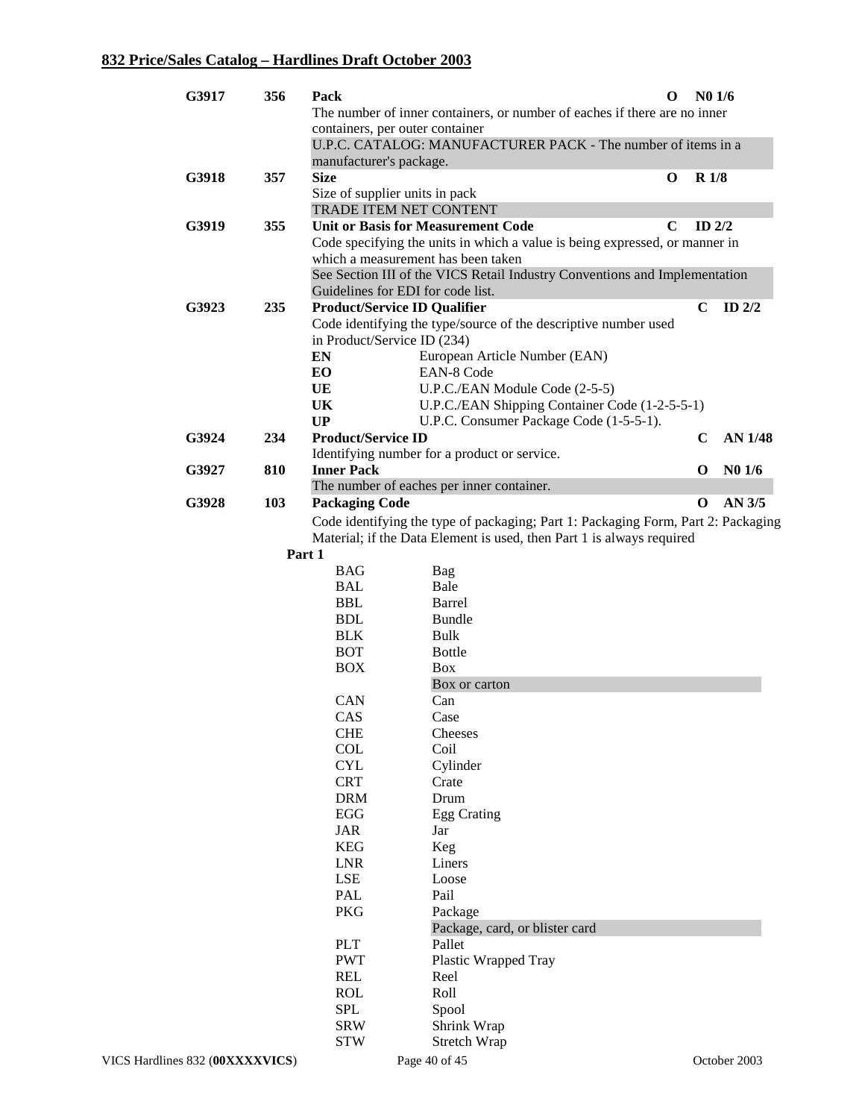| G3917 | 356 | Pack                                          |                                                                                   | $\bf{0}$    | N <sub>0</sub> 1/6 |                    |
|-------|-----|-----------------------------------------------|-----------------------------------------------------------------------------------|-------------|--------------------|--------------------|
|       |     |                                               | The number of inner containers, or number of eaches if there are no inner         |             |                    |                    |
|       |     | containers, per outer container               |                                                                                   |             |                    |                    |
|       |     |                                               | U.P.C. CATALOG: MANUFACTURER PACK - The number of items in a                      |             |                    |                    |
|       |     | manufacturer's package.                       |                                                                                   |             | <b>R</b> 1/8       |                    |
| G3918 | 357 | <b>Size</b><br>Size of supplier units in pack |                                                                                   | $\bf{0}$    |                    |                    |
|       |     | TRADE ITEM NET CONTENT                        |                                                                                   |             |                    |                    |
| G3919 | 355 |                                               | <b>Unit or Basis for Measurement Code</b>                                         | $\mathbf C$ | ID $2/2$           |                    |
|       |     |                                               | Code specifying the units in which a value is being expressed, or manner in       |             |                    |                    |
|       |     |                                               | which a measurement has been taken                                                |             |                    |                    |
|       |     |                                               | See Section III of the VICS Retail Industry Conventions and Implementation        |             |                    |                    |
|       |     | Guidelines for EDI for code list.             |                                                                                   |             |                    |                    |
| G3923 | 235 | <b>Product/Service ID Qualifier</b>           |                                                                                   |             | C                  | ID $2/2$           |
|       |     |                                               | Code identifying the type/source of the descriptive number used                   |             |                    |                    |
|       |     | in Product/Service ID (234)                   |                                                                                   |             |                    |                    |
|       |     | EN                                            | European Article Number (EAN)                                                     |             |                    |                    |
|       |     | EO                                            | EAN-8 Code                                                                        |             |                    |                    |
|       |     | UE<br>UK                                      | U.P.C./EAN Module Code (2-5-5)<br>U.P.C./EAN Shipping Container Code (1-2-5-5-1)  |             |                    |                    |
|       |     | <b>UP</b>                                     | U.P.C. Consumer Package Code (1-5-5-1).                                           |             |                    |                    |
| G3924 | 234 | <b>Product/Service ID</b>                     |                                                                                   |             | $\mathbf C$        | <b>AN 1/48</b>     |
|       |     |                                               | Identifying number for a product or service.                                      |             |                    |                    |
| G3927 | 810 | <b>Inner Pack</b>                             |                                                                                   |             | O                  | N <sub>0</sub> 1/6 |
|       |     |                                               | The number of eaches per inner container.                                         |             |                    |                    |
| G3928 | 103 | <b>Packaging Code</b>                         |                                                                                   |             | O                  | AN 3/5             |
|       |     |                                               | Code identifying the type of packaging; Part 1: Packaging Form, Part 2: Packaging |             |                    |                    |
|       |     |                                               | Material; if the Data Element is used, then Part 1 is always required             |             |                    |                    |
|       |     | Part 1                                        |                                                                                   |             |                    |                    |
|       |     | <b>BAG</b>                                    | Bag                                                                               |             |                    |                    |
|       |     | <b>BAL</b>                                    | Bale                                                                              |             |                    |                    |
|       |     | <b>BBL</b>                                    | <b>Barrel</b>                                                                     |             |                    |                    |
|       |     | <b>BDL</b>                                    | <b>Bundle</b>                                                                     |             |                    |                    |
|       |     | <b>BLK</b><br><b>BOT</b>                      | Bulk<br><b>Bottle</b>                                                             |             |                    |                    |
|       |     | <b>BOX</b>                                    | <b>Box</b>                                                                        |             |                    |                    |
|       |     |                                               | Box or carton                                                                     |             |                    |                    |
|       |     | CAN                                           | Can                                                                               |             |                    |                    |
|       |     | <b>CAS</b>                                    | Case                                                                              |             |                    |                    |
|       |     | <b>CHE</b>                                    | Cheeses                                                                           |             |                    |                    |
|       |     | <b>COL</b>                                    | Coil                                                                              |             |                    |                    |
|       |     | <b>CYL</b>                                    | Cylinder                                                                          |             |                    |                    |
|       |     | <b>CRT</b>                                    | Crate                                                                             |             |                    |                    |
|       |     | <b>DRM</b>                                    | Drum                                                                              |             |                    |                    |
|       |     | EGG<br><b>JAR</b>                             | <b>Egg Crating</b>                                                                |             |                    |                    |
|       |     | <b>KEG</b>                                    | Jar<br>Keg                                                                        |             |                    |                    |
|       |     | <b>LNR</b>                                    | Liners                                                                            |             |                    |                    |
|       |     | <b>LSE</b>                                    | Loose                                                                             |             |                    |                    |
|       |     | PAL                                           | Pail                                                                              |             |                    |                    |
|       |     | PKG                                           | Package                                                                           |             |                    |                    |
|       |     |                                               | Package, card, or blister card                                                    |             |                    |                    |
|       |     | <b>PLT</b>                                    | Pallet                                                                            |             |                    |                    |
|       |     | <b>PWT</b>                                    | Plastic Wrapped Tray                                                              |             |                    |                    |
|       |     | <b>REL</b>                                    | Reel                                                                              |             |                    |                    |
|       |     | <b>ROL</b>                                    | Roll                                                                              |             |                    |                    |
|       |     | <b>SPL</b>                                    | Spool                                                                             |             |                    |                    |
|       |     | <b>SRW</b><br><b>STW</b>                      | Shrink Wrap<br><b>Stretch Wrap</b>                                                |             |                    |                    |
|       |     |                                               |                                                                                   |             |                    |                    |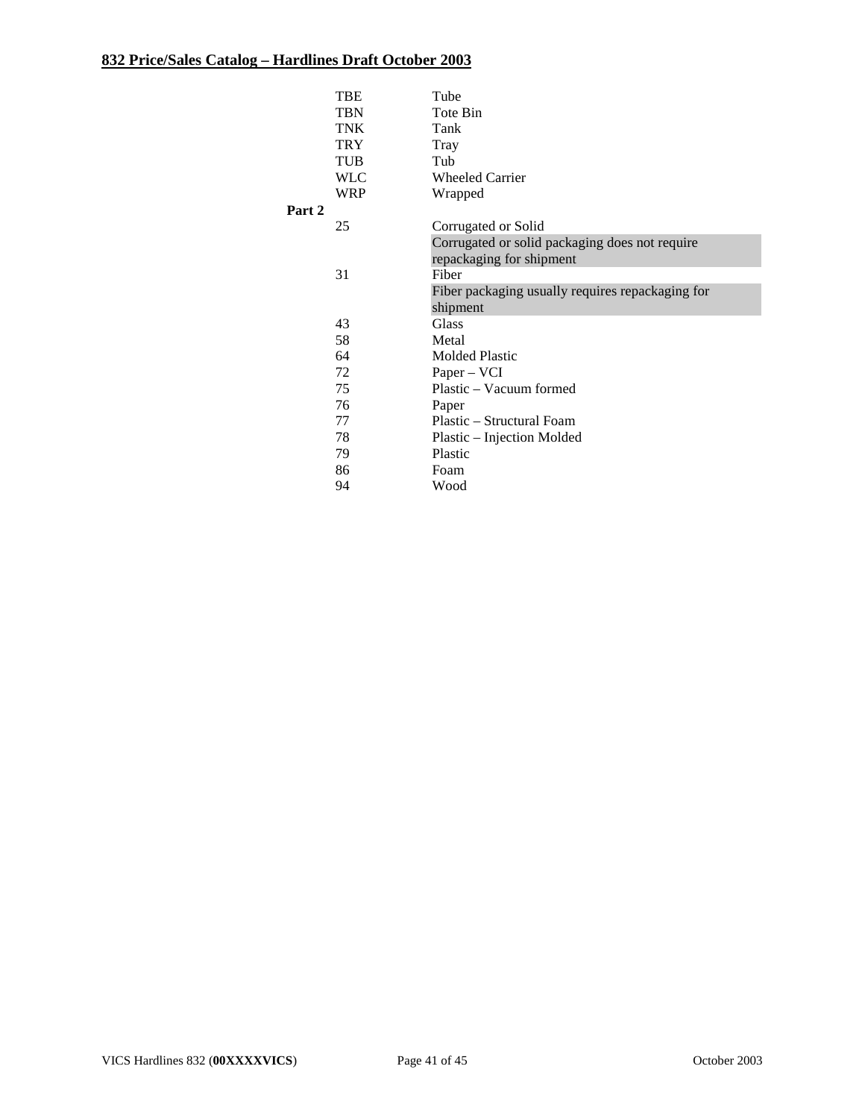|        | TBE        | Tube                                             |
|--------|------------|--------------------------------------------------|
|        | <b>TBN</b> | Tote Bin                                         |
|        | <b>TNK</b> | Tank                                             |
|        | <b>TRY</b> | Tray                                             |
|        | TUB        | Tub                                              |
|        | <b>WLC</b> | <b>Wheeled Carrier</b>                           |
|        | <b>WRP</b> | Wrapped                                          |
| Part 2 |            |                                                  |
|        | 25         | Corrugated or Solid                              |
|        |            | Corrugated or solid packaging does not require   |
|        |            | repackaging for shipment                         |
|        | 31         | Fiber                                            |
|        |            | Fiber packaging usually requires repackaging for |
|        |            | shipment                                         |
|        | 43         | Glass                                            |
|        | 58         | Metal                                            |
|        | 64         | <b>Molded Plastic</b>                            |
|        | 72         | Paper – VCI                                      |
|        | 75         | Plastic – Vacuum formed                          |
|        | 76         | Paper                                            |
|        | 77         | Plastic - Structural Foam                        |
|        | 78         | Plastic - Injection Molded                       |
|        | 79         | Plastic                                          |
|        | 86         | Foam                                             |
|        | 94         | Wood                                             |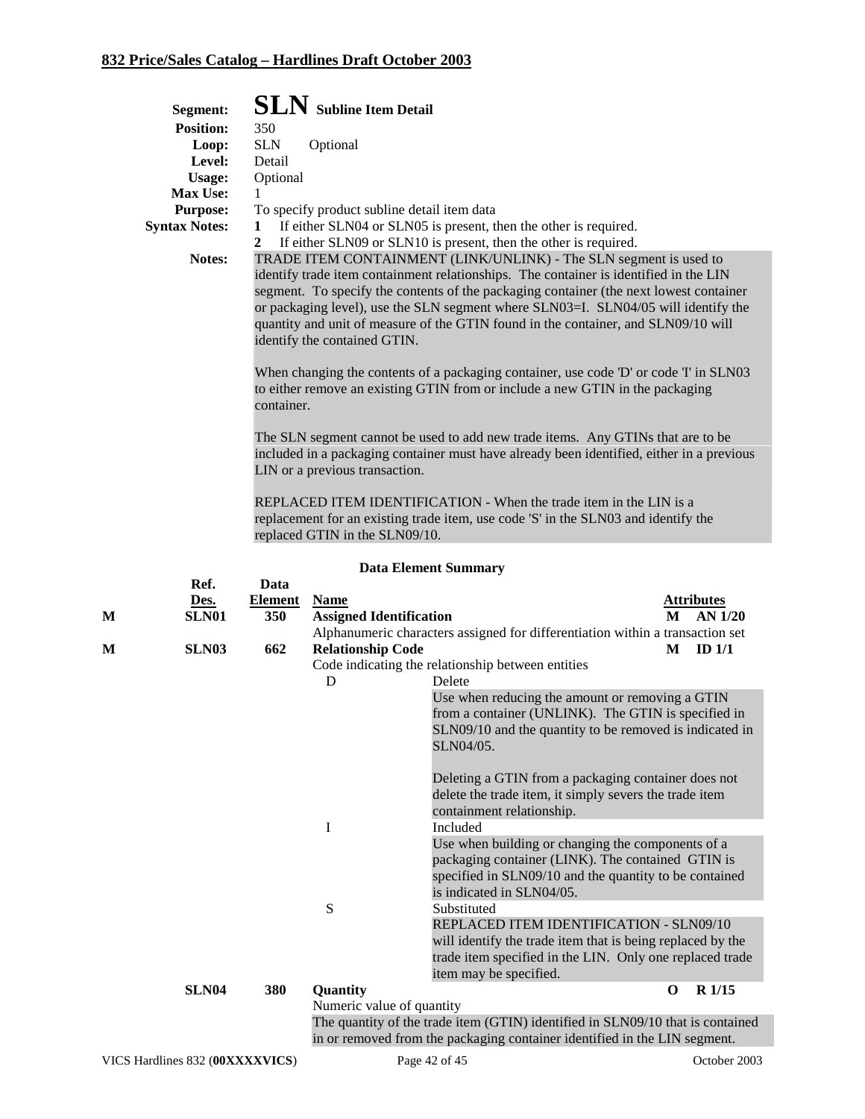|   | Segment:             |                | <b>SLN</b> Subline Item Detail                                                                                                                                                                                                                                                                                                                                                                                                                                                                                                                                                                                                                                                                                                                                                                                                                                              |  |  |  |  |
|---|----------------------|----------------|-----------------------------------------------------------------------------------------------------------------------------------------------------------------------------------------------------------------------------------------------------------------------------------------------------------------------------------------------------------------------------------------------------------------------------------------------------------------------------------------------------------------------------------------------------------------------------------------------------------------------------------------------------------------------------------------------------------------------------------------------------------------------------------------------------------------------------------------------------------------------------|--|--|--|--|
|   | <b>Position:</b>     | 350            |                                                                                                                                                                                                                                                                                                                                                                                                                                                                                                                                                                                                                                                                                                                                                                                                                                                                             |  |  |  |  |
|   | Loop:                | <b>SLN</b>     | Optional                                                                                                                                                                                                                                                                                                                                                                                                                                                                                                                                                                                                                                                                                                                                                                                                                                                                    |  |  |  |  |
|   | Level:               | Detail         |                                                                                                                                                                                                                                                                                                                                                                                                                                                                                                                                                                                                                                                                                                                                                                                                                                                                             |  |  |  |  |
|   | Usage:               | Optional       |                                                                                                                                                                                                                                                                                                                                                                                                                                                                                                                                                                                                                                                                                                                                                                                                                                                                             |  |  |  |  |
|   | Max Use:             | 1              |                                                                                                                                                                                                                                                                                                                                                                                                                                                                                                                                                                                                                                                                                                                                                                                                                                                                             |  |  |  |  |
|   | <b>Purpose:</b>      |                | To specify product subline detail item data                                                                                                                                                                                                                                                                                                                                                                                                                                                                                                                                                                                                                                                                                                                                                                                                                                 |  |  |  |  |
|   | <b>Syntax Notes:</b> | 1              | If either SLN04 or SLN05 is present, then the other is required.                                                                                                                                                                                                                                                                                                                                                                                                                                                                                                                                                                                                                                                                                                                                                                                                            |  |  |  |  |
|   |                      | $\mathbf{2}$   | If either SLN09 or SLN10 is present, then the other is required.                                                                                                                                                                                                                                                                                                                                                                                                                                                                                                                                                                                                                                                                                                                                                                                                            |  |  |  |  |
|   | Notes:               |                | TRADE ITEM CONTAINMENT (LINK/UNLINK) - The SLN segment is used to<br>identify trade item containment relationships. The container is identified in the LIN<br>segment. To specify the contents of the packaging container (the next lowest container<br>or packaging level), use the SLN segment where SLN03=I. SLN04/05 will identify the<br>quantity and unit of measure of the GTIN found in the container, and SLN09/10 will<br>identify the contained GTIN.<br>When changing the contents of a packaging container, use code 'D' or code 'I' in SLN03<br>to either remove an existing GTIN from or include a new GTIN in the packaging<br>container.<br>The SLN segment cannot be used to add new trade items. Any GTINs that are to be<br>included in a packaging container must have already been identified, either in a previous<br>LIN or a previous transaction. |  |  |  |  |
|   |                      |                | REPLACED ITEM IDENTIFICATION - When the trade item in the LIN is a<br>replacement for an existing trade item, use code 'S' in the SLN03 and identify the<br>replaced GTIN in the SLN09/10.                                                                                                                                                                                                                                                                                                                                                                                                                                                                                                                                                                                                                                                                                  |  |  |  |  |
|   |                      |                | <b>Data Element Summary</b>                                                                                                                                                                                                                                                                                                                                                                                                                                                                                                                                                                                                                                                                                                                                                                                                                                                 |  |  |  |  |
|   | Ref.                 | Data           |                                                                                                                                                                                                                                                                                                                                                                                                                                                                                                                                                                                                                                                                                                                                                                                                                                                                             |  |  |  |  |
|   | Des.                 | <b>Element</b> | <b>Attributes</b><br><b>Name</b>                                                                                                                                                                                                                                                                                                                                                                                                                                                                                                                                                                                                                                                                                                                                                                                                                                            |  |  |  |  |
| М | SLN01                | 350            | <b>Assigned Identification</b><br>AN 1/20<br>M                                                                                                                                                                                                                                                                                                                                                                                                                                                                                                                                                                                                                                                                                                                                                                                                                              |  |  |  |  |
|   | SLN <sub>03</sub>    | 662            | Alphanumeric characters assigned for differentiation within a transaction set<br><b>Relationship Code</b><br>ID $1/1$<br>М                                                                                                                                                                                                                                                                                                                                                                                                                                                                                                                                                                                                                                                                                                                                                  |  |  |  |  |
| М |                      |                | Code indicating the relationship between entities                                                                                                                                                                                                                                                                                                                                                                                                                                                                                                                                                                                                                                                                                                                                                                                                                           |  |  |  |  |
|   |                      |                | D<br>Delete                                                                                                                                                                                                                                                                                                                                                                                                                                                                                                                                                                                                                                                                                                                                                                                                                                                                 |  |  |  |  |
|   |                      |                | Use when reducing the amount or removing a GTIN<br>from a container (UNLINK). The GTIN is specified in<br>SLN09/10 and the quantity to be removed is indicated in<br>SLN04/05.                                                                                                                                                                                                                                                                                                                                                                                                                                                                                                                                                                                                                                                                                              |  |  |  |  |
|   |                      |                | Deleting a GTIN from a packaging container does not<br>delete the trade item, it simply severs the trade item                                                                                                                                                                                                                                                                                                                                                                                                                                                                                                                                                                                                                                                                                                                                                               |  |  |  |  |

#### **SLN04 380 Quantity O R 1/15**

Numeric value of quantity

I Included

S Substituted

The quantity of the trade item (GTIN) identified in SLN09/10 that is contained in or removed from the packaging container identified in the LIN segment.

Use when building or changing the components of a packaging container (LINK). The contained GTIN is specified in SLN09/10 and the quantity to be contained

REPLACED ITEM IDENTIFICATION - SLN09/10 will identify the trade item that is being replaced by the trade item specified in the LIN. Only one replaced trade

containment relationship.

is indicated in SLN04/05.

item may be specified.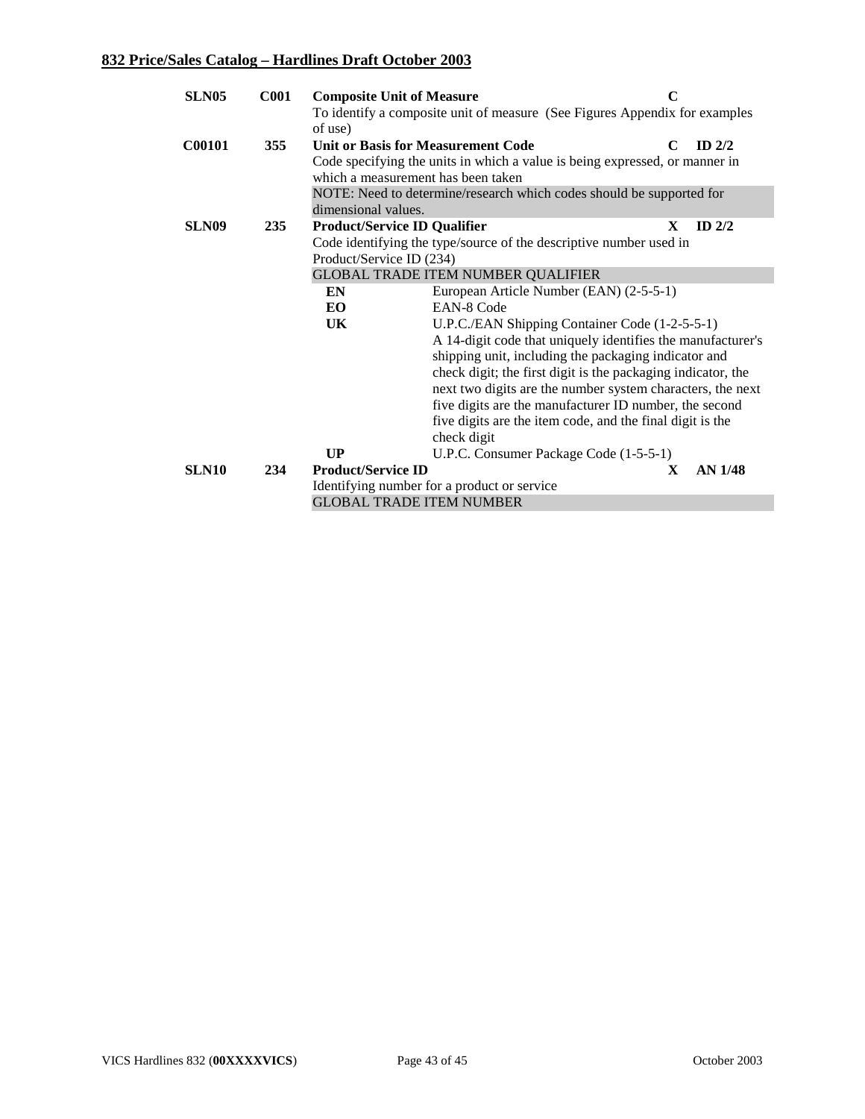| <b>SLN05</b>      | <b>C001</b> | <b>Composite Unit of Measure</b>          |                                                                             | $\mathbf C$              |
|-------------------|-------------|-------------------------------------------|-----------------------------------------------------------------------------|--------------------------|
|                   |             | of use)                                   | To identify a composite unit of measure (See Figures Appendix for examples  |                          |
| <b>C00101</b>     | 355         | <b>Unit or Basis for Measurement Code</b> |                                                                             | ID $2/2$<br>C            |
|                   |             |                                           | Code specifying the units in which a value is being expressed, or manner in |                          |
|                   |             | which a measurement has been taken        |                                                                             |                          |
|                   |             |                                           | NOTE: Need to determine/research which codes should be supported for        |                          |
|                   |             | dimensional values.                       |                                                                             |                          |
| SLN <sub>09</sub> | 235         | <b>Product/Service ID Qualifier</b>       |                                                                             | $\mathbf{X}$<br>ID $2/2$ |
|                   |             |                                           | Code identifying the type/source of the descriptive number used in          |                          |
|                   |             | Product/Service ID (234)                  |                                                                             |                          |
|                   |             |                                           | <b>GLOBAL TRADE ITEM NUMBER QUALIFIER</b>                                   |                          |
|                   |             | EN                                        | European Article Number (EAN) (2-5-5-1)                                     |                          |
|                   |             | EO.                                       | <b>EAN-8 Code</b>                                                           |                          |
|                   |             | UK                                        | U.P.C./EAN Shipping Container Code (1-2-5-5-1)                              |                          |
|                   |             |                                           | A 14-digit code that uniquely identifies the manufacturer's                 |                          |
|                   |             |                                           | shipping unit, including the packaging indicator and                        |                          |
|                   |             |                                           | check digit; the first digit is the packaging indicator, the                |                          |
|                   |             |                                           | next two digits are the number system characters, the next                  |                          |
|                   |             |                                           | five digits are the manufacturer ID number, the second                      |                          |
|                   |             |                                           | five digits are the item code, and the final digit is the                   |                          |
|                   |             |                                           | check digit                                                                 |                          |
|                   |             | UP                                        | U.P.C. Consumer Package Code (1-5-5-1)                                      |                          |
| SLN10             | 234         | <b>Product/Service ID</b>                 |                                                                             | <b>AN 1/48</b><br>X      |
|                   |             |                                           | Identifying number for a product or service                                 |                          |
|                   |             | <b>GLOBAL TRADE ITEM NUMBER</b>           |                                                                             |                          |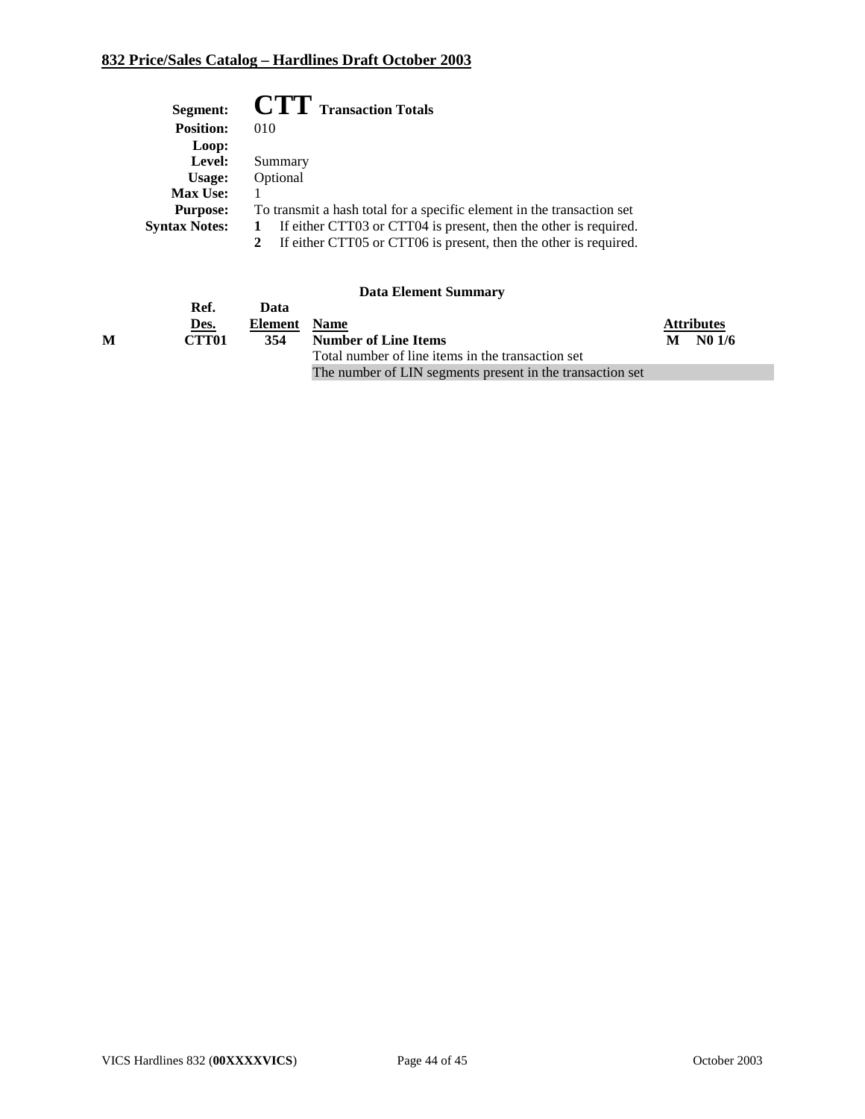| Segment:             | <b>CTT</b> Transaction Totals                                          |
|----------------------|------------------------------------------------------------------------|
| <b>Position:</b>     | 010                                                                    |
| Loop:                |                                                                        |
| Level:               | Summary                                                                |
| Usage:               | Optional                                                               |
| <b>Max Use:</b>      |                                                                        |
| <b>Purpose:</b>      | To transmit a hash total for a specific element in the transaction set |
| <b>Syntax Notes:</b> | If either CTT03 or CTT04 is present, then the other is required.       |
|                      | If either CTT05 or CTT06 is present, then the other is required.       |

|   | Ref.              | Data    |                                                           |   |                   |
|---|-------------------|---------|-----------------------------------------------------------|---|-------------------|
|   | Des.              | Element | <b>Name</b>                                               |   | <b>Attributes</b> |
| M | CTT <sub>01</sub> | 354     | <b>Number of Line Items</b>                               | M | N01/6             |
|   |                   |         | Total number of line items in the transaction set         |   |                   |
|   |                   |         | The number of LIN segments present in the transaction set |   |                   |
|   |                   |         |                                                           |   |                   |